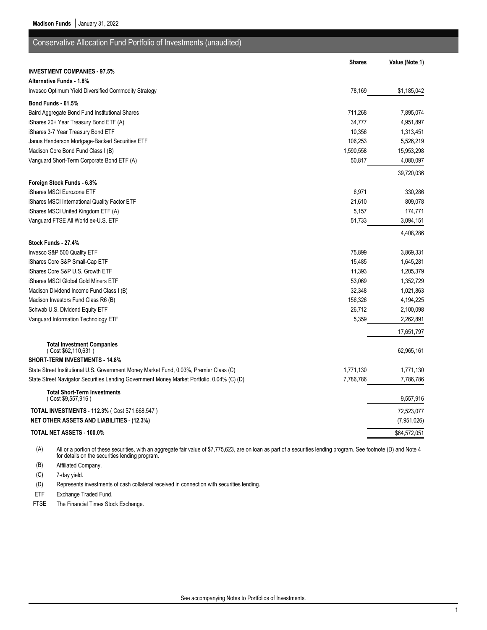**Madison Funds** | January 31, 2022

| <b>Shares</b><br>Value (Note 1)<br><b>INVESTMENT COMPANIES - 97.5%</b><br><b>Alternative Funds - 1.8%</b><br>78,169<br>Invesco Optimum Yield Diversified Commodity Strategy<br>\$1,185,042<br>Bond Funds 61.5%<br>711,268<br>Baird Aggregate Bond Fund Institutional Shares<br>7,895,074<br>iShares 20+ Year Treasury Bond ETF (A)<br>34,777<br>4,951,897<br>iShares 3-7 Year Treasury Bond ETF<br>10,356<br>1,313,451<br>Janus Henderson Mortgage-Backed Securities ETF<br>106,253<br>5,526,219<br>Madison Core Bond Fund Class I (B)<br>1,590,558<br>15,953,298<br>Vanguard Short-Term Corporate Bond ETF (A)<br>50,817<br>4,080,097<br>39,720,036<br>Foreign Stock Funds - 6.8%<br>6,971<br>iShares MSCI Eurozone ETF<br>330,286<br>iShares MSCI International Quality Factor ETF<br>21,610<br>809,078<br>174,771<br>iShares MSCI United Kingdom ETF (A)<br>5,157<br>Vanguard FTSE All World ex-U.S. ETF<br>51,733<br>3,094,151<br>4,408,286<br>Stock Funds - 27.4%<br>Invesco S&P 500 Quality ETF<br>75,899<br>3,869,331<br>iShares Core S&P Small-Cap ETF<br>1,645,281<br>15,485<br>iShares Core S&P U.S. Growth ETF<br>11,393<br>1,205,379<br>iShares MSCI Global Gold Miners ETF<br>53,069<br>1,352,729<br>Madison Dividend Income Fund Class I (B)<br>32,348<br>1,021,863<br>156,326<br>Madison Investors Fund Class R6 (B)<br>4,194,225<br>Schwab U.S. Dividend Equity ETF<br>26,712<br>2,100,098<br>Vanguard Information Technology ETF<br>5,359<br>2,262,891<br>17,651,797<br><b>Total Investment Companies</b><br>62,965,161<br>(Cost \$62,110,631)<br><b>SHORT-TERM INVESTMENTS - 14.8%</b><br>State Street Institutional U.S. Government Money Market Fund, 0.03%, Premier Class (C)<br>1,771,130<br>1,771,130 | Conservative Allocation Fund Portfolio of Investments (unaudited)                          |           |           |
|------------------------------------------------------------------------------------------------------------------------------------------------------------------------------------------------------------------------------------------------------------------------------------------------------------------------------------------------------------------------------------------------------------------------------------------------------------------------------------------------------------------------------------------------------------------------------------------------------------------------------------------------------------------------------------------------------------------------------------------------------------------------------------------------------------------------------------------------------------------------------------------------------------------------------------------------------------------------------------------------------------------------------------------------------------------------------------------------------------------------------------------------------------------------------------------------------------------------------------------------------------------------------------------------------------------------------------------------------------------------------------------------------------------------------------------------------------------------------------------------------------------------------------------------------------------------------------------------------------------------------------------------------------------------------------------------------------------------------|--------------------------------------------------------------------------------------------|-----------|-----------|
|                                                                                                                                                                                                                                                                                                                                                                                                                                                                                                                                                                                                                                                                                                                                                                                                                                                                                                                                                                                                                                                                                                                                                                                                                                                                                                                                                                                                                                                                                                                                                                                                                                                                                                                              |                                                                                            |           |           |
|                                                                                                                                                                                                                                                                                                                                                                                                                                                                                                                                                                                                                                                                                                                                                                                                                                                                                                                                                                                                                                                                                                                                                                                                                                                                                                                                                                                                                                                                                                                                                                                                                                                                                                                              |                                                                                            |           |           |
|                                                                                                                                                                                                                                                                                                                                                                                                                                                                                                                                                                                                                                                                                                                                                                                                                                                                                                                                                                                                                                                                                                                                                                                                                                                                                                                                                                                                                                                                                                                                                                                                                                                                                                                              |                                                                                            |           |           |
|                                                                                                                                                                                                                                                                                                                                                                                                                                                                                                                                                                                                                                                                                                                                                                                                                                                                                                                                                                                                                                                                                                                                                                                                                                                                                                                                                                                                                                                                                                                                                                                                                                                                                                                              |                                                                                            |           |           |
|                                                                                                                                                                                                                                                                                                                                                                                                                                                                                                                                                                                                                                                                                                                                                                                                                                                                                                                                                                                                                                                                                                                                                                                                                                                                                                                                                                                                                                                                                                                                                                                                                                                                                                                              |                                                                                            |           |           |
|                                                                                                                                                                                                                                                                                                                                                                                                                                                                                                                                                                                                                                                                                                                                                                                                                                                                                                                                                                                                                                                                                                                                                                                                                                                                                                                                                                                                                                                                                                                                                                                                                                                                                                                              |                                                                                            |           |           |
|                                                                                                                                                                                                                                                                                                                                                                                                                                                                                                                                                                                                                                                                                                                                                                                                                                                                                                                                                                                                                                                                                                                                                                                                                                                                                                                                                                                                                                                                                                                                                                                                                                                                                                                              |                                                                                            |           |           |
|                                                                                                                                                                                                                                                                                                                                                                                                                                                                                                                                                                                                                                                                                                                                                                                                                                                                                                                                                                                                                                                                                                                                                                                                                                                                                                                                                                                                                                                                                                                                                                                                                                                                                                                              |                                                                                            |           |           |
|                                                                                                                                                                                                                                                                                                                                                                                                                                                                                                                                                                                                                                                                                                                                                                                                                                                                                                                                                                                                                                                                                                                                                                                                                                                                                                                                                                                                                                                                                                                                                                                                                                                                                                                              |                                                                                            |           |           |
|                                                                                                                                                                                                                                                                                                                                                                                                                                                                                                                                                                                                                                                                                                                                                                                                                                                                                                                                                                                                                                                                                                                                                                                                                                                                                                                                                                                                                                                                                                                                                                                                                                                                                                                              |                                                                                            |           |           |
|                                                                                                                                                                                                                                                                                                                                                                                                                                                                                                                                                                                                                                                                                                                                                                                                                                                                                                                                                                                                                                                                                                                                                                                                                                                                                                                                                                                                                                                                                                                                                                                                                                                                                                                              |                                                                                            |           |           |
|                                                                                                                                                                                                                                                                                                                                                                                                                                                                                                                                                                                                                                                                                                                                                                                                                                                                                                                                                                                                                                                                                                                                                                                                                                                                                                                                                                                                                                                                                                                                                                                                                                                                                                                              |                                                                                            |           |           |
|                                                                                                                                                                                                                                                                                                                                                                                                                                                                                                                                                                                                                                                                                                                                                                                                                                                                                                                                                                                                                                                                                                                                                                                                                                                                                                                                                                                                                                                                                                                                                                                                                                                                                                                              |                                                                                            |           |           |
|                                                                                                                                                                                                                                                                                                                                                                                                                                                                                                                                                                                                                                                                                                                                                                                                                                                                                                                                                                                                                                                                                                                                                                                                                                                                                                                                                                                                                                                                                                                                                                                                                                                                                                                              |                                                                                            |           |           |
|                                                                                                                                                                                                                                                                                                                                                                                                                                                                                                                                                                                                                                                                                                                                                                                                                                                                                                                                                                                                                                                                                                                                                                                                                                                                                                                                                                                                                                                                                                                                                                                                                                                                                                                              |                                                                                            |           |           |
|                                                                                                                                                                                                                                                                                                                                                                                                                                                                                                                                                                                                                                                                                                                                                                                                                                                                                                                                                                                                                                                                                                                                                                                                                                                                                                                                                                                                                                                                                                                                                                                                                                                                                                                              |                                                                                            |           |           |
|                                                                                                                                                                                                                                                                                                                                                                                                                                                                                                                                                                                                                                                                                                                                                                                                                                                                                                                                                                                                                                                                                                                                                                                                                                                                                                                                                                                                                                                                                                                                                                                                                                                                                                                              |                                                                                            |           |           |
|                                                                                                                                                                                                                                                                                                                                                                                                                                                                                                                                                                                                                                                                                                                                                                                                                                                                                                                                                                                                                                                                                                                                                                                                                                                                                                                                                                                                                                                                                                                                                                                                                                                                                                                              |                                                                                            |           |           |
|                                                                                                                                                                                                                                                                                                                                                                                                                                                                                                                                                                                                                                                                                                                                                                                                                                                                                                                                                                                                                                                                                                                                                                                                                                                                                                                                                                                                                                                                                                                                                                                                                                                                                                                              |                                                                                            |           |           |
|                                                                                                                                                                                                                                                                                                                                                                                                                                                                                                                                                                                                                                                                                                                                                                                                                                                                                                                                                                                                                                                                                                                                                                                                                                                                                                                                                                                                                                                                                                                                                                                                                                                                                                                              |                                                                                            |           |           |
|                                                                                                                                                                                                                                                                                                                                                                                                                                                                                                                                                                                                                                                                                                                                                                                                                                                                                                                                                                                                                                                                                                                                                                                                                                                                                                                                                                                                                                                                                                                                                                                                                                                                                                                              |                                                                                            |           |           |
|                                                                                                                                                                                                                                                                                                                                                                                                                                                                                                                                                                                                                                                                                                                                                                                                                                                                                                                                                                                                                                                                                                                                                                                                                                                                                                                                                                                                                                                                                                                                                                                                                                                                                                                              |                                                                                            |           |           |
|                                                                                                                                                                                                                                                                                                                                                                                                                                                                                                                                                                                                                                                                                                                                                                                                                                                                                                                                                                                                                                                                                                                                                                                                                                                                                                                                                                                                                                                                                                                                                                                                                                                                                                                              |                                                                                            |           |           |
|                                                                                                                                                                                                                                                                                                                                                                                                                                                                                                                                                                                                                                                                                                                                                                                                                                                                                                                                                                                                                                                                                                                                                                                                                                                                                                                                                                                                                                                                                                                                                                                                                                                                                                                              |                                                                                            |           |           |
|                                                                                                                                                                                                                                                                                                                                                                                                                                                                                                                                                                                                                                                                                                                                                                                                                                                                                                                                                                                                                                                                                                                                                                                                                                                                                                                                                                                                                                                                                                                                                                                                                                                                                                                              |                                                                                            |           |           |
|                                                                                                                                                                                                                                                                                                                                                                                                                                                                                                                                                                                                                                                                                                                                                                                                                                                                                                                                                                                                                                                                                                                                                                                                                                                                                                                                                                                                                                                                                                                                                                                                                                                                                                                              |                                                                                            |           |           |
|                                                                                                                                                                                                                                                                                                                                                                                                                                                                                                                                                                                                                                                                                                                                                                                                                                                                                                                                                                                                                                                                                                                                                                                                                                                                                                                                                                                                                                                                                                                                                                                                                                                                                                                              |                                                                                            |           |           |
|                                                                                                                                                                                                                                                                                                                                                                                                                                                                                                                                                                                                                                                                                                                                                                                                                                                                                                                                                                                                                                                                                                                                                                                                                                                                                                                                                                                                                                                                                                                                                                                                                                                                                                                              |                                                                                            |           |           |
|                                                                                                                                                                                                                                                                                                                                                                                                                                                                                                                                                                                                                                                                                                                                                                                                                                                                                                                                                                                                                                                                                                                                                                                                                                                                                                                                                                                                                                                                                                                                                                                                                                                                                                                              |                                                                                            |           |           |
|                                                                                                                                                                                                                                                                                                                                                                                                                                                                                                                                                                                                                                                                                                                                                                                                                                                                                                                                                                                                                                                                                                                                                                                                                                                                                                                                                                                                                                                                                                                                                                                                                                                                                                                              |                                                                                            |           |           |
|                                                                                                                                                                                                                                                                                                                                                                                                                                                                                                                                                                                                                                                                                                                                                                                                                                                                                                                                                                                                                                                                                                                                                                                                                                                                                                                                                                                                                                                                                                                                                                                                                                                                                                                              |                                                                                            |           |           |
|                                                                                                                                                                                                                                                                                                                                                                                                                                                                                                                                                                                                                                                                                                                                                                                                                                                                                                                                                                                                                                                                                                                                                                                                                                                                                                                                                                                                                                                                                                                                                                                                                                                                                                                              |                                                                                            |           |           |
|                                                                                                                                                                                                                                                                                                                                                                                                                                                                                                                                                                                                                                                                                                                                                                                                                                                                                                                                                                                                                                                                                                                                                                                                                                                                                                                                                                                                                                                                                                                                                                                                                                                                                                                              | State Street Navigator Securities Lending Government Money Market Portfolio, 0.04% (C) (D) | 7,786,786 | 7,786,786 |
| <b>Total Short-Term Investments</b><br>(Cost \$9,557,916)<br>9,557,916                                                                                                                                                                                                                                                                                                                                                                                                                                                                                                                                                                                                                                                                                                                                                                                                                                                                                                                                                                                                                                                                                                                                                                                                                                                                                                                                                                                                                                                                                                                                                                                                                                                       |                                                                                            |           |           |
| <b>TOTAL INVESTMENTS - 112.3% (Cost \$71,668,547)</b><br>72,523,077                                                                                                                                                                                                                                                                                                                                                                                                                                                                                                                                                                                                                                                                                                                                                                                                                                                                                                                                                                                                                                                                                                                                                                                                                                                                                                                                                                                                                                                                                                                                                                                                                                                          |                                                                                            |           |           |
| <b>NET OTHER ASSETS AND LIABILITIES - (12.3%)</b><br>(7,951,026)                                                                                                                                                                                                                                                                                                                                                                                                                                                                                                                                                                                                                                                                                                                                                                                                                                                                                                                                                                                                                                                                                                                                                                                                                                                                                                                                                                                                                                                                                                                                                                                                                                                             |                                                                                            |           |           |
| TOTAL NET ASSETS - 100.0%<br>\$64,572,051                                                                                                                                                                                                                                                                                                                                                                                                                                                                                                                                                                                                                                                                                                                                                                                                                                                                                                                                                                                                                                                                                                                                                                                                                                                                                                                                                                                                                                                                                                                                                                                                                                                                                    |                                                                                            |           |           |

(A) All or a portion of these securities, with an aggregate fair value of \$7,775,623, are on loan as part of a securities lending program. See footnote (D) and Note 4 for details on the securities lending program.

(B) Affiliated Company.

(C) 7-day yield.

(D) Represents investments of cash collateral received in connection with securities lending.

ETF Exchange Traded Fund.

FTSE The Financial Times Stock Exchange.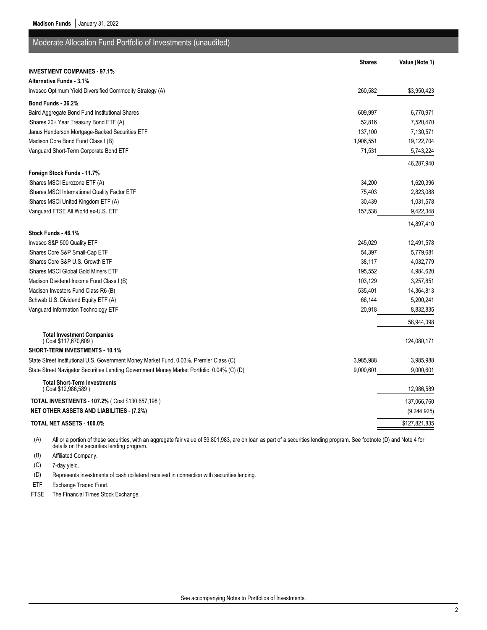**Madison Funds** | January 31, 2022

| Moderate Allocation Fund Portfolio of Investments (unaudited)                              |               |                |
|--------------------------------------------------------------------------------------------|---------------|----------------|
|                                                                                            | <b>Shares</b> | Value (Note 1) |
| <b>INVESTMENT COMPANIES - 97.1%</b>                                                        |               |                |
| <b>Alternative Funds - 3.1%</b>                                                            |               |                |
| Invesco Optimum Yield Diversified Commodity Strategy (A)                                   | 260,582       | \$3,950,423    |
| Bond Funds - 36.2%                                                                         |               |                |
| Baird Aggregate Bond Fund Institutional Shares                                             | 609,997       | 6,770,971      |
| iShares 20+ Year Treasury Bond ETF (A)                                                     | 52,816        | 7,520,470      |
| Janus Henderson Mortgage-Backed Securities ETF                                             | 137,100       | 7,130,571      |
| Madison Core Bond Fund Class I (B)                                                         | 1,906,551     | 19,122,704     |
| Vanguard Short-Term Corporate Bond ETF                                                     | 71,531        | 5,743,224      |
|                                                                                            |               | 46,287,940     |
| Foreign Stock Funds - 11.7%                                                                |               |                |
| iShares MSCI Eurozone ETF (A)                                                              | 34,200        | 1,620,396      |
| iShares MSCI International Quality Factor ETF                                              | 75,403        | 2,823,088      |
| iShares MSCI United Kingdom ETF (A)                                                        | 30,439        | 1,031,578      |
| Vanguard FTSE All World ex-U.S. ETF                                                        | 157,538       | 9,422,348      |
|                                                                                            |               | 14,897,410     |
| Stock Funds - 46.1%                                                                        |               |                |
| Invesco S&P 500 Quality ETF                                                                | 245,029       | 12,491,578     |
| iShares Core S&P Small-Cap ETF                                                             | 54,397        | 5,779,681      |
| iShares Core S&P U.S. Growth ETF                                                           | 38,117        | 4,032,779      |
| iShares MSCI Global Gold Miners ETF                                                        | 195,552       | 4,984,620      |
| Madison Dividend Income Fund Class I (B)                                                   | 103,129       | 3,257,851      |
| Madison Investors Fund Class R6 (B)                                                        | 535,401       | 14,364,813     |
| Schwab U.S. Dividend Equity ETF (A)                                                        | 66,144        | 5,200,241      |
| Vanguard Information Technology ETF                                                        | 20,918        | 8,832,835      |
|                                                                                            |               | 58,944,398     |
| <b>Total Investment Companies</b><br>(Cost \$117,670,609)                                  |               | 124,080,171    |
| <b>SHORT-TERM INVESTMENTS - 10.1%</b>                                                      |               |                |
| State Street Institutional U.S. Government Money Market Fund, 0.03%, Premier Class (C)     | 3,985,988     | 3,985,988      |
| State Street Navigator Securities Lending Government Money Market Portfolio, 0.04% (C) (D) | 9,000,601     | 9,000,601      |
|                                                                                            |               |                |
| <b>Total Short-Term Investments</b><br>(Cost \$12,986,589)                                 |               | 12,986,589     |
| TOTAL INVESTMENTS - 107.2% ( Cost \$130,657,198)                                           |               | 137,066,760    |
| <b>NET OTHER ASSETS AND LIABILITIES - (7.2%)</b>                                           |               | (9,244,925)    |
| TOTAL NET ASSETS - 100.0%                                                                  |               | \$127,821,835  |

(A) All or a portion of these securities, with an aggregate fair value of \$9,801,983, are on loan as part of a securities lending program. See footnote (D) and Note 4 for details on the securities lending program.

(B) Affiliated Company.

(C) 7-day yield.

(D) Represents investments of cash collateral received in connection with securities lending.

ETF Exchange Traded Fund.

FTSE The Financial Times Stock Exchange.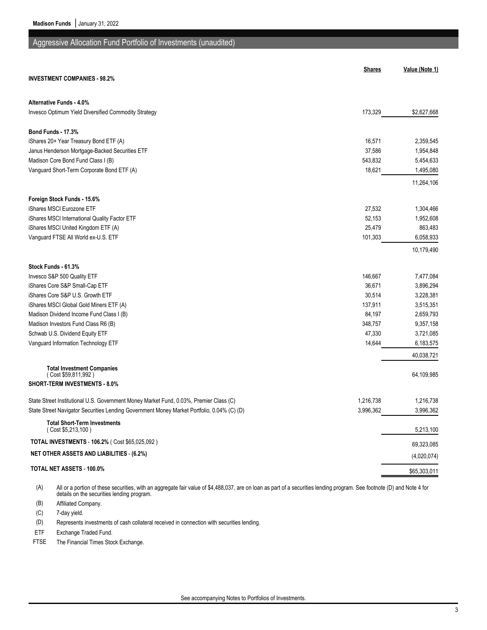## Aggressive Allocation Fund Portfolio of Investments (unaudited)

|                                                                                            | <b>Shares</b> | Value (Note 1)          |
|--------------------------------------------------------------------------------------------|---------------|-------------------------|
| <b>INVESTMENT COMPANIES - 98.2%</b>                                                        |               |                         |
| Alternative Funds - 4.0%                                                                   |               |                         |
| Invesco Optimum Yield Diversified Commodity Strategy                                       | 173,329       | \$2,627,668             |
| Bond Funds - 17.3%                                                                         |               |                         |
| iShares 20+ Year Treasury Bond ETF (A)                                                     | 16,571        | 2,359,545               |
| Janus Henderson Mortgage-Backed Securities ETF                                             | 37,586        | 1,954,848               |
| Madison Core Bond Fund Class I (B)                                                         | 543,832       | 5,454,633               |
| Vanguard Short-Term Corporate Bond ETF (A)                                                 | 18,621        | 1,495,080               |
|                                                                                            |               | 11,264,106              |
| Foreign Stock Funds - 15.6%                                                                |               |                         |
| iShares MSCI Eurozone ETF                                                                  | 27,532        | 1,304,466               |
| iShares MSCI International Quality Factor ETF                                              | 52,153        | 1,952,608               |
| iShares MSCI United Kingdom ETF (A)                                                        | 25,479        | 863,483                 |
| Vanguard FTSE All World ex-U.S. ETF                                                        | 101,303       | 6,058,933               |
|                                                                                            |               | 10,179,490              |
| Stock Funds 61.3%                                                                          |               |                         |
| Invesco S&P 500 Quality ETF                                                                | 146,667       | 7,477,084               |
| iShares Core S&P Small-Cap ETF                                                             | 36,671        | 3,896,294               |
| iShares Core S&P U.S. Growth ETF                                                           | 30,514        | 3,228,381               |
| iShares MSCI Global Gold Miners ETF (A)                                                    | 137,911       | 3,515,351               |
| Madison Dividend Income Fund Class I (B)                                                   | 84,197        | 2,659,793               |
| Madison Investors Fund Class R6 (B)                                                        | 348,757       | 9,357,158               |
| Schwab U.S. Dividend Equity ETF                                                            | 47,330        | 3,721,085               |
| Vanguard Information Technology ETF                                                        | 14,644        | 6,183,575<br>40,038,721 |
| <b>Total Investment Companies</b>                                                          |               |                         |
| (Cost \$59,811,992)                                                                        |               | 64,109,985              |
| <b>SHORT-TERM INVESTMENTS - 8.0%</b>                                                       |               |                         |
| State Street Institutional U.S. Government Money Market Fund, 0.03%, Premier Class (C)     | 1,216,738     | 1,216,738               |
| State Street Navigator Securities Lending Government Money Market Portfolio, 0.04% (C) (D) | 3,996,362     | 3,996,362               |
| <b>Total Short-Term Investments</b><br>(Cost \$5,213,100)                                  |               | 5,213,100               |
| <b>TOTAL INVESTMENTS - 106.2% (Cost \$65,025,092)</b>                                      |               | 69,323,085              |
| <b>NET OTHER ASSETS AND LIABILITIES - (6.2%)</b>                                           |               | (4,020,074)             |
| TOTAL NET ASSETS - 100.0%                                                                  |               | \$65,303,011            |

(A) All or a portion of these securities, with an aggregate fair value of \$4,488,037, are on loan as part of a securities lending program. See footnote (D) and Note 4 for details on the securities lending program.

(B) Affiliated Company.

(C) 7-day yield.

(D) Represents investments of cash collateral received in connection with securities lending.

ETF Exchange Traded Fund.

FTSE The Financial Times Stock Exchange.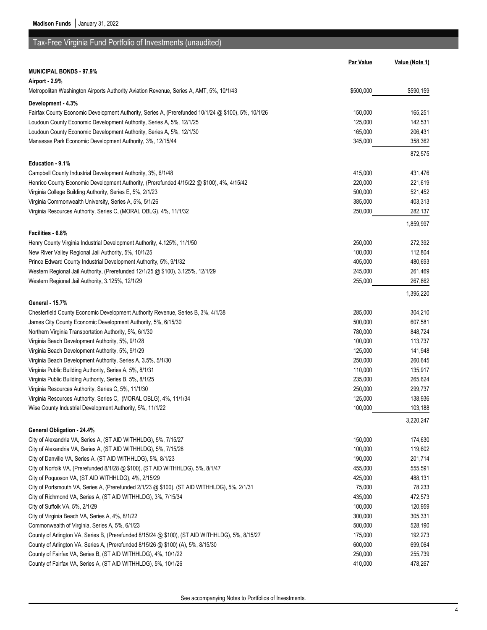# Tax-Free Virginia Fund Portfolio of Investments (unaudited)

|                                                                                                     | <b>Par Value</b> | Value (Note 1) |
|-----------------------------------------------------------------------------------------------------|------------------|----------------|
| <b>MUNICIPAL BONDS - 97.9%</b>                                                                      |                  |                |
| Airport - 2.9%                                                                                      |                  |                |
| Metropolitan Washington Airports Authority Aviation Revenue, Series A, AMT, 5%, 10/1/43             | \$500,000        | \$590,159      |
| Development - 4.3%                                                                                  |                  |                |
| Fairfax County Economic Development Authority, Series A, (Prerefunded 10/1/24 @ \$100), 5%, 10/1/26 | 150,000          | 165,251        |
| Loudoun County Economic Development Authority, Series A, 5%, 12/1/25                                | 125,000          | 142,531        |
| Loudoun County Economic Development Authority, Series A, 5%, 12/1/30                                | 165,000          | 206,431        |
| Manassas Park Economic Development Authority, 3%, 12/15/44                                          | 345,000          | 358,362        |
|                                                                                                     |                  |                |
|                                                                                                     |                  | 872,575        |
| Education - 9.1%                                                                                    |                  |                |
| Campbell County Industrial Development Authority, 3%, 6/1/48                                        | 415,000          | 431,476        |
| Henrico County Economic Development Authority, (Prerefunded 4/15/22 @ \$100), 4%, 4/15/42           | 220,000          | 221,619        |
| Virginia College Building Authority, Series E, 5%, 2/1/23                                           | 500,000          | 521,452        |
| Virginia Commonwealth University, Series A, 5%, 5/1/26                                              | 385,000          | 403,313        |
| Virginia Resources Authority, Series C, (MORAL OBLG), 4%, 11/1/32                                   | 250,000          | 282,137        |
|                                                                                                     |                  | 1,859,997      |
| Facilities - 6.8%                                                                                   |                  |                |
| Henry County Virginia Industrial Development Authority, 4.125%, 11/1/50                             | 250,000          | 272,392        |
| New River Valley Regional Jail Authority, 5%, 10/1/25                                               | 100,000          | 112,804        |
| Prince Edward County Industrial Development Authority, 5%, 9/1/32                                   | 405,000          | 480,693        |
| Western Regional Jail Authority, (Prerefunded 12/1/25 @ \$100), 3.125%, 12/1/29                     | 245,000          | 261,469        |
| Western Regional Jail Authority, 3.125%, 12/1/29                                                    | 255,000          | 267,862        |
|                                                                                                     |                  | 1,395,220      |
| General - 15.7%                                                                                     |                  |                |
| Chesterfield County Economic Development Authority Revenue, Series B, 3%, 4/1/38                    | 285,000          | 304,210        |
| James City County Economic Development Authority, 5%, 6/15/30                                       | 500,000          | 607,581        |
| Northern Virginia Transportation Authority, 5%, 6/1/30                                              | 780,000          | 848,724        |
| Virginia Beach Development Authority, 5%, 9/1/28                                                    | 100,000          | 113,737        |
| Virginia Beach Development Authority, 5%, 9/1/29                                                    | 125,000          | 141,948        |
| Virginia Beach Development Authority, Series A, 3.5%, 5/1/30                                        | 250,000          | 260,645        |
| Virginia Public Building Authority, Series A, 5%, 8/1/31                                            | 110,000          | 135,917        |
| Virginia Public Building Authority, Series B, 5%, 8/1/25                                            | 235,000          | 265,624        |
| Virginia Resources Authority, Series C, 5%, 11/1/30                                                 | 250,000          | 299,737        |
| Virginia Resources Authority, Series C, (MORAL OBLG), 4%, 11/1/34                                   | 125,000          | 138,936        |
| Wise County Industrial Development Authority, 5%, 11/1/22                                           | 100,000          | 103,188        |
|                                                                                                     |                  | 3,220,247      |
| General Obligation - 24.4%                                                                          |                  |                |
| City of Alexandria VA, Series A, (ST AID WITHHLDG), 5%, 7/15/27                                     | 150,000          | 174,630        |
| City of Alexandria VA, Series A, (ST AID WITHHLDG), 5%, 7/15/28                                     | 100,000          | 119,602        |
| City of Danville VA, Series A, (ST AID WITHHLDG), 5%, 8/1/23                                        | 190,000          | 201,714        |
| City of Norfolk VA, (Prerefunded 8/1/28 @ \$100), (ST AID WITHHLDG), 5%, 8/1/47                     | 455,000          | 555,591        |
| City of Poquoson VA, (ST AID WITHHLDG), 4%, 2/15/29                                                 | 425,000          | 488,131        |
| City of Portsmouth VA, Series A, (Prerefunded 2/1/23 @ \$100), (ST AID WITHHLDG), 5%, 2/1/31        | 75,000           | 78,233         |
| City of Richmond VA, Series A, (ST AID WITHHLDG), 3%, 7/15/34                                       | 435,000          | 472,573        |
| City of Suffolk VA, 5%, 2/1/29                                                                      | 100,000          | 120,959        |
| City of Virginia Beach VA, Series A, 4%, 8/1/22                                                     | 300,000          | 305,331        |
| Commonwealth of Virginia, Series A, 5%, 6/1/23                                                      | 500,000          | 528,190        |
| County of Arlington VA, Series B, (Prerefunded 8/15/24 @ \$100), (ST AID WITHHLDG), 5%, 8/15/27     | 175,000          | 192,273        |
| County of Arlington VA, Series A, (Prerefunded 8/15/26 @ \$100) (A), 5%, 8/15/30                    | 600,000          | 699,064        |
| County of Fairfax VA, Series B, (ST AID WITHHLDG), 4%, 10/1/22                                      | 250,000          | 255,739        |
| County of Fairfax VA, Series A, (ST AID WITHHLDG), 5%, 10/1/26                                      | 410,000          | 478,267        |
|                                                                                                     |                  |                |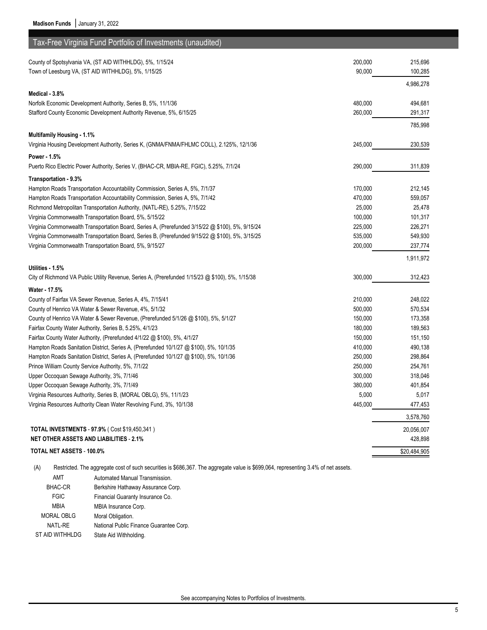| Tax-Free Virginia Fund Portfolio of Investments (unaudited)                                                                                    |                    |                    |
|------------------------------------------------------------------------------------------------------------------------------------------------|--------------------|--------------------|
| County of Spotsylvania VA, (ST AID WITHHLDG), 5%, 1/15/24                                                                                      | 200,000            | 215,696            |
| Town of Leesburg VA, (ST AID WITHHLDG), 5%, 1/15/25                                                                                            | 90,000             | 100,285            |
|                                                                                                                                                |                    | 4,986,278          |
| Medical - 3.8%                                                                                                                                 |                    |                    |
| Norfolk Economic Development Authority, Series B, 5%, 11/1/36                                                                                  | 480,000            | 494,681            |
| Stafford County Economic Development Authority Revenue, 5%, 6/15/25                                                                            | 260,000            | 291,317            |
|                                                                                                                                                |                    | 785,998            |
| <b>Multifamily Housing - 1.1%</b>                                                                                                              |                    |                    |
| Virginia Housing Development Authority, Series K, (GNMA/FNMA/FHLMC COLL), 2.125%, 12/1/36                                                      | 245,000            | 230,539            |
| Power - 1.5%                                                                                                                                   |                    |                    |
| Puerto Rico Electric Power Authority, Series V, (BHAC-CR, MBIA-RE, FGIC), 5.25%, 7/1/24                                                        | 290,000            | 311,839            |
| Transportation - 9.3%                                                                                                                          |                    |                    |
| Hampton Roads Transportation Accountability Commission, Series A, 5%, 7/1/37                                                                   | 170,000            | 212,145            |
| Hampton Roads Transportation Accountability Commission, Series A, 5%, 7/1/42                                                                   | 470,000            | 559,057            |
| Richmond Metropolitan Transportation Authority, (NATL-RE), 5.25%, 7/15/22                                                                      | 25,000             | 25,478             |
| Virginia Commonwealth Transportation Board, 5%, 5/15/22                                                                                        | 100,000            | 101,317            |
| Virginia Commonwealth Transportation Board, Series A, (Prerefunded 3/15/22 @ \$100), 5%, 9/15/24                                               | 225,000            | 226,271            |
| Virginia Commonwealth Transportation Board, Series B, (Prerefunded 9/15/22 @ \$100), 5%, 3/15/25                                               | 535,000            | 549,930            |
| Virginia Commonwealth Transportation Board, 5%, 9/15/27                                                                                        | 200,000            | 237,774            |
|                                                                                                                                                |                    | 1,911,972          |
| Utilities - 1.5%                                                                                                                               |                    |                    |
| City of Richmond VA Public Utility Revenue, Series A, (Prerefunded 1/15/23 @ \$100), 5%, 1/15/38                                               | 300,000            | 312,423            |
| Water - 17.5%                                                                                                                                  |                    |                    |
| County of Fairfax VA Sewer Revenue, Series A, 4%, 7/15/41                                                                                      | 210,000            | 248,022            |
| County of Henrico VA Water & Sewer Revenue, 4%, 5/1/32                                                                                         | 500,000            | 570,534            |
| County of Henrico VA Water & Sewer Revenue, (Prerefunded 5/1/26 @ \$100), 5%, 5/1/27                                                           | 150,000            | 173,358            |
| Fairfax County Water Authority, Series B, 5.25%, 4/1/23                                                                                        | 180,000            | 189,563            |
| Fairfax County Water Authority, (Prerefunded 4/1/22 @ \$100), 5%, 4/1/27                                                                       | 150,000            | 151,150            |
| Hampton Roads Sanitation District, Series A, (Prerefunded 10/1/27 @ \$100), 5%, 10/1/35                                                        | 410,000<br>250,000 | 490,138            |
| Hampton Roads Sanitation District, Series A, (Prerefunded 10/1/27 @ \$100), 5%, 10/1/36<br>Prince William County Service Authority, 5%, 7/1/22 | 250,000            | 298,864<br>254,761 |
| Upper Occoquan Sewage Authority, 3%, 7/1/46                                                                                                    | 300,000            | 318,046            |
| Upper Occoquan Sewage Authority, 3%, 7/1/49                                                                                                    | 380,000            | 401,854            |
| Virginia Resources Authority, Series B, (MORAL OBLG), 5%, 11/1/23                                                                              | 5,000              | 5,017              |
| Virginia Resources Authority Clean Water Revolving Fund, 3%, 10/1/38                                                                           | 445,000            | 477,453            |
|                                                                                                                                                |                    | 3,578,760          |
| TOTAL INVESTMENTS - 97.9% (Cost \$19,450,341)                                                                                                  |                    | 20,056,007         |
| <b>NET OTHER ASSETS AND LIABILITIES - 2.1%</b>                                                                                                 |                    | 428,898            |
| TOTAL NET ASSETS - 100.0%                                                                                                                      |                    | \$20,484,905       |
|                                                                                                                                                |                    |                    |

(A) Restricted. The aggregate cost of such securities is \$686,367. The aggregate value is \$699,064, representing 3.4% of net assets.

AMT Automated Manual Transmission. BHAC-CR Berkshire Hathaway Assurance Corp. FGIC Financial Guaranty Insurance Co. MBIA MBIA Insurance Corp. MORAL OBLG Moral Obligation. NATL-RE National Public Finance Guarantee Corp. ST AID WITHHLDG State Aid Withholding.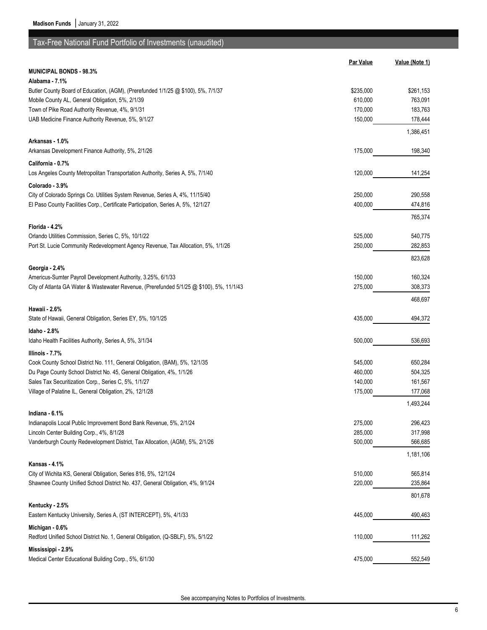# Tax-Free National Fund Portfolio of Investments (unaudited)

|                                                                                          | <b>Par Value</b>   | Value (Note 1) |
|------------------------------------------------------------------------------------------|--------------------|----------------|
| MUNICIPAL BONDS - 98.3%                                                                  |                    |                |
| Alabama - 7.1%                                                                           |                    |                |
| Butler County Board of Education, (AGM), (Prerefunded 1/1/25 @ \$100), 5%, 7/1/37        | \$235,000          | \$261,153      |
| Mobile County AL, General Obligation, 5%, 2/1/39                                         | 610,000            | 763,091        |
| Town of Pike Road Authority Revenue, 4%, 9/1/31                                          | 170,000            | 183,763        |
| UAB Medicine Finance Authority Revenue, 5%, 9/1/27                                       | 150,000            | 178,444        |
|                                                                                          |                    | 1,386,451      |
| Arkansas - 1.0%                                                                          |                    |                |
| Arkansas Development Finance Authority, 5%, 2/1/26                                       | 175,000            | 198,340        |
| California - 0.7%                                                                        |                    |                |
| Los Angeles County Metropolitan Transportation Authority, Series A, 5%, 7/1/40           | 120,000            | 141,254        |
|                                                                                          |                    |                |
| Colorado - 3.9%                                                                          |                    |                |
| City of Colorado Springs Co. Utilities System Revenue, Series A, 4%, 11/15/40            | 250,000<br>400,000 | 290,558        |
| El Paso County Facilities Corp., Certificate Participation, Series A, 5%, 12/1/27        |                    | 474,816        |
|                                                                                          |                    | 765,374        |
| Florida - 4.2%                                                                           |                    |                |
| Orlando Utilities Commission, Series C, 5%, 10/1/22                                      | 525,000            | 540,775        |
| Port St. Lucie Community Redevelopment Agency Revenue, Tax Allocation, 5%, 1/1/26        | 250,000            | 282,853        |
|                                                                                          |                    | 823,628        |
| Georgia - 2.4%                                                                           |                    |                |
| Americus-Sumter Payroll Development Authority, 3.25%, 6/1/33                             | 150,000            | 160,324        |
| City of Atlanta GA Water & Wastewater Revenue, (Prerefunded 5/1/25 @ \$100), 5%, 11/1/43 | 275,000            | 308,373        |
|                                                                                          |                    | 468,697        |
| Hawaii - 2.6%                                                                            |                    |                |
| State of Hawaii, General Obligation, Series EY, 5%, 10/1/25                              | 435,000            | 494,372        |
| Idaho - 2.8%                                                                             |                    |                |
| Idaho Health Facilities Authority, Series A, 5%, 3/1/34                                  | 500,000            | 536,693        |
| Illinois - 7.7%                                                                          |                    |                |
| Cook County School District No. 111, General Obligation, (BAM), 5%, 12/1/35              | 545,000            | 650,284        |
| Du Page County School District No. 45, General Obligation, 4%, 1/1/26                    | 460,000            | 504,325        |
| Sales Tax Securitization Corp., Series C, 5%, 1/1/27                                     | 140,000            | 161,567        |
| Village of Palatine IL, General Obligation, 2%, 12/1/28                                  | 175,000            | 177,068        |
|                                                                                          |                    | 1,493,244      |
| Indiana - 6.1%                                                                           |                    |                |
| Indianapolis Local Public Improvement Bond Bank Revenue, 5%, 2/1/24                      | 275,000            | 296,423        |
| Lincoln Center Building Corp., 4%, 8/1/28                                                | 285,000            | 317,998        |
| Vanderburgh County Redevelopment District, Tax Allocation, (AGM), 5%, 2/1/26             | 500,000            | 566,685        |
|                                                                                          |                    | 1,181,106      |
| Kansas 4.1%                                                                              |                    |                |
| City of Wichita KS, General Obligation, Series 816, 5%, 12/1/24                          | 510,000            | 565,814        |
| Shawnee County Unified School District No. 437, General Obligation, 4%, 9/1/24           | 220,000            | 235,864        |
|                                                                                          |                    |                |
| Kentucky - 2.5%                                                                          |                    | 801,678        |
|                                                                                          |                    |                |
| Eastern Kentucky University, Series A, (ST INTERCEPT), 5%, 4/1/33                        | 445,000            | 490,463        |
| Michigan - 0.6%                                                                          |                    |                |
| Redford Unified School District No. 1, General Obligation, (Q-SBLF), 5%, 5/1/22          | 110,000            | 111,262        |
| Mississippi - 2.9%                                                                       |                    |                |
| Medical Center Educational Building Corp., 5%, 6/1/30                                    | 475,000            | 552,549        |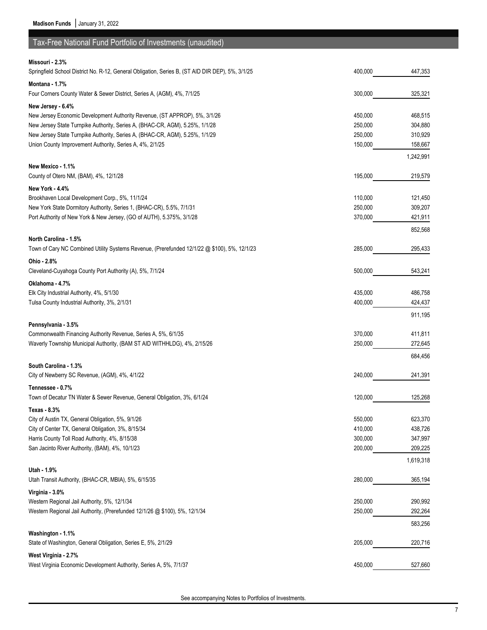| Tax-Free National Fund Portfolio of Investments (unaudited)                                                         |         |           |
|---------------------------------------------------------------------------------------------------------------------|---------|-----------|
|                                                                                                                     |         |           |
| Missouri - 2.3%<br>Springfield School District No. R-12, General Obligation, Series B, (ST AID DIR DEP), 5%, 3/1/25 | 400,000 | 447,353   |
| Montana - 1.7%                                                                                                      |         |           |
| Four Corners County Water & Sewer District, Series A, (AGM), 4%, 7/1/25                                             | 300,000 | 325,321   |
|                                                                                                                     |         |           |
| New Jersey - 6.4%<br>New Jersey Economic Development Authority Revenue, (ST APPROP), 5%, 3/1/26                     | 450,000 | 468,515   |
| New Jersey State Turnpike Authority, Series A, (BHAC-CR, AGM), 5.25%, 1/1/28                                        | 250,000 | 304,880   |
| New Jersey State Turnpike Authority, Series A, (BHAC-CR, AGM), 5.25%, 1/1/29                                        | 250,000 | 310,929   |
| Union County Improvement Authority, Series A, 4%, 2/1/25                                                            | 150,000 | 158,667   |
|                                                                                                                     |         | 1,242,991 |
| New Mexico - 1.1%                                                                                                   |         |           |
| County of Otero NM, (BAM), 4%, 12/1/28                                                                              | 195,000 | 219,579   |
| <b>New York - 4.4%</b>                                                                                              |         |           |
| Brookhaven Local Development Corp., 5%, 11/1/24                                                                     | 110,000 | 121,450   |
| New York State Dormitory Authority, Series 1, (BHAC-CR), 5.5%, 7/1/31                                               | 250,000 | 309,207   |
| Port Authority of New York & New Jersey, (GO of AUTH), 5.375%, 3/1/28                                               | 370,000 | 421,911   |
|                                                                                                                     |         | 852,568   |
| North Carolina - 1.5%                                                                                               |         |           |
| Town of Cary NC Combined Utility Systems Revenue, (Prerefunded 12/1/22 @ \$100), 5%, 12/1/23                        | 285,000 | 295,433   |
| Ohio - 2.8%                                                                                                         |         |           |
| Cleveland-Cuyahoga County Port Authority (A), 5%, 7/1/24                                                            | 500,000 | 543,241   |
| Oklahoma - 4.7%                                                                                                     |         |           |
| Elk City Industrial Authority, 4%, 5/1/30                                                                           | 435,000 | 486,758   |
| Tulsa County Industrial Authority, 3%, 2/1/31                                                                       | 400,000 | 424,437   |
|                                                                                                                     |         | 911,195   |
| Pennsylvania - 3.5%                                                                                                 |         |           |
| Commonwealth Financing Authority Revenue, Series A, 5%, 6/1/35                                                      | 370,000 | 411,811   |
| Waverly Township Municipal Authority, (BAM ST AID WITHHLDG), 4%, 2/15/26                                            | 250,000 | 272,645   |
|                                                                                                                     |         | 684,456   |
| South Carolina - 1.3%                                                                                               |         |           |
| City of Newberry SC Revenue, (AGM), 4%, 4/1/22                                                                      | 240.000 | 241,391   |
| Tennessee - 0.7%                                                                                                    |         |           |
| Town of Decatur TN Water & Sewer Revenue, General Obligation, 3%, 6/1/24                                            | 120,000 | 125,268   |
| Texas - 8.3%                                                                                                        |         |           |
| City of Austin TX, General Obligation, 5%, 9/1/26                                                                   | 550,000 | 623,370   |
| City of Center TX, General Obligation, 3%, 8/15/34                                                                  | 410,000 | 438,726   |
| Harris County Toll Road Authority, 4%, 8/15/38                                                                      | 300,000 | 347,997   |
| San Jacinto River Authority, (BAM), 4%, 10/1/23                                                                     | 200,000 | 209,225   |
|                                                                                                                     |         | 1,619,318 |
| Utah - 1.9%                                                                                                         |         |           |
| Utah Transit Authority, (BHAC-CR, MBIA), 5%, 6/15/35                                                                | 280,000 | 365,194   |
| Virginia 3.0%                                                                                                       |         |           |
| Western Regional Jail Authority, 5%, 12/1/34                                                                        | 250,000 | 290,992   |
| Western Regional Jail Authority, (Prerefunded 12/1/26 @ \$100), 5%, 12/1/34                                         | 250,000 | 292,264   |
|                                                                                                                     |         | 583,256   |
| Washington - 1.1%                                                                                                   | 205,000 |           |
| State of Washington, General Obligation, Series E, 5%, 2/1/29                                                       |         | 220,716   |
| West Virginia - 2.7%                                                                                                |         |           |
| West Virginia Economic Development Authority, Series A, 5%, 7/1/37                                                  | 450,000 | 527,660   |

See accompanying Notes to Portfolios of Investments.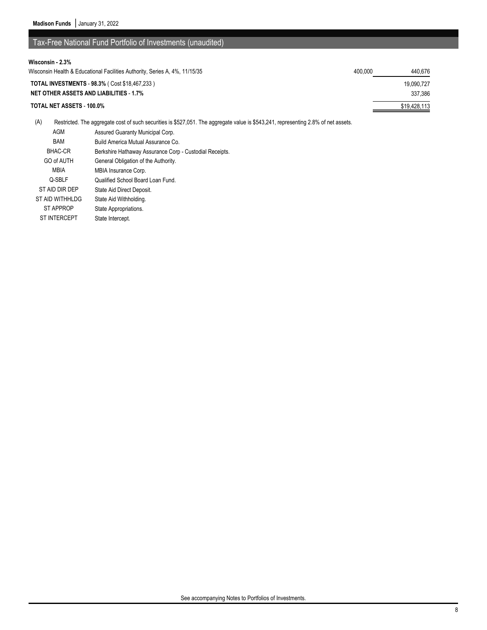## Tax-Free National Fund Portfolio of Investments (unaudited)

| Wisconsin - 2.3%                                                            |         |              |
|-----------------------------------------------------------------------------|---------|--------------|
| Wisconsin Health & Educational Facilities Authority, Series A, 4%, 11/15/35 | 400.000 | 440.676      |
| <b>TOTAL INVESTMENTS - 98.3% (Cost \$18.467.233)</b>                        |         | 19.090.727   |
| <b>NET OTHER ASSETS AND LIABILITIES - 1.7%</b>                              |         | 337.386      |
| TOTAL NET ASSETS - 100.0%                                                   |         | \$19,428,113 |

(A) Restricted. The aggregate cost of such securities is \$527,051. The aggregate value is \$543,241, representing 2.8% of net assets.

| AGM                 | Assured Guaranty Municipal Corp.                        |
|---------------------|---------------------------------------------------------|
| <b>BAM</b>          | Build America Mutual Assurance Co.                      |
| <b>BHAC-CR</b>      | Berkshire Hathaway Assurance Corp - Custodial Receipts. |
| GO of AUTH          | General Obligation of the Authority.                    |
| <b>MBIA</b>         | MBIA Insurance Corp.                                    |
| Q-SBLF              | Qualified School Board Loan Fund.                       |
| ST AID DIR DEP      | State Aid Direct Deposit.                               |
| ST AID WITHHLDG     | State Aid Withholding.                                  |
| <b>ST APPROP</b>    | State Appropriations.                                   |
| <b>ST INTERCEPT</b> | State Intercept.                                        |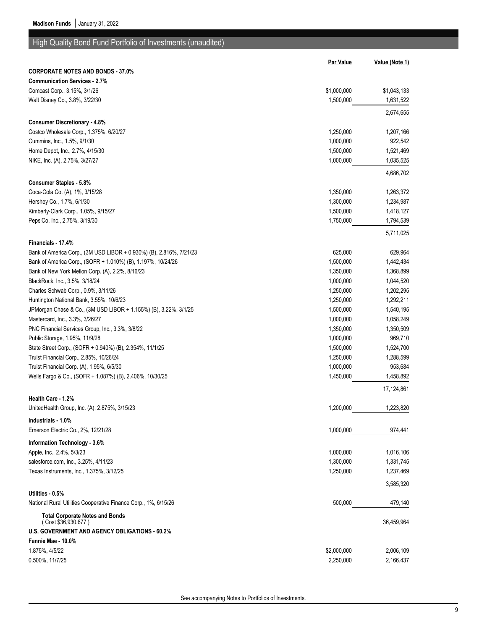# High Quality Bond Fund Portfolio of Investments (unaudited)

|                                                                     | <b>Par Value</b> | Value (Note 1) |
|---------------------------------------------------------------------|------------------|----------------|
| <b>CORPORATE NOTES AND BONDS - 37.0%</b>                            |                  |                |
| <b>Communication Services - 2.7%</b>                                |                  |                |
| Comcast Corp., 3.15%, 3/1/26                                        | \$1,000,000      | \$1,043,133    |
| Walt Disney Co., 3.8%, 3/22/30                                      | 1,500,000        | 1,631,522      |
|                                                                     |                  | 2,674,655      |
| <b>Consumer Discretionary - 4.8%</b>                                |                  |                |
| Costco Wholesale Corp., 1.375%, 6/20/27                             | 1,250,000        | 1,207,166      |
| Cummins, Inc., 1.5%, 9/1/30                                         | 1,000,000        | 922,542        |
| Home Depot, Inc., 2.7%, 4/15/30                                     | 1,500,000        | 1,521,469      |
| NIKE, Inc. (A), 2.75%, 3/27/27                                      | 1,000,000        | 1,035,525      |
|                                                                     |                  |                |
|                                                                     |                  | 4,686,702      |
| <b>Consumer Staples - 5.8%</b><br>Coca-Cola Co. (A), 1%, 3/15/28    | 1,350,000        | 1,263,372      |
|                                                                     |                  |                |
| Hershey Co., 1.7%, 6/1/30                                           | 1,300,000        | 1,234,987      |
| Kimberly-Clark Corp., 1.05%, 9/15/27                                | 1,500,000        | 1,418,127      |
| PepsiCo, Inc., 2.75%, 3/19/30                                       | 1,750,000        | 1,794,539      |
|                                                                     |                  | 5,711,025      |
| Financials - 17.4%                                                  |                  |                |
| Bank of America Corp., (3M USD LIBOR + 0.930%) (B), 2.816%, 7/21/23 | 625,000          | 629,964        |
| Bank of America Corp., (SOFR + 1.010%) (B), 1.197%, 10/24/26        | 1,500,000        | 1,442,434      |
| Bank of New York Mellon Corp. (A), 2.2%, 8/16/23                    | 1,350,000        | 1,368,899      |
| BlackRock, Inc., 3.5%, 3/18/24                                      | 1,000,000        | 1,044,520      |
| Charles Schwab Corp., 0.9%, 3/11/26                                 | 1,250,000        | 1,202,295      |
| Huntington National Bank, 3.55%, 10/6/23                            | 1,250,000        | 1,292,211      |
| JPMorgan Chase & Co., (3M USD LIBOR + 1.155%) (B), 3.22%, 3/1/25    | 1,500,000        | 1,540,195      |
| Mastercard, Inc., 3.3%, 3/26/27                                     | 1,000,000        | 1,058,249      |
| PNC Financial Services Group, Inc., 3.3%, 3/8/22                    | 1,350,000        | 1,350,509      |
| Public Storage, 1.95%, 11/9/28                                      | 1,000,000        | 969,710        |
| State Street Corp., (SOFR + 0.940%) (B), 2.354%, 11/1/25            | 1,500,000        | 1,524,700      |
| Truist Financial Corp., 2.85%, 10/26/24                             | 1,250,000        | 1,288,599      |
| Truist Financial Corp. (A), 1.95%, 6/5/30                           | 1,000,000        | 953,684        |
| Wells Fargo & Co., (SOFR + 1.087%) (B), 2.406%, 10/30/25            | 1,450,000        | 1,458,892      |
|                                                                     |                  | 17,124,861     |
| Health Care - 1.2%                                                  |                  |                |
| UnitedHealth Group, Inc. (A), 2.875%, 3/15/23                       | 1,200,000        | 1,223,820      |
| Industrials - 1.0%                                                  |                  |                |
| Emerson Electric Co., 2%, 12/21/28                                  | 1,000,000        | 974,441        |
| Information Technology - 3.6%                                       |                  |                |
| Apple, Inc., 2.4%, 5/3/23                                           | 1,000,000        | 1,016,106      |
| salesforce.com, Inc., 3.25%, 4/11/23                                | 1,300,000        | 1,331,745      |
| Texas Instruments, Inc., 1.375%, 3/12/25                            | 1,250,000        | 1,237,469      |
|                                                                     |                  | 3,585,320      |
| Utilities - 0.5%                                                    |                  |                |
| National Rural Utilities Cooperative Finance Corp., 1%, 6/15/26     | 500,000          | 479,140        |
| <b>Total Corporate Notes and Bonds</b><br>(Cost \$36,930,677)       |                  | 36,459,964     |
| <b>U.S. GOVERNMENT AND AGENCY OBLIGATIONS - 60.2%</b>               |                  |                |
| Fannie Mae - 10.0%                                                  |                  |                |
| 1.875%, 4/5/22                                                      | \$2,000,000      | 2,006,109      |
| 0.500%, 11/7/25                                                     | 2,250,000        | 2,166,437      |
|                                                                     |                  |                |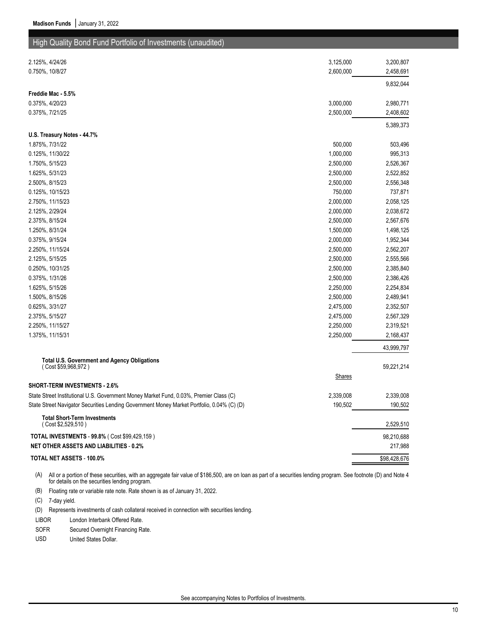## High Quality Bond Fund Portfolio of Investments (unaudited)

| 2.125%, 4/24/26                                                                            | 3,125,000     | 3,200,807    |
|--------------------------------------------------------------------------------------------|---------------|--------------|
| 0.750%, 10/8/27                                                                            | 2,600,000     | 2,458,691    |
|                                                                                            |               | 9,832,044    |
| Freddie Mac - 5.5%                                                                         |               |              |
| 0.375%, 4/20/23                                                                            | 3,000,000     | 2,980,771    |
| 0.375%, 7/21/25                                                                            | 2,500,000     | 2,408,602    |
|                                                                                            |               | 5,389,373    |
| U.S. Treasury Notes - 44.7%                                                                |               |              |
| 1.875%, 7/31/22                                                                            | 500,000       | 503,496      |
| 0.125%, 11/30/22                                                                           | 1,000,000     | 995,313      |
| 1.750%, 5/15/23                                                                            | 2,500,000     | 2,526,367    |
| 1.625%, 5/31/23                                                                            | 2,500,000     | 2,522,852    |
| 2.500%, 8/15/23                                                                            | 2,500,000     | 2,556,348    |
| 0.125%, 10/15/23                                                                           | 750,000       | 737,871      |
| 2.750%, 11/15/23                                                                           | 2,000,000     | 2,058,125    |
| 2.125%, 2/29/24                                                                            | 2,000,000     | 2,038,672    |
| 2.375%, 8/15/24                                                                            | 2,500,000     | 2,567,676    |
| 1.250%, 8/31/24                                                                            | 1,500,000     | 1,498,125    |
| 0.375%, 9/15/24                                                                            | 2,000,000     | 1,952,344    |
| 2.250%, 11/15/24                                                                           | 2,500,000     | 2,562,207    |
| 2.125%, 5/15/25                                                                            | 2,500,000     | 2,555,566    |
| 0.250%, 10/31/25                                                                           | 2,500,000     | 2,385,840    |
| 0.375%, 1/31/26                                                                            | 2,500,000     | 2,386,426    |
| 1.625%, 5/15/26                                                                            | 2,250,000     | 2,254,834    |
| 1.500%, 8/15/26                                                                            | 2,500,000     | 2,489,941    |
| 0.625%, 3/31/27                                                                            | 2,475,000     | 2,352,507    |
| 2.375%, 5/15/27                                                                            | 2,475,000     | 2,567,329    |
| 2.250%, 11/15/27                                                                           | 2,250,000     | 2,319,521    |
| 1.375%, 11/15/31                                                                           | 2,250,000     | 2,168,437    |
|                                                                                            |               | 43,999,797   |
| <b>Total U.S. Government and Agency Obligations</b>                                        |               |              |
| (Cost \$59,968,972)                                                                        |               | 59,221,214   |
|                                                                                            | <b>Shares</b> |              |
| <b>SHORT-TERM INVESTMENTS - 2.6%</b>                                                       |               |              |
| State Street Institutional U.S. Government Money Market Fund, 0.03%, Premier Class (C)     | 2,339,008     | 2,339,008    |
| State Street Navigator Securities Lending Government Money Market Portfolio, 0.04% (C) (D) | 190,502       | 190,502      |
| <b>Total Short-Term Investments</b><br>(Cost \$2,529,510)                                  |               | 2,529,510    |
| TOTAL INVESTMENTS - 99.8% (Cost \$99,429,159)                                              |               | 98,210,688   |
| <b>NET OTHER ASSETS AND LIABILITIES - 0.2%</b>                                             |               | 217,988      |
| TOTAL NET ASSETS - 100.0%                                                                  |               | \$98,428,676 |
|                                                                                            |               |              |

(A) All or a portion of these securities, with an aggregate fair value of \$186,500, are on loan as part of a securities lending program. See footnote (D) and Note 4 for details on the securities lending program.

(B) Floating rate or variable rate note. Rate shown is as of January 31, 2022.

(C) 7-day yield.

(D) Represents investments of cash collateral received in connection with securities lending.

LIBOR London Interbank Offered Rate.

SOFR Secured Overnight Financing Rate.

USD United States Dollar.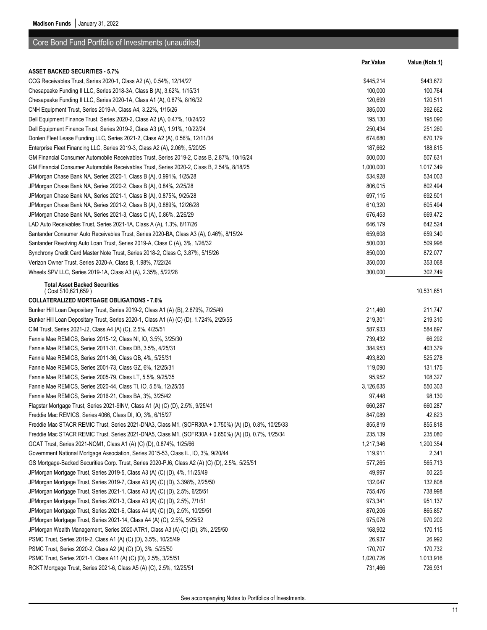|                                                                                                       | <b>Par Value</b> | Value (Note 1) |
|-------------------------------------------------------------------------------------------------------|------------------|----------------|
| <b>ASSET BACKED SECURITIES - 5.7%</b>                                                                 |                  |                |
| CCG Receivables Trust, Series 2020-1, Class A2 (A), 0.54%, 12/14/27                                   | \$445,214        | \$443,672      |
| Chesapeake Funding II LLC, Series 2018-3A, Class B (A), 3.62%, 1/15/31                                | 100,000          | 100,764        |
| Chesapeake Funding II LLC, Series 2020-1A, Class A1 (A), 0.87%, 8/16/32                               | 120,699          | 120,511        |
| CNH Equipment Trust, Series 2019-A, Class A4, 3.22%, 1/15/26                                          | 385,000          | 392,662        |
| Dell Equipment Finance Trust, Series 2020-2, Class A2 (A), 0.47%, 10/24/22                            | 195,130          | 195,090        |
| Dell Equipment Finance Trust, Series 2019-2, Class A3 (A), 1.91%, 10/22/24                            | 250,434          | 251,260        |
| Donlen Fleet Lease Funding LLC, Series 2021-2, Class A2 (A), 0.56%, 12/11/34                          | 674,680          | 670,179        |
| Enterprise Fleet Financing LLC, Series 2019-3, Class A2 (A), 2.06%, 5/20/25                           | 187,662          | 188,815        |
| GM Financial Consumer Automobile Receivables Trust, Series 2019-2, Class B, 2.87%, 10/16/24           | 500,000          | 507,631        |
| GM Financial Consumer Automobile Receivables Trust, Series 2020-2, Class B, 2.54%, 8/18/25            | 1,000,000        | 1,017,349      |
| JPMorgan Chase Bank NA, Series 2020-1, Class B (A), 0.991%, 1/25/28                                   | 534,928          | 534,003        |
| JPMorgan Chase Bank NA, Series 2020-2, Class B (A), 0.84%, 2/25/28                                    | 806,015          | 802,494        |
| JPMorgan Chase Bank NA, Series 2021-1, Class B (A), 0.875%, 9/25/28                                   | 697,115          | 692,501        |
| JPMorgan Chase Bank NA, Series 2021-2, Class B (A), 0.889%, 12/26/28                                  | 610,320          | 605,494        |
| JPMorgan Chase Bank NA, Series 2021-3, Class C (A), 0.86%, 2/26/29                                    | 676,453          | 669,472        |
| LAD Auto Receivables Trust, Series 2021-1A, Class A (A), 1.3%, 8/17/26                                | 646,179          | 642,524        |
| Santander Consumer Auto Receivables Trust, Series 2020-BA, Class A3 (A), 0.46%, 8/15/24               | 659,608          | 659,340        |
| Santander Revolving Auto Loan Trust, Series 2019-A, Class C (A), 3%, 1/26/32                          | 500,000          | 509,996        |
| Synchrony Credit Card Master Note Trust, Series 2018-2, Class C, 3.87%, 5/15/26                       | 850,000          | 872,077        |
| Verizon Owner Trust, Series 2020-A, Class B, 1.98%, 7/22/24                                           | 350,000          | 353,068        |
| Wheels SPV LLC, Series 2019-1A, Class A3 (A), 2.35%, 5/22/28                                          | 300,000          | 302,749        |
| <b>Total Asset Backed Securities</b><br>(Cost \$10,621,659)                                           |                  | 10,531,651     |
| <b>COLLATERALIZED MORTGAGE OBLIGATIONS - 7.6%</b>                                                     |                  |                |
| Bunker Hill Loan Depositary Trust, Series 2019-2, Class A1 (A) (B), 2.879%, 7/25/49                   | 211,460          | 211,747        |
| Bunker Hill Loan Depositary Trust, Series 2020-1, Class A1 (A) (C) (D), 1.724%, 2/25/55               | 219,301          | 219,310        |
| CIM Trust, Series 2021-J2, Class A4 (A) (C), 2.5%, 4/25/51                                            | 587,933          | 584,897        |
| Fannie Mae REMICS, Series 2015-12, Class NI, IO, 3.5%, 3/25/30                                        | 739,432          | 66,292         |
| Fannie Mae REMICS, Series 2011-31, Class DB, 3.5%, 4/25/31                                            | 384,953          | 403,379        |
| Fannie Mae REMICS, Series 2011-36, Class QB, 4%, 5/25/31                                              | 493,820          | 525,278        |
| Fannie Mae REMICS, Series 2001-73, Class GZ, 6%, 12/25/31                                             | 119,090          | 131,175        |
| Fannie Mae REMICS, Series 2005-79, Class LT, 5.5%, 9/25/35                                            | 95,952           | 108,327        |
| Fannie Mae REMICS, Series 2020-44, Class TI, IO, 5.5%, 12/25/35                                       | 3,126,635        | 550,303        |
| Fannie Mae REMICS, Series 2016-21, Class BA, 3%, 3/25/42                                              | 97,448           | 98,130         |
| Flagstar Mortgage Trust, Series 2021-9INV, Class A1 (A) (C) (D), 2.5%, 9/25/41                        | 660,287          | 660,287        |
| Freddie Mac REMICS, Series 4066, Class DI, IO, 3%, 6/15/27                                            | 847,089          | 42,823         |
| Freddie Mac STACR REMIC Trust, Series 2021-DNA3, Class M1, (SOFR30A + 0.750%) (A) (D), 0.8%, 10/25/33 | 855,819          | 855,818        |
| Freddie Mac STACR REMIC Trust, Series 2021-DNA5, Class M1, (SOFR30A + 0.650%) (A) (D), 0.7%, 1/25/34  | 235,139          | 235,080        |
| GCAT Trust, Series 2021-NQM1, Class A1 (A) (C) (D), 0.874%, 1/25/66                                   | 1,217,346        | 1,200,354      |
| Government National Mortgage Association, Series 2015-53, Class IL, IO, 3%, 9/20/44                   | 119,911          | 2,341          |
| GS Mortgage-Backed Securities Corp. Trust, Series 2020-PJ6, Class A2 (A) (C) (D), 2.5%, 5/25/51       | 577,265          | 565,713        |
| JPMorgan Mortgage Trust, Series 2019-5, Class A3 (A) (C) (D), 4%, 11/25/49                            | 49,997           | 50,225         |
| JPMorgan Mortgage Trust, Series 2019-7, Class A3 (A) (C) (D), 3.398%, 2/25/50                         | 132,047          | 132,808        |
| JPMorgan Mortgage Trust, Series 2021-1, Class A3 (A) (C) (D), 2.5%, 6/25/51                           | 755,476          | 738,998        |
| JPMorgan Mortgage Trust, Series 2021-3, Class A3 (A) (C) (D), 2.5%, 7/1/51                            | 973,341          | 951,137        |
| JPMorgan Mortgage Trust, Series 2021-6, Class A4 (A) (C) (D), 2.5%, 10/25/51                          | 870,206          | 865,857        |
| JPMorgan Mortgage Trust, Series 2021-14, Class A4 (A) (C), 2.5%, 5/25/52                              | 975,076          | 970,202        |
| JPMorgan Wealth Management, Series 2020-ATR1, Class A3 (A) (C) (D), 3%, 2/25/50                       | 168,902          | 170,115        |
| PSMC Trust, Series 2019-2, Class A1 (A) (C) (D), 3.5%, 10/25/49                                       | 26,937           | 26,992         |
| PSMC Trust, Series 2020-2, Class A2 (A) (C) (D), 3%, 5/25/50                                          | 170,707          | 170,732        |
| PSMC Trust, Series 2021-1, Class A11 (A) (C) (D), 2.5%, 3/25/51                                       | 1,020,726        | 1,013,916      |
| RCKT Mortgage Trust, Series 2021-6, Class A5 (A) (C), 2.5%, 12/25/51                                  | 731,466          | 726,931        |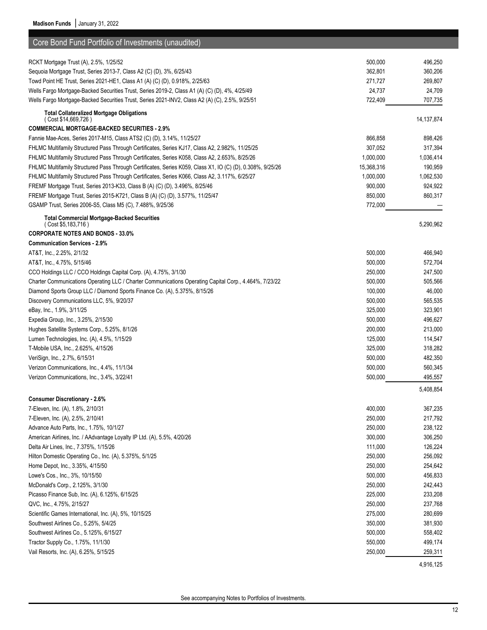| Core Bond Fund Portfolio of Investments (unaudited)                                                        |                    |                    |
|------------------------------------------------------------------------------------------------------------|--------------------|--------------------|
| RCKT Mortgage Trust (A), 2.5%, 1/25/52                                                                     | 500,000            | 496,250            |
| Sequoia Mortgage Trust, Series 2013-7, Class A2 (C) (D), 3%, 6/25/43                                       | 362,801            | 360,206            |
| Towd Point HE Trust, Series 2021-HE1, Class A1 (A) (C) (D), 0.918%, 2/25/63                                | 271,727            | 269,807            |
| Wells Fargo Mortgage-Backed Securities Trust, Series 2019-2, Class A1 (A) (C) (D), 4%, 4/25/49             | 24,737             | 24,709             |
| Wells Fargo Mortgage-Backed Securities Trust, Series 2021-INV2, Class A2 (A) (C), 2.5%, 9/25/51            | 722,409            | 707,735            |
| <b>Total Collateralized Mortgage Obligations</b>                                                           |                    |                    |
| (Cost \$14,669,726)                                                                                        |                    | 14, 137, 874       |
| <b>COMMERCIAL MORTGAGE-BACKED SECURITIES - 2.9%</b>                                                        |                    |                    |
| Fannie Mae-Aces, Series 2017-M15, Class ATS2 (C) (D), 3.14%, 11/25/27                                      | 866,858            | 898,426            |
| FHLMC Multifamily Structured Pass Through Certificates, Series KJ17, Class A2, 2.982%, 11/25/25            | 307,052            | 317,394            |
| FHLMC Multifamily Structured Pass Through Certificates, Series K058, Class A2, 2.653%, 8/25/26             | 1,000,000          | 1,036,414          |
| FHLMC Multifamily Structured Pass Through Certificates, Series K059, Class X1, IO (C) (D), 0.308%, 9/25/26 | 15,368,316         | 190,959            |
| FHLMC Multifamily Structured Pass Through Certificates, Series K066, Class A2, 3.117%, 6/25/27             | 1,000,000          | 1,062,530          |
| FREMF Mortgage Trust, Series 2013-K33, Class B (A) (C) (D), 3.496%, 8/25/46                                | 900,000            | 924,922            |
| FREMF Mortgage Trust, Series 2015-K721, Class B (A) (C) (D), 3.577%, 11/25/47                              | 850,000            | 860,317            |
| GSAMP Trust, Series 2006-S5, Class M5 (C), 7.488%, 9/25/36                                                 | 772,000            |                    |
| <b>Total Commercial Mortgage-Backed Securities</b>                                                         |                    |                    |
| (Cost \$5,183,716)<br><b>CORPORATE NOTES AND BONDS - 33.0%</b>                                             |                    | 5,290,962          |
| <b>Communication Services - 2.9%</b>                                                                       |                    |                    |
| AT&T, Inc., 2.25%, 2/1/32                                                                                  | 500,000            | 466,940            |
| AT&T, Inc., 4.75%, 5/15/46                                                                                 | 500,000            | 572,704            |
| CCO Holdings LLC / CCO Holdings Capital Corp. (A), 4.75%, 3/1/30                                           | 250,000            | 247,500            |
| Charter Communications Operating LLC / Charter Communications Operating Capital Corp., 4.464%, 7/23/22     | 500,000            | 505,566            |
| Diamond Sports Group LLC / Diamond Sports Finance Co. (A), 5.375%, 8/15/26                                 | 100,000            | 46,000             |
| Discovery Communications LLC, 5%, 9/20/37                                                                  | 500,000            | 565,535            |
| eBay, Inc., 1.9%, 3/11/25                                                                                  | 325,000            | 323,901            |
| Expedia Group, Inc., 3.25%, 2/15/30                                                                        | 500,000            | 496,627            |
| Hughes Satellite Systems Corp., 5.25%, 8/1/26                                                              | 200,000            | 213,000            |
| Lumen Technologies, Inc. (A), 4.5%, 1/15/29                                                                | 125,000            | 114,547            |
| T-Mobile USA, Inc., 2.625%, 4/15/26                                                                        | 325,000            | 318,282            |
| VeriSign, Inc., 2.7%, 6/15/31                                                                              | 500,000            | 482,350            |
| Verizon Communications, Inc., 4.4%, 11/1/34                                                                | 500,000            | 560,345            |
| Verizon Communications, Inc., 3.4%, 3/22/41                                                                | 500,000            | 495,557            |
|                                                                                                            |                    | 5,408,854          |
| <b>Consumer Discretionary - 2.6%</b>                                                                       |                    |                    |
| 7-Eleven, Inc. (A), 1.8%, 2/10/31                                                                          | 400,000            | 367,235            |
| 7-Eleven, Inc. (A), 2.5%, 2/10/41                                                                          | 250,000            | 217,792            |
| Advance Auto Parts, Inc., 1.75%, 10/1/27                                                                   | 250,000            | 238,122            |
| American Airlines, Inc. / AAdvantage Loyalty IP Ltd. (A), 5.5%, 4/20/26                                    | 300,000            | 306,250            |
| Delta Air Lines, Inc., 7.375%, 1/15/26                                                                     | 111,000            | 126,224            |
| Hilton Domestic Operating Co., Inc. (A), 5.375%, 5/1/25                                                    | 250,000            | 256,092            |
| Home Depot, Inc., 3.35%, 4/15/50                                                                           | 250,000            | 254,642            |
| Lowe's Cos., Inc., 3%, 10/15/50                                                                            | 500,000            | 456,833            |
| McDonald's Corp., 2.125%, 3/1/30                                                                           | 250,000            | 242,443            |
| Picasso Finance Sub, Inc. (A), 6.125%, 6/15/25                                                             | 225,000            | 233,208            |
| QVC, Inc., 4.75%, 2/15/27                                                                                  | 250,000            | 237,768            |
| Scientific Games International, Inc. (A), 5%, 10/15/25                                                     | 275,000            | 280,699            |
| Southwest Airlines Co., 5.25%, 5/4/25                                                                      | 350,000            | 381,930            |
| Southwest Airlines Co., 5.125%, 6/15/27                                                                    | 500,000            | 558,402<br>499,174 |
| Tractor Supply Co., 1.75%, 11/1/30<br>Vail Resorts, Inc. (A), 6.25%, 5/15/25                               | 550,000<br>250,000 | 259,311            |
|                                                                                                            |                    |                    |
|                                                                                                            |                    | 4,916,125          |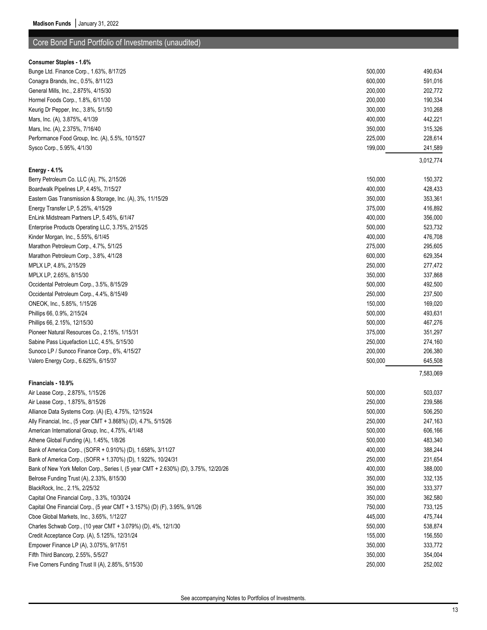| <b>Consumer Staples - 1.6%</b>                                                      |         |           |
|-------------------------------------------------------------------------------------|---------|-----------|
| Bunge Ltd. Finance Corp., 1.63%, 8/17/25                                            | 500,000 | 490,634   |
| Conagra Brands, Inc., 0.5%, 8/11/23                                                 | 600,000 | 591,016   |
| General Mills, Inc., 2.875%, 4/15/30                                                | 200,000 | 202,772   |
| Hormel Foods Corp., 1.8%, 6/11/30                                                   | 200,000 | 190,334   |
| Keurig Dr Pepper, Inc., 3.8%, 5/1/50                                                | 300,000 | 310,268   |
| Mars, Inc. (A), 3.875%, 4/1/39                                                      | 400,000 | 442,221   |
| Mars, Inc. (A), 2.375%, 7/16/40                                                     | 350,000 | 315,326   |
| Performance Food Group, Inc. (A), 5.5%, 10/15/27                                    | 225,000 | 228,614   |
| Sysco Corp., 5.95%, 4/1/30                                                          | 199,000 | 241,589   |
|                                                                                     |         | 3,012,774 |
| Energy - 4.1%                                                                       |         |           |
| Berry Petroleum Co. LLC (A), 7%, 2/15/26                                            | 150,000 | 150,372   |
| Boardwalk Pipelines LP, 4.45%, 7/15/27                                              | 400,000 | 428,433   |
| Eastern Gas Transmission & Storage, Inc. (A), 3%, 11/15/29                          | 350,000 | 353,361   |
| Energy Transfer LP, 5.25%, 4/15/29                                                  | 375,000 | 416,892   |
| EnLink Midstream Partners LP, 5.45%, 6/1/47                                         | 400,000 | 356,000   |
| Enterprise Products Operating LLC, 3.75%, 2/15/25                                   | 500,000 | 523,732   |
| Kinder Morgan, Inc., 5.55%, 6/1/45                                                  | 400,000 | 476,708   |
| Marathon Petroleum Corp., 4.7%, 5/1/25                                              | 275,000 | 295,605   |
| Marathon Petroleum Corp., 3.8%, 4/1/28                                              | 600,000 | 629,354   |
| MPLX LP, 4.8%, 2/15/29                                                              | 250,000 | 277,472   |
| MPLX LP, 2.65%, 8/15/30                                                             | 350,000 | 337,868   |
| Occidental Petroleum Corp., 3.5%, 8/15/29                                           | 500,000 | 492,500   |
| Occidental Petroleum Corp., 4.4%, 8/15/49                                           | 250,000 | 237,500   |
| ONEOK, Inc., 5.85%, 1/15/26                                                         | 150,000 | 169,020   |
| Phillips 66, 0.9%, 2/15/24                                                          | 500,000 | 493,631   |
| Phillips 66, 2.15%, 12/15/30                                                        | 500,000 | 467,276   |
| Pioneer Natural Resources Co., 2.15%, 1/15/31                                       | 375,000 | 351,297   |
| Sabine Pass Liquefaction LLC, 4.5%, 5/15/30                                         | 250,000 | 274,160   |
| Sunoco LP / Sunoco Finance Corp., 6%, 4/15/27                                       | 200,000 | 206,380   |
| Valero Energy Corp., 6.625%, 6/15/37                                                | 500,000 | 645,508   |
|                                                                                     |         | 7,583,069 |
| Financials - 10.9%                                                                  |         |           |
| Air Lease Corp., 2.875%, 1/15/26                                                    | 500,000 | 503,037   |
| Air Lease Corp., 1.875%, 8/15/26                                                    | 250,000 | 239,586   |
| Alliance Data Systems Corp. (A) (E), 4.75%, 12/15/24                                | 500,000 | 506,250   |
| Ally Financial, Inc., (5 year CMT + 3.868%) (D), 4.7%, 5/15/26                      | 250,000 | 247,163   |
| American International Group, Inc., 4.75%, 4/1/48                                   | 500,000 | 606,166   |
| Athene Global Funding (A), 1.45%, 1/8/26                                            | 500,000 | 483,340   |
| Bank of America Corp., (SOFR + 0.910%) (D), 1.658%, 3/11/27                         | 400,000 | 388,244   |
| Bank of America Corp., (SOFR + 1.370%) (D), 1.922%, 10/24/31                        | 250,000 | 231,654   |
| Bank of New York Mellon Corp., Series I, (5 year CMT + 2.630%) (D), 3.75%, 12/20/26 | 400,000 | 388,000   |
| Belrose Funding Trust (A), 2.33%, 8/15/30                                           | 350,000 | 332,135   |
| BlackRock, Inc., 2.1%, 2/25/32                                                      | 350,000 | 333,377   |
| Capital One Financial Corp., 3.3%, 10/30/24                                         | 350,000 | 362,580   |
| Capital One Financial Corp., (5 year CMT + 3.157%) (D) (F), 3.95%, 9/1/26           | 750,000 | 733,125   |
| Cboe Global Markets, Inc., 3.65%, 1/12/27                                           | 445,000 | 475,744   |
| Charles Schwab Corp., (10 year CMT + 3.079%) (D), 4%, 12/1/30                       | 550,000 | 538,874   |
| Credit Acceptance Corp. (A), 5.125%, 12/31/24                                       | 155,000 | 156,550   |
| Empower Finance LP (A), 3.075%, 9/17/51                                             | 350,000 | 333,772   |
| Fifth Third Bancorp, 2.55%, 5/5/27                                                  | 350,000 | 354,004   |
| Five Corners Funding Trust II (A), 2.85%, 5/15/30                                   | 250,000 | 252,002   |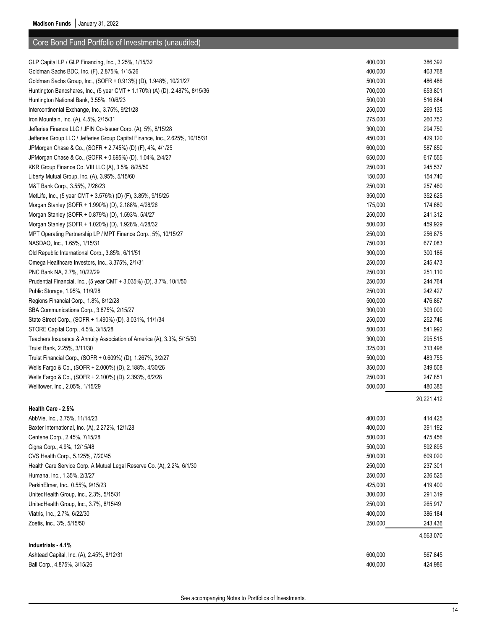| GLP Capital LP / GLP Financing, Inc., 3.25%, 1/15/32                          | 400,000 | 386,392    |
|-------------------------------------------------------------------------------|---------|------------|
| Goldman Sachs BDC, Inc. (F), 2.875%, 1/15/26                                  | 400,000 | 403,768    |
| Goldman Sachs Group, Inc., (SOFR + 0.913%) (D), 1.948%, 10/21/27              | 500,000 | 486,486    |
| Huntington Bancshares, Inc., (5 year CMT + 1.170%) (A) (D), 2.487%, 8/15/36   | 700,000 | 653,801    |
| Huntington National Bank, 3.55%, 10/6/23                                      | 500,000 | 516,884    |
| Intercontinental Exchange, Inc., 3.75%, 9/21/28                               | 250,000 | 269,135    |
| Iron Mountain, Inc. (A), 4.5%, 2/15/31                                        | 275,000 | 260,752    |
| Jefferies Finance LLC / JFIN Co-Issuer Corp. (A), 5%, 8/15/28                 | 300,000 | 294,750    |
| Jefferies Group LLC / Jefferies Group Capital Finance, Inc., 2.625%, 10/15/31 | 450,000 | 429,120    |
| JPMorgan Chase & Co., (SOFR + 2.745%) (D) (F), 4%, 4/1/25                     | 600,000 | 587,850    |
| JPMorgan Chase & Co., (SOFR + 0.695%) (D), 1.04%, 2/4/27                      | 650,000 | 617,555    |
| KKR Group Finance Co. VIII LLC (A), 3.5%, 8/25/50                             | 250,000 | 245,537    |
| Liberty Mutual Group, Inc. (A), 3.95%, 5/15/60                                | 150,000 | 154,740    |
| M&T Bank Corp., 3.55%, 7/26/23                                                | 250,000 | 257,460    |
| MetLife, Inc., (5 year CMT + 3.576%) (D) (F), 3.85%, 9/15/25                  | 350,000 | 352,625    |
| Morgan Stanley (SOFR + 1.990%) (D), 2.188%, 4/28/26                           | 175,000 | 174,680    |
| Morgan Stanley (SOFR + 0.879%) (D), 1.593%, 5/4/27                            | 250,000 | 241,312    |
| Morgan Stanley (SOFR + 1.020%) (D), 1.928%, 4/28/32                           | 500,000 | 459,929    |
| MPT Operating Partnership LP / MPT Finance Corp., 5%, 10/15/27                | 250,000 | 256,875    |
| NASDAQ, Inc., 1.65%, 1/15/31                                                  | 750,000 | 677,083    |
| Old Republic International Corp., 3.85%, 6/11/51                              | 300,000 | 300,186    |
| Omega Healthcare Investors, Inc., 3.375%, 2/1/31                              | 250,000 | 245,473    |
| PNC Bank NA, 2.7%, 10/22/29                                                   | 250,000 | 251,110    |
| Prudential Financial, Inc., (5 year CMT + 3.035%) (D), 3.7%, 10/1/50          | 250,000 | 244,764    |
| Public Storage, 1.95%, 11/9/28                                                | 250,000 | 242,427    |
| Regions Financial Corp., 1.8%, 8/12/28                                        | 500,000 | 476,867    |
| SBA Communications Corp., 3.875%, 2/15/27                                     | 300,000 | 303,000    |
| State Street Corp., (SOFR + 1.490%) (D), 3.031%, 11/1/34                      | 250,000 | 252,746    |
| STORE Capital Corp., 4.5%, 3/15/28                                            | 500,000 | 541,992    |
| Teachers Insurance & Annuity Association of America (A), 3.3%, 5/15/50        | 300,000 | 295,515    |
| Truist Bank, 2.25%, 3/11/30                                                   | 325,000 | 313,496    |
| Truist Financial Corp., (SOFR + 0.609%) (D), 1.267%, 3/2/27                   | 500,000 | 483,755    |
| Wells Fargo & Co., (SOFR + 2.000%) (D), 2.188%, 4/30/26                       | 350,000 | 349,508    |
| Wells Fargo & Co., (SOFR + 2.100%) (D), 2.393%, 6/2/28                        | 250,000 | 247,851    |
| Welltower, Inc., 2.05%, 1/15/29                                               | 500,000 | 480,385    |
|                                                                               |         | 20,221,412 |
| Health Care - 2.5%                                                            |         |            |
| AbbVie, Inc., 3.75%, 11/14/23                                                 | 400,000 | 414,425    |
| Baxter International, Inc. (A), 2.272%, 12/1/28                               | 400,000 | 391,192    |
| Centene Corp., 2.45%, 7/15/28                                                 | 500,000 | 475,456    |
| Cigna Corp., 4.9%, 12/15/48                                                   | 500,000 | 592,895    |
| CVS Health Corp., 5.125%, 7/20/45                                             | 500,000 | 609,020    |
| Health Care Service Corp. A Mutual Legal Reserve Co. (A), 2.2%, 6/1/30        | 250,000 | 237,301    |
| Humana, Inc., 1.35%, 2/3/27                                                   | 250,000 | 236,525    |
| PerkinElmer, Inc., 0.55%, 9/15/23                                             | 425,000 | 419,400    |
| UnitedHealth Group, Inc., 2.3%, 5/15/31                                       | 300,000 | 291,319    |
| UnitedHealth Group, Inc., 3.7%, 8/15/49                                       | 250,000 | 265,917    |
| Viatris, Inc., 2.7%, 6/22/30                                                  | 400,000 | 386,184    |
| Zoetis, Inc., 3%, 5/15/50                                                     | 250,000 | 243,436    |
|                                                                               |         | 4,563,070  |
| Industrials - 4.1%                                                            |         |            |
| Ashtead Capital, Inc. (A), 2.45%, 8/12/31                                     | 600,000 | 567,845    |
| Ball Corp., 4.875%, 3/15/26                                                   | 400,000 | 424,986    |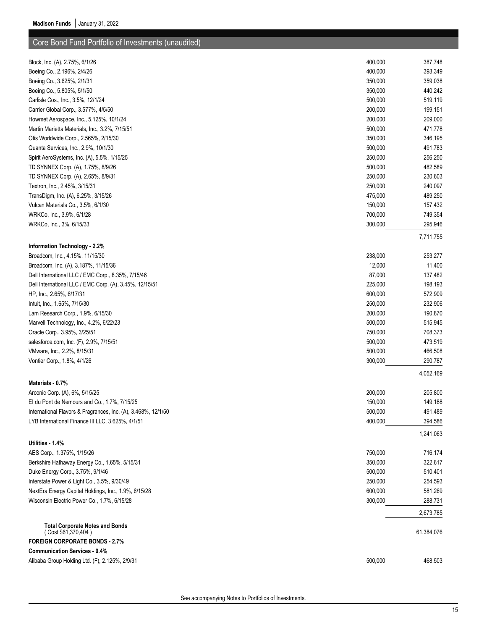| Block, Inc. (A), 2.75%, 6/1/26                                | 400,000 | 387,748    |
|---------------------------------------------------------------|---------|------------|
| Boeing Co., 2.196%, 2/4/26                                    | 400,000 | 393,349    |
| Boeing Co., 3.625%, 2/1/31                                    | 350,000 | 359,038    |
| Boeing Co., 5.805%, 5/1/50                                    | 350,000 | 440,242    |
| Carlisle Cos., Inc., 3.5%, 12/1/24                            | 500,000 | 519,119    |
| Carrier Global Corp., 3.577%, 4/5/50                          | 200,000 | 199,151    |
| Howmet Aerospace, Inc., 5.125%, 10/1/24                       | 200,000 | 209,000    |
| Martin Marietta Materials, Inc., 3.2%, 7/15/51                | 500,000 | 471,778    |
| Otis Worldwide Corp., 2.565%, 2/15/30                         | 350,000 | 346,195    |
| Quanta Services, Inc., 2.9%, 10/1/30                          | 500,000 | 491,783    |
| Spirit AeroSystems, Inc. (A), 5.5%, 1/15/25                   | 250,000 | 256,250    |
| TD SYNNEX Corp. (A), 1.75%, 8/9/26                            | 500,000 | 482,589    |
| TD SYNNEX Corp. (A), 2.65%, 8/9/31                            | 250,000 | 230,603    |
| Textron, Inc., 2.45%, 3/15/31                                 | 250,000 | 240,097    |
| TransDigm, Inc. (A), 6.25%, 3/15/26                           | 475,000 | 489,250    |
| Vulcan Materials Co., 3.5%, 6/1/30                            | 150,000 | 157,432    |
| WRKCo, Inc., 3.9%, 6/1/28                                     | 700,000 | 749,354    |
| WRKCo, Inc., 3%, 6/15/33                                      | 300,000 | 295,946    |
|                                                               |         | 7,711,755  |
| Information Technology - 2.2%                                 |         |            |
| Broadcom, Inc., 4.15%, 11/15/30                               | 238,000 | 253,277    |
| Broadcom, Inc. (A), 3.187%, 11/15/36                          | 12,000  | 11,400     |
| Dell International LLC / EMC Corp., 8.35%, 7/15/46            | 87,000  | 137,482    |
| Dell International LLC / EMC Corp. (A), 3.45%, 12/15/51       | 225,000 | 198,193    |
| HP, Inc., 2.65%, 6/17/31                                      | 600,000 | 572,909    |
| Intuit, Inc., 1.65%, 7/15/30                                  | 250,000 | 232,906    |
| Lam Research Corp., 1.9%, 6/15/30                             | 200,000 | 190,870    |
| Marvell Technology, Inc., 4.2%, 6/22/23                       | 500,000 | 515,945    |
| Oracle Corp., 3.95%, 3/25/51                                  | 750,000 | 708,373    |
| salesforce.com, Inc. (F), 2.9%, 7/15/51                       | 500,000 | 473,519    |
| VMware, Inc., 2.2%, 8/15/31                                   | 500,000 | 466,508    |
| Vontier Corp., 1.8%, 4/1/26                                   | 300,000 | 290,787    |
|                                                               |         | 4,052,169  |
| Materials - 0.7%                                              |         |            |
| Arconic Corp. (A), 6%, 5/15/25                                | 200,000 | 205,800    |
| El du Pont de Nemours and Co., 1.7%, 7/15/25                  | 150,000 | 149,188    |
| International Flavors & Fragrances, Inc. (A), 3.468%, 12/1/50 | 500,000 | 491,489    |
| LYB International Finance III LLC, 3.625%, 4/1/51             | 400,000 | 394,586    |
| Utilities - 1.4%                                              |         | 1,241,063  |
| AES Corp., 1.375%, 1/15/26                                    | 750,000 | 716,174    |
| Berkshire Hathaway Energy Co., 1.65%, 5/15/31                 | 350,000 | 322,617    |
| Duke Energy Corp., 3.75%, 9/1/46                              | 500,000 | 510,401    |
| Interstate Power & Light Co., 3.5%, 9/30/49                   | 250,000 |            |
|                                                               |         | 254,593    |
| NextEra Energy Capital Holdings, Inc., 1.9%, 6/15/28          | 600,000 | 581,269    |
| Wisconsin Electric Power Co., 1.7%, 6/15/28                   | 300,000 | 288,731    |
| <b>Total Corporate Notes and Bonds</b>                        |         | 2,673,785  |
| (Cost \$61,370,404)<br><b>FOREIGN CORPORATE BONDS - 2.7%</b>  |         | 61,384,076 |
|                                                               |         |            |
| <b>Communication Services - 0.4%</b>                          |         |            |
| Alibaba Group Holding Ltd. (F), 2.125%, 2/9/31                | 500,000 | 468,503    |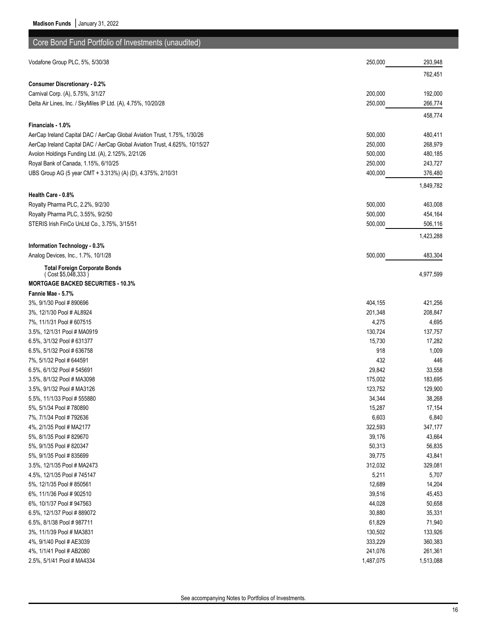| Core Bond Fund Portfolio of Investments (unaudited)                         |                    |           |
|-----------------------------------------------------------------------------|--------------------|-----------|
| Vodafone Group PLC, 5%, 5/30/38                                             | 250,000            | 293,948   |
|                                                                             |                    |           |
|                                                                             |                    | 762,451   |
| <b>Consumer Discretionary - 0.2%</b>                                        |                    |           |
| Carnival Corp. (A), 5.75%, 3/1/27                                           | 200,000<br>250,000 | 192,000   |
| Delta Air Lines, Inc. / SkyMiles IP Ltd. (A), 4.75%, 10/20/28               |                    | 266,774   |
|                                                                             |                    | 458,774   |
| Financials - 1.0%                                                           |                    |           |
| AerCap Ireland Capital DAC / AerCap Global Aviation Trust, 1.75%, 1/30/26   | 500,000            | 480,411   |
| AerCap Ireland Capital DAC / AerCap Global Aviation Trust, 4.625%, 10/15/27 | 250,000            | 268,979   |
| Avolon Holdings Funding Ltd. (A), 2.125%, 2/21/26                           | 500,000            | 480,185   |
| Royal Bank of Canada, 1.15%, 6/10/25                                        | 250,000            | 243,727   |
| UBS Group AG (5 year CMT + 3.313%) (A) (D), 4.375%, 2/10/31                 | 400,000            | 376,480   |
|                                                                             |                    | 1,849,782 |
| Health Care - 0.8%                                                          |                    |           |
| Royalty Pharma PLC, 2.2%, 9/2/30                                            | 500,000            | 463,008   |
| Royalty Pharma PLC, 3.55%, 9/2/50                                           | 500,000            | 454,164   |
| STERIS Irish FinCo UnLtd Co., 3.75%, 3/15/51                                | 500,000            | 506,116   |
|                                                                             |                    | 1,423,288 |
| Information Technology - 0.3%                                               |                    |           |
| Analog Devices, Inc., 1.7%, 10/1/28                                         | 500,000            | 483,304   |
| <b>Total Foreign Corporate Bonds</b>                                        |                    |           |
| (Cost \$5,048,333)                                                          |                    | 4,977,599 |
| <b>MORTGAGE BACKED SECURITIES - 10.3%</b>                                   |                    |           |
| Fannie Mae - 5.7%                                                           |                    |           |
| 3%, 9/1/30 Pool # 890696                                                    | 404,155            | 421,256   |
| 3%, 12/1/30 Pool # AL8924                                                   | 201,348            | 208,847   |
| 7%, 11/1/31 Pool # 607515                                                   | 4,275              | 4,695     |
| 3.5%, 12/1/31 Pool # MA0919                                                 | 130,724            | 137,757   |
| 6.5%, 3/1/32 Pool # 631377                                                  | 15,730             | 17,282    |
| 6.5%, 5/1/32 Pool # 636758                                                  | 918                | 1,009     |
| 7%, 5/1/32 Pool # 644591                                                    | 432                | 446       |
| 6.5%, 6/1/32 Pool # 545691                                                  | 29,842             | 33,558    |
| 3.5%, 8/1/32 Pool # MA3098                                                  | 175,002            | 183,695   |
| 3.5%, 9/1/32 Pool # MA3126                                                  | 123,752            | 129,900   |
| 5.5%, 11/1/33 Pool # 555880                                                 | 34,344             | 38,268    |
| 5%, 5/1/34 Pool # 780890                                                    | 15,287             | 17,154    |
| 7%, 7/1/34 Pool # 792636                                                    | 6,603              | 6,840     |
| 4%, 2/1/35 Pool # MA2177                                                    | 322,593            | 347,177   |
| 5%, 8/1/35 Pool # 829670                                                    | 39,176             | 43,664    |
| 5%, 9/1/35 Pool # 820347                                                    | 50,313             | 56,835    |
| 5%, 9/1/35 Pool # 835699                                                    | 39,775             | 43,841    |
| 3.5%, 12/1/35 Pool # MA2473                                                 | 312,032            | 329,081   |
| 4.5%, 12/1/35 Pool # 745147                                                 | 5,211              | 5,707     |
| 5%, 12/1/35 Pool #850561                                                    | 12,689             | 14,204    |
| 6%, 11/1/36 Pool # 902510                                                   | 39,516             | 45,453    |
| 6%, 10/1/37 Pool # 947563                                                   | 44,028             | 50,658    |
| 6.5%, 12/1/37 Pool #889072                                                  | 30,880             | 35,331    |
| 6.5%, 8/1/38 Pool # 987711                                                  | 61,829             | 71,940    |
| 3%, 11/1/39 Pool # MA3831                                                   | 130,502            | 133,926   |
| 4%, 9/1/40 Pool # AE3039                                                    | 333,229            | 360,383   |
| 4%, 1/1/41 Pool # AB2080                                                    | 241,076            | 261,361   |
| 2.5%, 5/1/41 Pool # MA4334                                                  | 1,487,075          | 1,513,088 |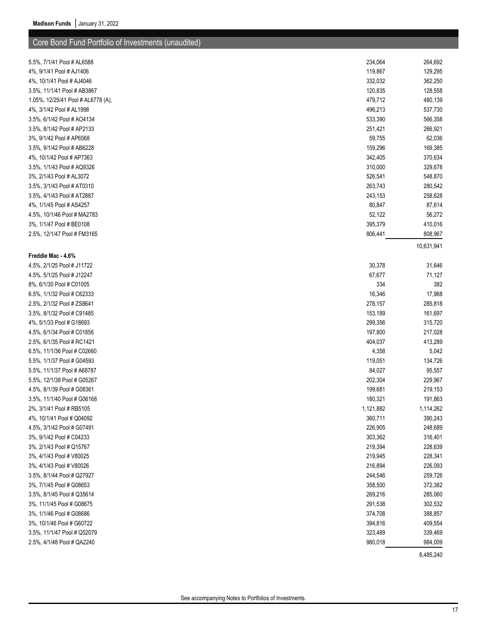| 5.5%, 7/1/41 Pool # AL6588         | 234,064   | 264,692    |
|------------------------------------|-----------|------------|
| 4%, 9/1/41 Pool # AJ1406           | 119,867   | 129,295    |
| 4%, 10/1/41 Pool # AJ4046          | 332,032   | 362,250    |
| 3.5%, 11/1/41 Pool # AB3867        | 120,835   | 128,558    |
| 1.05%, 12/25/41 Pool # AL6778 (A), | 479,712   | 480,139    |
| 4%, 3/1/42 Pool # AL1998           | 496,213   | 537,730    |
| 3.5%, 6/1/42 Pool # AO4134         | 533,390   | 566,358    |
| 3.5%, 8/1/42 Pool # AP2133         | 251,421   | 266,921    |
| 3%, 9/1/42 Pool # AP6568           | 59,755    | 62,036     |
| 3.5%, 9/1/42 Pool # AB6228         | 159,296   | 169,385    |
| 4%, 10/1/42 Pool # AP7363          | 342,405   | 370,634    |
| 3.5%, 1/1/43 Pool # AQ9326         | 310,000   | 329,678    |
| 3%, 2/1/43 Pool # AL3072           | 526,541   | 548,870    |
| 3.5%, 3/1/43 Pool # AT0310         | 263,743   | 280,542    |
| 3.5%, 4/1/43 Pool # AT2887         | 243,153   | 258,628    |
| 4%, 1/1/45 Pool # AS4257           | 80,847    | 87,614     |
| 4.5%, 10/1/46 Pool # MA2783        | 52,122    | 56,272     |
| 3%, 1/1/47 Pool # BE0108           | 395,379   | 410,016    |
| 2.5%, 12/1/47 Pool # FM3165        | 806,441   | 808,967    |
|                                    |           | 10,631,941 |
| Freddie Mac - 4.6%                 |           |            |
| 4.5%, 2/1/25 Pool # J11722         | 30,378    | 31,646     |
| 4.5%, 5/1/25 Pool # J12247         | 67,677    | 71,127     |
| 8%, 6/1/30 Pool # C01005           | 334       | 382        |
| 6.5%, 1/1/32 Pool # C62333         | 16,346    | 17,968     |
| 2.5%, 2/1/32 Pool # ZS8641         | 278,157   | 285,818    |
| 3.5%, 8/1/32 Pool # C91485         | 153,189   | 161,697    |
| 4%, 5/1/33 Pool # G18693           | 299,356   | 315,720    |
| 4.5%, 6/1/34 Pool # C01856         | 197,800   | 217,028    |
| 2.5%, 6/1/35 Pool # RC1421         | 404,037   | 413,289    |
| 6.5%, 11/1/36 Pool # C02660        | 4,358     | 5,042      |
| 5.5%, 1/1/37 Pool # G04593         | 119,051   | 134,726    |
| 5.5%, 11/1/37 Pool # A68787        | 84,027    | 95,557     |
| 5.5%, 12/1/38 Pool # G05267        | 202,304   | 229,967    |
| 4.5%, 8/1/39 Pool # G08361         | 199,681   | 219,153    |
| 3.5%, 11/1/40 Pool # G06168        | 180,321   | 191,863    |
| 2%, 3/1/41 Pool # RB5105           | 1,121,882 | 1,114,262  |
| 4%, 10/1/41 Pool # Q04092          | 360,711   | 390,243    |
| 4.5%, 3/1/42 Pool # G07491         | 226,905   | 248,689    |
| 3%, 9/1/42 Pool # C04233           | 303,362   | 316,401    |
| 3%, 2/1/43 Pool # Q15767           | 219,394   | 228,639    |
| 3%, 4/1/43 Pool # V80025           | 219,945   | 228,341    |
| 3%, 4/1/43 Pool # V80026           | 216,894   | 226,093    |
| 3.5%, 8/1/44 Pool # Q27927         | 244,546   | 259,726    |
| 3%, 7/1/45 Pool # G08653           | 358,500   | 372,382    |
| 3.5%, 8/1/45 Pool # Q35614         | 269,216   | 285,060    |
| 3%, 11/1/45 Pool # G08675          | 291,538   | 302,532    |
| 3%, 1/1/46 Pool # G08686           | 374,708   | 388,857    |
| 3%, 10/1/46 Pool # G60722          | 394,816   | 409,554    |
| 3.5%, 11/1/47 Pool # Q52079        | 323,489   | 339,469    |
| 2.5%, 4/1/48 Pool # QA2240         | 980,018   | 984,009    |
|                                    |           |            |
|                                    |           | 8,485,240  |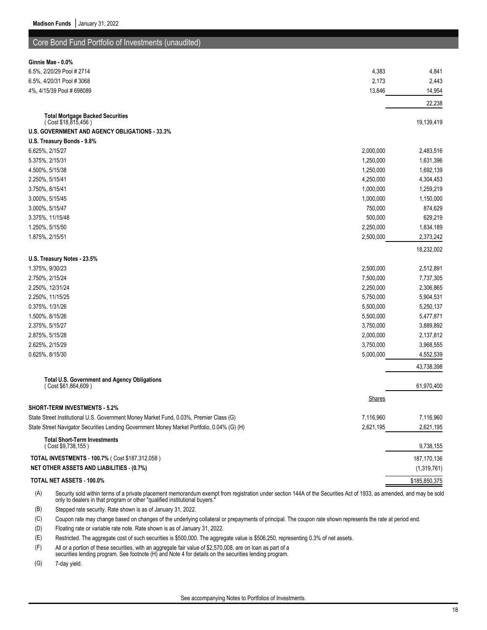| Core Bond Fund Portfolio of Investments (unaudited)                                        |               |               |
|--------------------------------------------------------------------------------------------|---------------|---------------|
| Ginnie Mae - 0.0%                                                                          |               |               |
| 6.5%, 2/20/29 Pool # 2714                                                                  | 4,383         | 4,841         |
| 6.5%, 4/20/31 Pool #3068                                                                   | 2,173         | 2,443         |
| 4%, 4/15/39 Pool # 698089                                                                  | 13,846        | 14,954        |
|                                                                                            |               | 22,238        |
| <b>Total Mortgage Backed Securities</b>                                                    |               |               |
| (Cost \$18,815,456)                                                                        |               | 19,139,419    |
| U.S. GOVERNMENT AND AGENCY OBLIGATIONS - 33.3%                                             |               |               |
| U.S. Treasury Bonds - 9.8%                                                                 |               |               |
| 6.625%, 2/15/27                                                                            | 2,000,000     | 2,483,516     |
| 5.375%, 2/15/31                                                                            | 1,250,000     | 1,631,396     |
| 4.500%, 5/15/38                                                                            | 1,250,000     | 1,692,139     |
| 2.250%, 5/15/41                                                                            | 4,250,000     | 4,304,453     |
| 3.750%, 8/15/41                                                                            | 1,000,000     | 1,259,219     |
| 3.000%, 5/15/45                                                                            | 1,000,000     | 1,150,000     |
| 3.000%, 5/15/47                                                                            | 750,000       | 874,629       |
| 3.375%, 11/15/48                                                                           | 500,000       | 629,219       |
| 1.250%, 5/15/50                                                                            | 2,250,000     | 1,834,189     |
| 1.875%, 2/15/51                                                                            | 2,500,000     | 2,373,242     |
|                                                                                            |               | 18,232,002    |
| U.S. Treasury Notes - 23.5%                                                                |               |               |
| 1.375%, 9/30/23                                                                            | 2,500,000     | 2,512,891     |
| 2.750%, 2/15/24                                                                            | 7,500,000     | 7,737,305     |
| 2.250%, 12/31/24                                                                           | 2,250,000     | 2,306,865     |
| 2.250%, 11/15/25                                                                           | 5,750,000     | 5,904,531     |
| 0.375%, 1/31/26                                                                            | 5,500,000     | 5,250,137     |
| 1.500%, 8/15/26                                                                            | 5,500,000     | 5,477,871     |
| 2.375%, 5/15/27                                                                            | 3,750,000     | 3,889,892     |
| 2.875%, 5/15/28                                                                            | 2,000,000     | 2,137,812     |
| 2.625%, 2/15/29                                                                            | 3,750,000     | 3,968,555     |
| 0.625%, 8/15/30                                                                            | 5,000,000     | 4,552,539     |
|                                                                                            |               | 43,738,398    |
| <b>Total U.S. Government and Agency Obligations</b>                                        |               |               |
| (Cost \$61,864,609)                                                                        |               | 61,970,400    |
|                                                                                            | <b>Shares</b> |               |
| <b>SHORT-TERM INVESTMENTS - 5.2%</b>                                                       |               |               |
| State Street Institutional U.S. Government Money Market Fund, 0.03%, Premier Class (G)     | 7,116,960     | 7,116,960     |
| State Street Navigator Securities Lending Government Money Market Portfolio, 0.04% (G) (H) | 2,621,195     | 2,621,195     |
| <b>Total Short-Term Investments</b>                                                        |               |               |
| (Cost \$9,738,155)                                                                         |               | 9,738,155     |
| TOTAL INVESTMENTS - 100.7% ( Cost \$187,312,058 )                                          |               | 187, 170, 136 |
| <b>NET OTHER ASSETS AND LIABILITIES - (0.7%)</b>                                           |               | (1,319,761)   |
| TOTAL NET ASSETS - 100.0%                                                                  |               | \$185,850,375 |

(A) Security sold within terms of a private placement memorandum exempt from registration under section 144A of the Securities Act of 1933, as amended, and may be sold only to dealers in that program or other "qualified institutional buyers."

(B) Stepped rate security. Rate shown is as of January 31, 2022.

(C) Coupon rate may change based on changes of the underlying collateral or prepayments of principal. The coupon rate shown represents the rate at period end.

(D) Floating rate or variable rate note. Rate shown is as of January 31, 2022.

(E) Restricted. The aggregate cost of such securities is \$500,000. The aggregate value is \$506,250, representing 0.3% of net assets.

(F) All or a portion of these securities, with an aggregate fair value of \$2,570,008, are on loan as part of a securities lending program. See footnote (H) and Note 4 for details on the securities lending program.

(G) 7-day yield.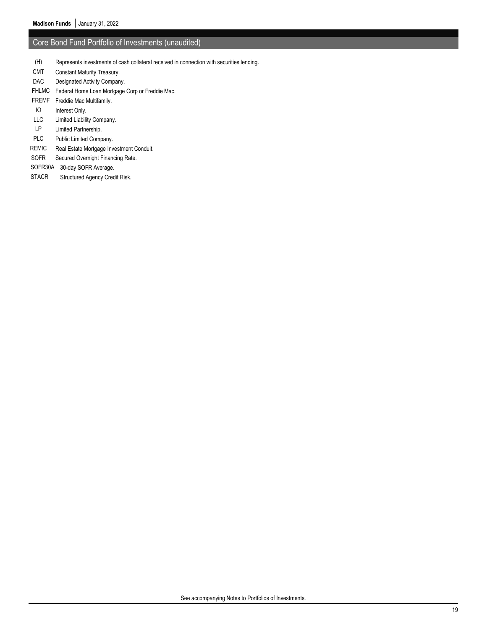- (H) Represents investments of cash collateral received in connection with securities lending.
- CMT Constant Maturity Treasury.
- DAC Designated Activity Company.
- FHLMC Federal Home Loan Mortgage Corp or Freddie Mac.
- FREMF Freddie Mac Multifamily.
- IO Interest Only.
- LLC Limited Liability Company.
- LP Limited Partnership.
- PLC Public Limited Company.
- REMIC Real Estate Mortgage Investment Conduit.
- SOFR Secured Overnight Financing Rate.
- SOFR30A 30-day SOFR Average.
- STACR Structured Agency Credit Risk.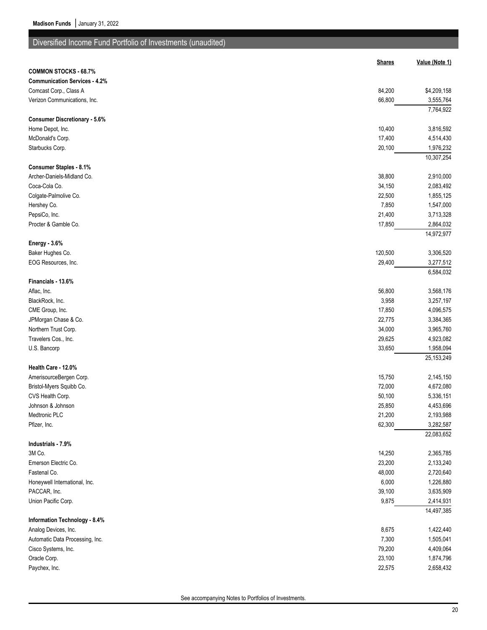| Diversified Income Fund Portfolio of Investments (unaudited) |               |                |
|--------------------------------------------------------------|---------------|----------------|
|                                                              | <b>Shares</b> | Value (Note 1) |
| <b>COMMON STOCKS - 68.7%</b>                                 |               |                |
| <b>Communication Services - 4.2%</b>                         |               |                |
| Comcast Corp., Class A                                       | 84,200        | \$4,209,158    |
| Verizon Communications, Inc.                                 | 66,800        | 3,555,764      |
|                                                              |               | 7,764,922      |
| <b>Consumer Discretionary - 5.6%</b>                         |               |                |
| Home Depot, Inc.                                             | 10,400        | 3,816,592      |
| McDonald's Corp.                                             | 17,400        | 4,514,430      |
| Starbucks Corp.                                              | 20,100        | 1,976,232      |
|                                                              |               | 10,307,254     |
| <b>Consumer Staples - 8.1%</b>                               |               |                |
| Archer-Daniels-Midland Co.                                   | 38,800        | 2,910,000      |
| Coca-Cola Co.                                                | 34,150        | 2,083,492      |
| Colgate-Palmolive Co.                                        | 22,500        | 1,855,125      |
| Hershey Co.                                                  | 7,850         | 1,547,000      |
| PepsiCo, Inc.                                                | 21,400        | 3,713,328      |
| Procter & Gamble Co.                                         | 17,850        | 2,864,032      |
|                                                              |               | 14,972,977     |
| <b>Energy - 3.6%</b>                                         |               |                |
| Baker Hughes Co.                                             | 120,500       | 3,306,520      |
| EOG Resources, Inc.                                          | 29,400        | 3,277,512      |
|                                                              |               | 6,584,032      |
| Financials - 13.6%                                           |               |                |
| Aflac, Inc.                                                  | 56,800        | 3,568,176      |
| BlackRock, Inc.                                              | 3,958         | 3,257,197      |
| CME Group, Inc.                                              | 17,850        | 4,096,575      |
| JPMorgan Chase & Co.                                         | 22,775        | 3,384,365      |
| Northern Trust Corp.                                         | 34,000        | 3,965,760      |
| Travelers Cos., Inc.                                         | 29,625        | 4,923,082      |
| U.S. Bancorp                                                 | 33,650        | 1,958,094      |
|                                                              |               | 25, 153, 249   |
| Health Care - 12.0%                                          |               |                |
| AmerisourceBergen Corp.                                      | 15,750        | 2,145,150      |
| Bristol-Myers Squibb Co.                                     | 72,000        | 4,672,080      |
| CVS Health Corp.                                             | 50,100        | 5,336,151      |
| Johnson & Johnson                                            | 25,850        | 4,453,696      |
| Medtronic PLC                                                | 21,200        | 2,193,988      |
| Pfizer, Inc.                                                 | 62,300        | 3,282,587      |
|                                                              |               | 22,083,652     |
| Industrials - 7.9%                                           |               |                |
| 3M Co.                                                       | 14,250        | 2,365,785      |
| Emerson Electric Co.                                         | 23,200        | 2,133,240      |
| Fastenal Co.                                                 | 48,000        | 2,720,640      |
| Honeywell International, Inc.                                | 6,000         | 1,226,880      |
| PACCAR, Inc.                                                 | 39,100        | 3,635,909      |
| Union Pacific Corp.                                          | 9,875         | 2,414,931      |
| Information Technology - 8.4%                                |               | 14,497,385     |
| Analog Devices, Inc.                                         | 8,675         | 1,422,440      |
| Automatic Data Processing, Inc.                              | 7,300         | 1,505,041      |
| Cisco Systems, Inc.                                          | 79,200        | 4,409,064      |
| Oracle Corp.                                                 | 23,100        | 1,874,796      |
| Paychex, Inc.                                                | 22,575        | 2,658,432      |
|                                                              |               |                |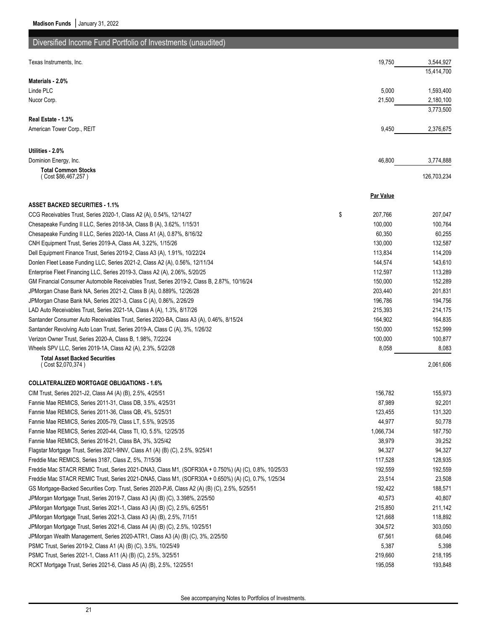| Diversified Income Fund Portfolio of Investments (unaudited)                                          |                  |             |
|-------------------------------------------------------------------------------------------------------|------------------|-------------|
|                                                                                                       |                  |             |
| Texas Instruments, Inc.                                                                               | 19,750           | 3,544,927   |
|                                                                                                       |                  | 15,414,700  |
| Materials - 2.0%                                                                                      |                  |             |
| Linde PLC                                                                                             | 5,000            | 1,593,400   |
| Nucor Corp.                                                                                           | 21,500           | 2,180,100   |
|                                                                                                       |                  | 3,773,500   |
| Real Estate - 1.3%<br>American Tower Corp., REIT                                                      | 9,450            | 2,376,675   |
|                                                                                                       |                  |             |
|                                                                                                       |                  |             |
| Utilities - 2.0%                                                                                      |                  |             |
| Dominion Energy, Inc.                                                                                 | 46,800           | 3,774,888   |
| <b>Total Common Stocks</b><br>(Cost \$86,467,257)                                                     |                  | 126,703,234 |
|                                                                                                       |                  |             |
|                                                                                                       | <b>Par Value</b> |             |
| <b>ASSET BACKED SECURITIES 1.1%</b>                                                                   |                  |             |
| CCG Receivables Trust, Series 2020-1, Class A2 (A), 0.54%, 12/14/27                                   | \$<br>207,766    | 207,047     |
| Chesapeake Funding II LLC, Series 2018-3A, Class B (A), 3.62%, 1/15/31                                | 100,000          | 100,764     |
| Chesapeake Funding II LLC, Series 2020-1A, Class A1 (A), 0.87%, 8/16/32                               | 60,350           | 60,255      |
| CNH Equipment Trust, Series 2019-A, Class A4, 3.22%, 1/15/26                                          | 130,000          | 132,587     |
| Dell Equipment Finance Trust, Series 2019-2, Class A3 (A), 1.91%, 10/22/24                            | 113,834          | 114,209     |
| Donlen Fleet Lease Funding LLC, Series 2021-2, Class A2 (A), 0.56%, 12/11/34                          | 144,574          | 143,610     |
| Enterprise Fleet Financing LLC, Series 2019-3, Class A2 (A), 2.06%, 5/20/25                           | 112,597          | 113,289     |
| GM Financial Consumer Automobile Receivables Trust, Series 2019-2, Class B, 2.87%, 10/16/24           | 150,000          | 152,289     |
| JPMorgan Chase Bank NA, Series 2021-2, Class B (A), 0.889%, 12/26/28                                  | 203,440          | 201,831     |
| JPMorgan Chase Bank NA, Series 2021-3, Class C (A), 0.86%, 2/26/29                                    | 196,786          | 194,756     |
| LAD Auto Receivables Trust, Series 2021-1A, Class A (A), 1.3%, 8/17/26                                | 215,393          | 214,175     |
| Santander Consumer Auto Receivables Trust, Series 2020-BA, Class A3 (A), 0.46%, 8/15/24               | 164,902          | 164,835     |
| Santander Revolving Auto Loan Trust, Series 2019-A, Class C (A), 3%, 1/26/32                          | 150,000          | 152,999     |
| Verizon Owner Trust, Series 2020-A, Class B, 1.98%, 7/22/24                                           | 100,000          | 100,877     |
| Wheels SPV LLC, Series 2019-1A, Class A2 (A), 2.3%, 5/22/28                                           | 8,058            | 8,083       |
| <b>Total Asset Backed Securities</b>                                                                  |                  |             |
| (Cost \$2,070,374)                                                                                    |                  | 2,061,606   |
| <b>COLLATERALIZED MORTGAGE OBLIGATIONS - 1.6%</b>                                                     |                  |             |
| CIM Trust, Series 2021-J2, Class A4 (A) (B), 2.5%, 4/25/51                                            | 156,782          | 155,973     |
| Fannie Mae REMICS, Series 2011-31, Class DB, 3.5%, 4/25/31                                            | 87,989           | 92,201      |
| Fannie Mae REMICS, Series 2011-36, Class QB, 4%, 5/25/31                                              | 123,455          | 131,320     |
| Fannie Mae REMICS, Series 2005-79, Class LT, 5.5%, 9/25/35                                            | 44,977           | 50,778      |
| Fannie Mae REMICS, Series 2020-44, Class TI, IO, 5.5%, 12/25/35                                       | 1,066,734        | 187,750     |
| Fannie Mae REMICS, Series 2016-21, Class BA, 3%, 3/25/42                                              | 38,979           | 39,252      |
| Flagstar Mortgage Trust, Series 2021-9INV, Class A1 (A) (B) (C), 2.5%, 9/25/41                        | 94,327           | 94,327      |
| Freddie Mac REMICS, Series 3187, Class Z, 5%, 7/15/36                                                 | 117,528          | 128,935     |
| Freddie Mac STACR REMIC Trust, Series 2021-DNA3, Class M1, (SOFR30A + 0.750%) (A) (C), 0.8%, 10/25/33 | 192,559          | 192,559     |
| Freddie Mac STACR REMIC Trust, Series 2021-DNA5, Class M1, (SOFR30A + 0.650%) (A) (C), 0.7%, 1/25/34  | 23,514           | 23,508      |
| GS Mortgage-Backed Securities Corp. Trust, Series 2020-PJ6, Class A2 (A) (B) (C), 2.5%, 5/25/51       | 192,422          | 188,571     |
| JPMorgan Mortgage Trust, Series 2019-7, Class A3 (A) (B) (C), 3.398%, 2/25/50                         | 40,573           | 40,807      |
| JPMorgan Mortgage Trust, Series 2021-1, Class A3 (A) (B) (C), 2.5%, 6/25/51                           | 215,850          | 211,142     |
| JPMorgan Mortgage Trust, Series 2021-3, Class A3 (A) (B), 2.5%, 7/1/51                                | 121,668          | 118,892     |
| JPMorgan Mortgage Trust, Series 2021-6, Class A4 (A) (B) (C), 2.5%, 10/25/51                          | 304,572          | 303,050     |
| JPMorgan Wealth Management, Series 2020-ATR1, Class A3 (A) (B) (C), 3%, 2/25/50                       | 67,561           | 68,046      |
| PSMC Trust, Series 2019-2, Class A1 (A) (B) (C), 3.5%, 10/25/49                                       | 5,387            | 5,398       |
| PSMC Trust, Series 2021-1, Class A11 (A) (B) (C), 2.5%, 3/25/51                                       | 219,660          | 218,195     |
| RCKT Mortgage Trust, Series 2021-6, Class A5 (A) (B), 2.5%, 12/25/51                                  | 195,058          | 193,848     |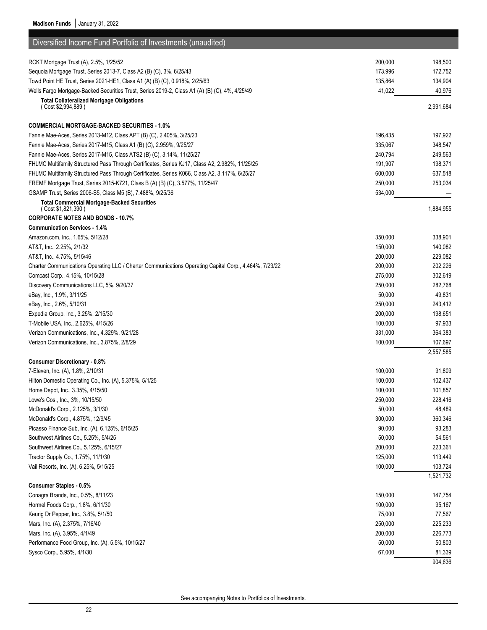| Diversified Income Fund Portfolio of Investments (unaudited)                                           |         |                      |
|--------------------------------------------------------------------------------------------------------|---------|----------------------|
| RCKT Mortgage Trust (A), 2.5%, 1/25/52                                                                 | 200,000 | 198,500              |
| Sequoia Mortgage Trust, Series 2013-7, Class A2 (B) (C), 3%, 6/25/43                                   | 173,996 | 172,752              |
| Towd Point HE Trust, Series 2021-HE1, Class A1 (A) (B) (C), 0.918%, 2/25/63                            | 135,864 | 134,904              |
| Wells Fargo Mortgage-Backed Securities Trust, Series 2019-2, Class A1 (A) (B) (C), 4%, 4/25/49         | 41,022  | 40,976               |
| <b>Total Collateralized Mortgage Obligations</b>                                                       |         |                      |
| (Cost \$2,994,889)                                                                                     |         | 2,991,684            |
| <b>COMMERCIAL MORTGAGE-BACKED SECURITIES - 1.0%</b>                                                    |         |                      |
| Fannie Mae-Aces, Series 2013-M12, Class APT (B) (C), 2.405%, 3/25/23                                   | 196,435 | 197,922              |
| Fannie Mae-Aces, Series 2017-M15, Class A1 (B) (C), 2.959%, 9/25/27                                    | 335,067 | 348,547              |
| Fannie Mae-Aces, Series 2017-M15, Class ATS2 (B) (C), 3.14%, 11/25/27                                  | 240,794 | 249,563              |
| FHLMC Multifamily Structured Pass Through Certificates, Series KJ17, Class A2, 2.982%, 11/25/25        | 191,907 | 198,371              |
| FHLMC Multifamily Structured Pass Through Certificates, Series K066, Class A2, 3.117%, 6/25/27         | 600,000 | 637,518              |
| FREMF Mortgage Trust, Series 2015-K721, Class B (A) (B) (C), 3.577%, 11/25/47                          | 250,000 | 253,034              |
| GSAMP Trust, Series 2006-S5, Class M5 (B), 7.488%, 9/25/36                                             | 534,000 |                      |
| <b>Total Commercial Mortgage-Backed Securities</b><br>(Cost \$1,821,390)                               |         | 1,884,955            |
| <b>CORPORATE NOTES AND BONDS - 10.7%</b>                                                               |         |                      |
| <b>Communication Services - 1.4%</b>                                                                   |         |                      |
| Amazon.com, Inc., 1.65%, 5/12/28                                                                       | 350,000 | 338,901              |
| AT&T, Inc., 2.25%, 2/1/32                                                                              | 150,000 | 140,082              |
| AT&T, Inc., 4.75%, 5/15/46                                                                             | 200,000 | 229,082              |
| Charter Communications Operating LLC / Charter Communications Operating Capital Corp., 4.464%, 7/23/22 | 200,000 | 202,226              |
| Comcast Corp., 4.15%, 10/15/28                                                                         | 275,000 | 302,619              |
| Discovery Communications LLC, 5%, 9/20/37                                                              | 250,000 | 282,768              |
| eBay, Inc., 1.9%, 3/11/25                                                                              | 50,000  | 49,831               |
| eBay, Inc., 2.6%, 5/10/31                                                                              | 250,000 | 243,412              |
| Expedia Group, Inc., 3.25%, 2/15/30                                                                    | 200,000 | 198,651              |
| T-Mobile USA, Inc., 2.625%, 4/15/26                                                                    | 100,000 | 97,933               |
| Verizon Communications, Inc., 4.329%, 9/21/28                                                          | 331,000 | 364,383              |
| Verizon Communications, Inc., 3.875%, 2/8/29                                                           | 100,000 | 107,697              |
|                                                                                                        |         | 2,557,585            |
| <b>Consumer Discretionary - 0.8%</b>                                                                   |         |                      |
| 7-Eleven, Inc. (A), 1.8%, 2/10/31                                                                      | 100,000 | 91,809               |
| Hilton Domestic Operating Co., Inc. (A), 5.375%, 5/1/25                                                | 100,000 | 102,437              |
| Home Depot, Inc., 3.35%, 4/15/50                                                                       | 100,000 | 101,857              |
| Lowe's Cos., Inc., 3%, 10/15/50                                                                        | 250,000 | 228,416              |
| McDonald's Corp., 2.125%, 3/1/30                                                                       | 50,000  | 48,489               |
| McDonald's Corp., 4.875%, 12/9/45                                                                      | 300,000 | 360,346              |
| Picasso Finance Sub, Inc. (A), 6.125%, 6/15/25                                                         | 90,000  | 93,283               |
| Southwest Airlines Co., 5.25%, 5/4/25                                                                  | 50,000  | 54,561               |
| Southwest Airlines Co., 5.125%, 6/15/27                                                                | 200,000 | 223,361              |
| Tractor Supply Co., 1.75%, 11/1/30                                                                     | 125,000 | 113,449              |
| Vail Resorts, Inc. (A), 6.25%, 5/15/25                                                                 | 100,000 | 103,724<br>1,521,732 |
| Consumer Staples - 0.5%                                                                                |         |                      |
| Conagra Brands, Inc., 0.5%, 8/11/23                                                                    | 150,000 | 147,754              |
| Hormel Foods Corp., 1.8%, 6/11/30                                                                      | 100,000 | 95,167               |
| Keurig Dr Pepper, Inc., 3.8%, 5/1/50                                                                   | 75,000  | 77,567               |
| Mars, Inc. (A), 2.375%, 7/16/40                                                                        | 250,000 | 225,233              |
| Mars, Inc. (A), 3.95%, 4/1/49                                                                          | 200,000 | 226,773              |
| Performance Food Group, Inc. (A), 5.5%, 10/15/27                                                       | 50,000  | 50,803               |
| Sysco Corp., 5.95%, 4/1/30                                                                             | 67,000  | 81,339               |
|                                                                                                        |         | 904,636              |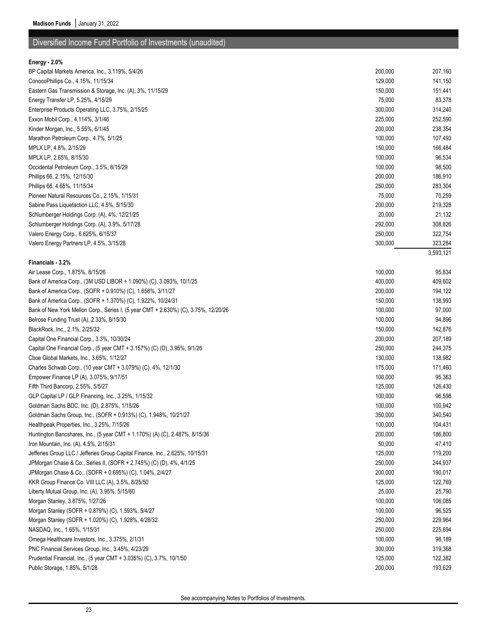# Diversified Income Fund Portfolio of Investments (unaudited)

## **Energy - 2.0%**

| BP Capital Markets America, Inc., 3.119%, 5/4/26                                    | 200,000 | 207,160   |
|-------------------------------------------------------------------------------------|---------|-----------|
| ConocoPhillips Co., 4.15%, 11/15/34                                                 | 129,000 | 141,150   |
| Eastern Gas Transmission & Storage, Inc. (A), 3%, 11/15/29                          | 150,000 | 151,441   |
| Energy Transfer LP, 5.25%, 4/15/29                                                  | 75,000  | 83,378    |
| Enterprise Products Operating LLC, 3.75%, 2/15/25                                   | 300,000 | 314,240   |
| Exxon Mobil Corp., 4.114%, 3/1/46                                                   | 225,000 | 252,590   |
| Kinder Morgan, Inc., 5.55%, 6/1/45                                                  | 200,000 | 238,354   |
| Marathon Petroleum Corp., 4.7%, 5/1/25                                              | 100,000 | 107,493   |
| MPLX LP, 4.8%, 2/15/29                                                              | 150,000 | 166,484   |
| MPLX LP, 2.65%, 8/15/30                                                             | 100,000 | 96,534    |
| Occidental Petroleum Corp., 3.5%, 8/15/29                                           | 100,000 | 98,500    |
| Phillips 66, 2.15%, 12/15/30                                                        | 200,000 | 186,910   |
| Phillips 66, 4.65%, 11/15/34                                                        | 250,000 | 283,304   |
| Pioneer Natural Resources Co., 2.15%, 1/15/31                                       | 75,000  | 70,259    |
| Sabine Pass Liquefaction LLC, 4.5%, 5/15/30                                         | 200,000 | 219,328   |
| Schlumberger Holdings Corp. (A), 4%, 12/21/25                                       | 20,000  | 21,132    |
| Schlumberger Holdings Corp. (A), 3.9%, 5/17/28                                      | 292,000 | 308,826   |
| Valero Energy Corp., 6.625%, 6/15/37                                                | 250,000 | 322,754   |
| Valero Energy Partners LP, 4.5%, 3/15/28                                            | 300,000 | 323,284   |
|                                                                                     |         | 3,593,121 |
| Financials - 3.2%                                                                   |         |           |
| Air Lease Corp., 1.875%, 8/15/26                                                    | 100,000 | 95,834    |
| Bank of America Corp., (3M USD LIBOR + 1.090%) (C), 3.093%, 10/1/25                 | 400,000 | 409,602   |
| Bank of America Corp., (SOFR + 0.910%) (C), 1.658%, 3/11/27                         | 200,000 | 194,122   |
| Bank of America Corp., (SOFR + 1.370%) (C), 1.922%, 10/24/31                        | 150,000 | 138,993   |
| Bank of New York Mellon Corp., Series I, (5 year CMT + 2.630%) (C), 3.75%, 12/20/26 | 100,000 | 97,000    |
| Belrose Funding Trust (A), 2.33%, 8/15/30                                           | 100,000 | 94,896    |
| BlackRock, Inc., 2.1%, 2/25/32                                                      | 150,000 | 142,876   |
| Capital One Financial Corp., 3.3%, 10/30/24                                         | 200,000 | 207,189   |
| Capital One Financial Corp., (5 year CMT + 3.157%) (C) (D), 3.95%, 9/1/26           | 250,000 | 244,375   |
| Cboe Global Markets, Inc., 3.65%, 1/12/27                                           | 130,000 | 138,982   |
| Charles Schwab Corp., (10 year CMT + 3.079%) (C), 4%, 12/1/30                       | 175,000 | 171,460   |
| Empower Finance LP (A), 3.075%, 9/17/51                                             | 100,000 | 95,363    |
| Fifth Third Bancorp, 2.55%, 5/5/27                                                  | 125,000 | 126,430   |
| GLP Capital LP / GLP Financing, Inc., 3.25%, 1/15/32                                | 100,000 | 96,598    |
| Goldman Sachs BDC, Inc. (D), 2.875%, 1/15/26                                        | 100,000 | 100,942   |
| Goldman Sachs Group, Inc., (SOFR + 0.913%) (C), 1.948%, 10/21/27                    | 350,000 | 340,540   |
| Healthpeak Properties, Inc., 3.25%, 7/15/26                                         | 100,000 | 104,431   |
| Huntington Bancshares, Inc., (5 year CMT + 1.170%) (A) (C), 2.487%, 8/15/36         | 200,000 | 186,800   |
| Iron Mountain, Inc. (A), 4.5%, 2/15/31                                              | 50,000  | 47,410    |
| Jefferies Group LLC / Jefferies Group Capital Finance, Inc., 2.625%, 10/15/31       | 125,000 | 119,200   |
| JPMorgan Chase & Co., Series II, (SOFR + 2.745%) (C) (D), 4%, 4/1/25                | 250,000 | 244,937   |
| JPMorgan Chase & Co., (SOFR + 0.695%) (C), 1.04%, 2/4/27                            | 200,000 | 190,017   |
| KKR Group Finance Co. VIII LLC (A), 3.5%, 8/25/50                                   | 125,000 | 122,769   |
| Liberty Mutual Group, Inc. (A), 3.95%, 5/15/60                                      | 25,000  | 25,790    |
| Morgan Stanley, 3.875%, 1/27/26                                                     | 100,000 | 106,085   |
| Morgan Stanley (SOFR + 0.879%) (C), 1.593%, 5/4/27                                  | 100,000 | 96,525    |
| Morgan Stanley (SOFR + 1.020%) (C), 1.928%, 4/28/32                                 | 250,000 | 229,964   |
| NASDAQ, Inc., 1.65%, 1/15/31                                                        | 250,000 | 225,694   |
| Omega Healthcare Investors, Inc., 3.375%, 2/1/31                                    | 100,000 | 98,189    |
| PNC Financial Services Group, Inc., 3.45%, 4/23/29                                  | 300,000 | 319,368   |
| Prudential Financial, Inc., (5 year CMT + 3.035%) (C), 3.7%, 10/1/50                | 125,000 | 122,382   |
| Public Storage, 1.85%, 5/1/28                                                       | 200,000 | 193,629   |
|                                                                                     |         |           |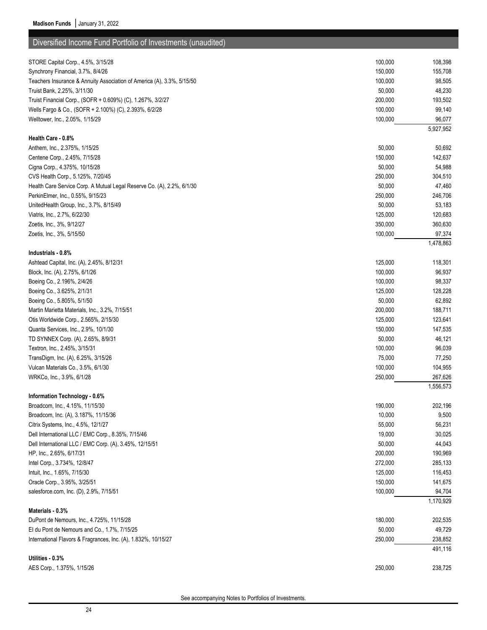| Diversified Income Fund Portfolio of Investments (unaudited)           |         |           |
|------------------------------------------------------------------------|---------|-----------|
| STORE Capital Corp., 4.5%, 3/15/28                                     | 100,000 | 108,398   |
| Synchrony Financial, 3.7%, 8/4/26                                      | 150,000 | 155,708   |
| Teachers Insurance & Annuity Association of America (A), 3.3%, 5/15/50 | 100,000 | 98,505    |
| Truist Bank, 2.25%, 3/11/30                                            | 50,000  | 48,230    |
| Truist Financial Corp., (SOFR + 0.609%) (C), 1.267%, 3/2/27            | 200,000 | 193,502   |
| Wells Fargo & Co., (SOFR + 2.100%) (C), 2.393%, 6/2/28                 | 100,000 | 99,140    |
| Welltower, Inc., 2.05%, 1/15/29                                        | 100,000 | 96,077    |
|                                                                        |         | 5,927,952 |
| Health Care - 0.8%                                                     |         |           |
| Anthem, Inc., 2.375%, 1/15/25                                          | 50,000  | 50,692    |
| Centene Corp., 2.45%, 7/15/28                                          | 150,000 | 142,637   |
| Cigna Corp., 4.375%, 10/15/28                                          | 50,000  | 54,988    |
| CVS Health Corp., 5.125%, 7/20/45                                      | 250,000 | 304,510   |
| Health Care Service Corp. A Mutual Legal Reserve Co. (A), 2.2%, 6/1/30 | 50,000  | 47,460    |
| PerkinElmer, Inc., 0.55%, 9/15/23                                      | 250,000 | 246,706   |
| UnitedHealth Group, Inc., 3.7%, 8/15/49                                | 50,000  | 53,183    |
| Viatris, Inc., 2.7%, 6/22/30                                           | 125,000 | 120,683   |
| Zoetis, Inc., 3%, 9/12/27                                              | 350,000 | 360,630   |
| Zoetis, Inc., 3%, 5/15/50                                              | 100,000 | 97,374    |
|                                                                        |         | 1,478,863 |
| Industrials - 0.8%                                                     |         |           |
| Ashtead Capital, Inc. (A), 2.45%, 8/12/31                              | 125,000 | 118,301   |
| Block, Inc. (A), 2.75%, 6/1/26                                         | 100,000 | 96,937    |
| Boeing Co., 2.196%, 2/4/26                                             | 100,000 | 98,337    |
| Boeing Co., 3.625%, 2/1/31                                             | 125,000 | 128,228   |
| Boeing Co., 5.805%, 5/1/50                                             | 50,000  | 62,892    |
| Martin Marietta Materials, Inc., 3.2%, 7/15/51                         | 200,000 | 188,711   |
| Otis Worldwide Corp., 2.565%, 2/15/30                                  | 125,000 | 123,641   |
| Quanta Services, Inc., 2.9%, 10/1/30                                   | 150,000 | 147,535   |
| TD SYNNEX Corp. (A), 2.65%, 8/9/31                                     | 50,000  | 46,121    |
| Textron, Inc., 2.45%, 3/15/31                                          | 100,000 | 96,039    |
| TransDigm, Inc. (A), 6.25%, 3/15/26                                    | 75,000  | 77,250    |
| Vulcan Materials Co., 3.5%, 6/1/30                                     | 100,000 | 104,955   |
| WRKCo, Inc., 3.9%, 6/1/28                                              | 250,000 | 267,626   |
|                                                                        |         | 1,556,573 |
| Information Technology - 0.6%                                          |         |           |
| Broadcom, Inc., 4.15%, 11/15/30                                        | 190,000 | 202,196   |
| Broadcom, Inc. (A), 3.187%, 11/15/36                                   | 10,000  | 9,500     |
| Citrix Systems, Inc., 4.5%, 12/1/27                                    | 55,000  | 56,231    |
| Dell International LLC / EMC Corp., 8.35%, 7/15/46                     | 19,000  | 30,025    |
| Dell International LLC / EMC Corp. (A), 3.45%, 12/15/51                | 50,000  | 44,043    |
| HP, Inc., 2.65%, 6/17/31                                               | 200,000 | 190,969   |
| Intel Corp., 3.734%, 12/8/47                                           | 272,000 | 285,133   |
| Intuit, Inc., 1.65%, 7/15/30                                           | 125,000 | 116,453   |
| Oracle Corp., 3.95%, 3/25/51                                           | 150,000 | 141,675   |
| salesforce.com, Inc. (D), 2.9%, 7/15/51                                | 100,000 | 94,704    |
|                                                                        |         | 1,170,929 |
| Materials - 0.3%                                                       |         |           |
| DuPont de Nemours, Inc., 4.725%, 11/15/28                              | 180,000 | 202,535   |
| El du Pont de Nemours and Co., 1.7%, 7/15/25                           | 50,000  | 49,729    |
| International Flavors & Fragrances, Inc. (A), 1.832%, 10/15/27         | 250,000 | 238,852   |
|                                                                        |         | 491,116   |
| Utilities - 0.3%                                                       |         |           |
| AES Corp., 1.375%, 1/15/26                                             | 250,000 | 238,725   |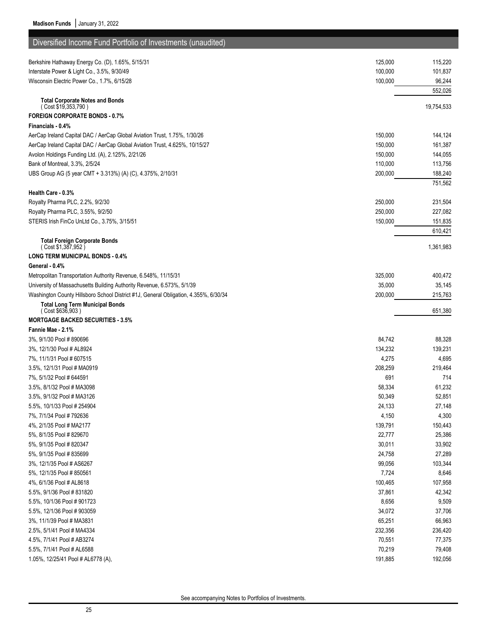| Diversified Income Fund Portfolio of Investments (unaudited)                         |         |            |
|--------------------------------------------------------------------------------------|---------|------------|
| Berkshire Hathaway Energy Co. (D), 1.65%, 5/15/31                                    | 125,000 | 115,220    |
| Interstate Power & Light Co., 3.5%, 9/30/49                                          | 100,000 | 101,837    |
| Wisconsin Electric Power Co., 1.7%, 6/15/28                                          | 100,000 | 96,244     |
|                                                                                      |         | 552,026    |
| <b>Total Corporate Notes and Bonds</b><br>(Cost \$19,353,790)                        |         | 19,754,533 |
| <b>FOREIGN CORPORATE BONDS - 0.7%</b>                                                |         |            |
| Financials - 0.4%                                                                    |         |            |
| AerCap Ireland Capital DAC / AerCap Global Aviation Trust, 1.75%, 1/30/26            | 150,000 | 144,124    |
| AerCap Ireland Capital DAC / AerCap Global Aviation Trust, 4.625%, 10/15/27          | 150,000 | 161,387    |
| Avolon Holdings Funding Ltd. (A), 2.125%, 2/21/26                                    | 150,000 | 144,055    |
| Bank of Montreal, 3.3%, 2/5/24                                                       | 110,000 | 113,756    |
| UBS Group AG (5 year CMT + 3.313%) (A) (C), 4.375%, 2/10/31                          | 200,000 | 188,240    |
|                                                                                      |         | 751,562    |
| Health Care - 0.3%                                                                   |         |            |
| Royalty Pharma PLC, 2.2%, 9/2/30                                                     | 250,000 | 231,504    |
| Royalty Pharma PLC, 3.55%, 9/2/50                                                    | 250,000 | 227,082    |
| STERIS Irish FinCo UnLtd Co., 3.75%, 3/15/51                                         | 150,000 | 151,835    |
|                                                                                      |         | 610,421    |
| <b>Total Foreign Corporate Bonds</b><br>(Cost \$1,387,952)                           |         | 1,361,983  |
| <b>LONG TERM MUNICIPAL BONDS - 0.4%</b>                                              |         |            |
| General 0.4%                                                                         |         |            |
| Metropolitan Transportation Authority Revenue, 6.548%, 11/15/31                      | 325,000 | 400,472    |
| University of Massachusetts Building Authority Revenue, 6.573%, 5/1/39               | 35,000  | 35,145     |
| Washington County Hillsboro School District #1J, General Obligation, 4.355%, 6/30/34 | 200,000 | 215,763    |
| <b>Total Long Term Municipal Bonds</b><br>(Cost \$636,903)                           |         | 651,380    |
| <b>MORTGAGE BACKED SECURITIES - 3.5%</b>                                             |         |            |
| Fannie Mae - 2.1%                                                                    |         |            |
| 3%, 9/1/30 Pool # 890696                                                             | 84,742  | 88,328     |
| 3%, 12/1/30 Pool # AL8924                                                            | 134,232 | 139,231    |
| 7%, 11/1/31 Pool # 607515                                                            | 4,275   | 4,695      |
| 3.5%, 12/1/31 Pool # MA0919                                                          | 208,259 | 219,464    |
| 7%, 5/1/32 Pool # 644591                                                             | 691     | 714        |
| 3.5%, 8/1/32 Pool # MA3098                                                           | 58,334  | 61,232     |
|                                                                                      | 50,349  | 52,851     |
| 5.5%, 10/1/33 Pool # 254904                                                          | 24,133  | 27,148     |
| 7%, 7/1/34 Pool # 792636                                                             | 4,150   | 4,300      |
| 4%, 2/1/35 Pool # MA2177                                                             | 139,791 | 150,443    |
| 5%, 8/1/35 Pool # 829670                                                             | 22,777  | 25,386     |
| 5%, 9/1/35 Pool # 820347                                                             | 30,011  | 33,902     |
| 5%, 9/1/35 Pool # 835699                                                             | 24,758  | 27,289     |
| 3%, 12/1/35 Pool # AS6267                                                            | 99,056  | 103,344    |
| 5%, 12/1/35 Pool # 850561                                                            | 7,724   | 8,646      |
| 4%, 6/1/36 Pool # AL8618                                                             | 100,465 | 107,958    |
| 5.5%, 9/1/36 Pool # 831820                                                           | 37,861  | 42,342     |
| 5.5%, 10/1/36 Pool # 901723                                                          | 8,656   | 9,509      |
| 5.5%, 12/1/36 Pool # 903059                                                          | 34,072  | 37,706     |
| 3%, 11/1/39 Pool # MA3831                                                            | 65,251  | 66,963     |
| 2.5%, 5/1/41 Pool # MA4334                                                           | 232,356 | 236,420    |
| 4.5%, 7/1/41 Pool # AB3274                                                           | 70,551  | 77,375     |
| 5.5%, 7/1/41 Pool # AL6588                                                           | 70,219  | 79,408     |
| 1.05%, 12/25/41 Pool # AL6778 (A),                                                   | 191,885 | 192,056    |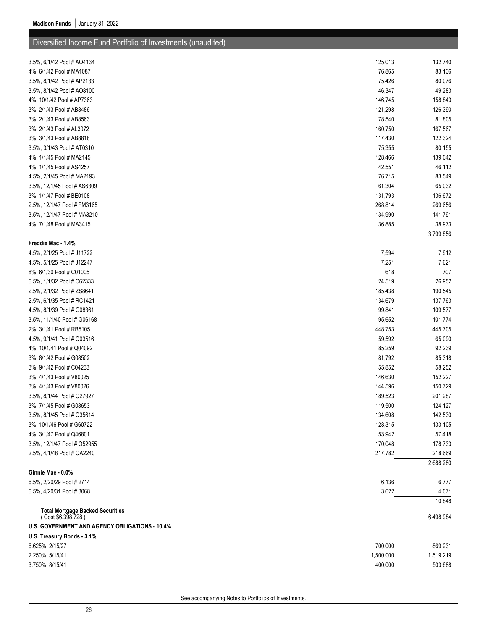# Diversified Income Fund Portfolio of Investments (unaudited)

| 3.5%, 6/1/42 Pool # AO4134                                                                                      | 125,013   | 132,740   |
|-----------------------------------------------------------------------------------------------------------------|-----------|-----------|
| 4%, 6/1/42 Pool # MA1087                                                                                        | 76,865    | 83,136    |
| 3.5%, 8/1/42 Pool # AP2133                                                                                      | 75,426    | 80,076    |
| 3.5%, 8/1/42 Pool # AO8100                                                                                      | 46,347    | 49,283    |
| 4%, 10/1/42 Pool # AP7363                                                                                       | 146,745   | 158,843   |
| 3%, 2/1/43 Pool # AB8486                                                                                        | 121,298   | 126,390   |
| 3%, 2/1/43 Pool # AB8563                                                                                        | 78,540    | 81,805    |
| 3%, 2/1/43 Pool # AL3072                                                                                        | 160,750   | 167,567   |
| 3%, 3/1/43 Pool # AB8818                                                                                        | 117,430   | 122,324   |
| 3.5%, 3/1/43 Pool # AT0310                                                                                      | 75,355    | 80,155    |
| 4%, 1/1/45 Pool # MA2145                                                                                        | 128,466   | 139,042   |
| 4%, 1/1/45 Pool # AS4257                                                                                        | 42,551    | 46,112    |
| 4.5%, 2/1/45 Pool # MA2193                                                                                      | 76,715    | 83,549    |
| 3.5%, 12/1/45 Pool # AS6309                                                                                     | 61,304    | 65,032    |
| 3%, 1/1/47 Pool # BE0108                                                                                        | 131,793   | 136,672   |
| 2.5%, 12/1/47 Pool # FM3165                                                                                     | 268,814   | 269,656   |
| 3.5%, 12/1/47 Pool # MA3210                                                                                     | 134,990   | 141,791   |
| 4%, 7/1/48 Pool # MA3415                                                                                        | 36,885    | 38,973    |
|                                                                                                                 |           | 3,799,856 |
| Freddie Mac 1.4%                                                                                                |           |           |
| 4.5%, 2/1/25 Pool # J11722                                                                                      | 7,594     | 7,912     |
| 4.5%, 5/1/25 Pool # J12247                                                                                      | 7,251     | 7,621     |
| 8%, 6/1/30 Pool # C01005                                                                                        | 618       | 707       |
| 6.5%, 1/1/32 Pool # C62333                                                                                      | 24,519    | 26,952    |
| 2.5%, 2/1/32 Pool # ZS8641                                                                                      | 185,438   | 190,545   |
| 2.5%, 6/1/35 Pool # RC1421                                                                                      | 134,679   | 137,763   |
| 4.5%, 8/1/39 Pool # G08361                                                                                      | 99,841    | 109,577   |
| 3.5%, 11/1/40 Pool # G06168                                                                                     | 95,652    | 101,774   |
| 2%, 3/1/41 Pool # RB5105                                                                                        | 448,753   | 445,705   |
| 4.5%, 9/1/41 Pool # Q03516                                                                                      | 59,592    | 65,090    |
| 4%, 10/1/41 Pool # Q04092                                                                                       | 85,259    | 92,239    |
| 3%, 8/1/42 Pool # G08502                                                                                        | 81,792    | 85,318    |
| 3%, 9/1/42 Pool # C04233                                                                                        | 55,852    | 58,252    |
| 3%, 4/1/43 Pool # V80025                                                                                        | 146,630   | 152,227   |
| 3%, 4/1/43 Pool # V80026                                                                                        | 144,596   | 150,729   |
| 3.5%, 8/1/44 Pool # Q27927                                                                                      | 189,523   | 201,287   |
| 3%, 7/1/45 Pool # G08653                                                                                        | 119,500   | 124,127   |
| 3.5%, 8/1/45 Pool # Q35614                                                                                      | 134,608   | 142,530   |
| 3%, 10/1/46 Pool # G60722                                                                                       | 128,315   | 133,105   |
| 4%, 3/1/47 Pool # Q46801                                                                                        | 53,942    | 57,418    |
| 3.5%, 12/1/47 Pool # Q52955                                                                                     | 170,048   | 178,733   |
| 2.5%, 4/1/48 Pool # QA2240                                                                                      | 217,782   | 218,669   |
|                                                                                                                 |           | 2,688,280 |
| Ginnie Mae - 0.0%                                                                                               |           |           |
| 6.5%, 2/20/29 Pool # 2714                                                                                       | 6,136     | 6,777     |
| 6.5%, 4/20/31 Pool #3068                                                                                        | 3,622     | 4,071     |
|                                                                                                                 |           | 10,848    |
| <b>Total Mortgage Backed Securities</b><br>(Cost \$6,398,728)<br>U.S. GOVERNMENT AND AGENCY OBLIGATIONS - 10.4% |           | 6,498,984 |
| U.S. Treasury Bonds 3.1%                                                                                        |           |           |
| 6.625%, 2/15/27                                                                                                 | 700,000   | 869,231   |
| 2.250%, 5/15/41                                                                                                 | 1,500,000 |           |
| 3.750%, 8/15/41                                                                                                 |           | 1,519,219 |
|                                                                                                                 | 400,000   | 503,688   |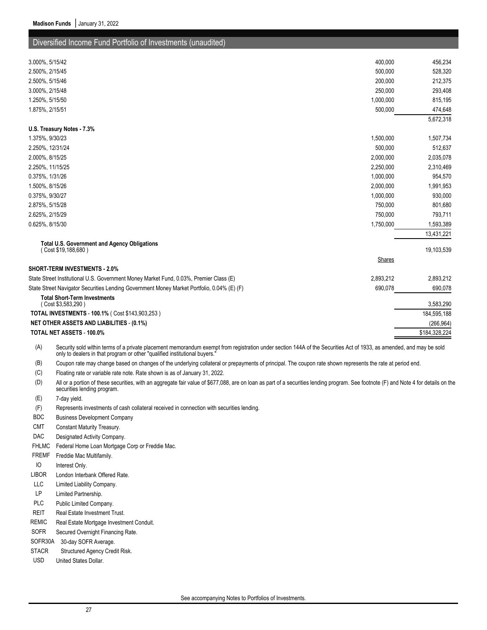## Diversified Income Fund Portfolio of Investments (unaudited)

| 3.000%, 5/15/42                                                                            | 400,000       | 456,234       |
|--------------------------------------------------------------------------------------------|---------------|---------------|
| 2.500%, 2/15/45                                                                            | 500,000       | 528,320       |
| 2.500%, 5/15/46                                                                            | 200,000       | 212,375       |
| 3.000%, 2/15/48                                                                            | 250,000       | 293,408       |
| 1.250%, 5/15/50                                                                            | 1,000,000     | 815,195       |
| 1.875%, 2/15/51                                                                            | 500,000       | 474,648       |
|                                                                                            |               | 5,672,318     |
| U.S. Treasury Notes - 7.3%                                                                 |               |               |
| 1.375%, 9/30/23                                                                            | 1,500,000     | 1,507,734     |
| 2.250%, 12/31/24                                                                           | 500,000       | 512,637       |
| 2.000%, 8/15/25                                                                            | 2,000,000     | 2,035,078     |
| 2.250%, 11/15/25                                                                           | 2,250,000     | 2,310,469     |
| 0.375%, 1/31/26                                                                            | 1,000,000     | 954,570       |
| 1.500%, 8/15/26                                                                            | 2,000,000     | 1,991,953     |
| 0.375%, 9/30/27                                                                            | 1,000,000     | 930,000       |
| 2.875%, 5/15/28                                                                            | 750,000       | 801,680       |
| 2.625%, 2/15/29                                                                            | 750,000       | 793,711       |
| 0.625%, 8/15/30                                                                            | 1,750,000     | 1,593,389     |
|                                                                                            |               | 13,431,221    |
| <b>Total U.S. Government and Agency Obligations</b>                                        |               |               |
| (Cost \$19,188,680)                                                                        |               | 19,103,539    |
|                                                                                            | <b>Shares</b> |               |
| SHORT-TERM INVESTMENTS - 2.0%                                                              |               |               |
| State Street Institutional U.S. Government Money Market Fund, 0.03%, Premier Class (E)     | 2,893,212     | 2,893,212     |
| State Street Navigator Securities Lending Government Money Market Portfolio, 0.04% (E) (F) | 690,078       | 690,078       |
| <b>Total Short-Term Investments</b><br>(Cost \$3,583,290)                                  |               | 3,583,290     |
| TOTAL INVESTMENTS - 100.1% (Cost \$143,903,253)                                            |               | 184,595,188   |
| <b>NET OTHER ASSETS AND LIABILITIES - (0.1%)</b>                                           |               | (266, 964)    |
| <b>TOTAL NET ASSETS - 100.0%</b>                                                           |               | \$184,328,224 |

(A) Security sold within terms of a private placement memorandum exempt from registration under section 144A of the Securities Act of 1933, as amended, and may be sold only to dealers in that program or other "qualified institutional buyers."

(B) Coupon rate may change based on changes of the underlying collateral or prepayments of principal. The coupon rate shown represents the rate at period end.

(C) Floating rate or variable rate note. Rate shown is as of January 31, 2022.

(D) All or a portion of these securities, with an aggregate fair value of \$677,088, are on loan as part of a securities lending program. See footnote (F) and Note 4 for details on the securities lending program.

(E) 7-day yield.

(F) Represents investments of cash collateral received in connection with securities lending.

- BDC Business Development Company
- CMT Constant Maturity Treasury.
- DAC Designated Activity Company.
- FHLMC Federal Home Loan Mortgage Corp or Freddie Mac.
- FREMF Freddie Mac Multifamily.
- IO Interest Only.
- LIBOR London Interbank Offered Rate.
- LLC Limited Liability Company.
- LP Limited Partnership.
- PLC Public Limited Company.
- REIT Real Estate Investment Trust.
- REMIC Real Estate Mortgage Investment Conduit.
- SOFR Secured Overnight Financing Rate.
- SOFR30A 30-day SOFR Average.
- STACR Structured Agency Credit Risk.
- USD United States Dollar.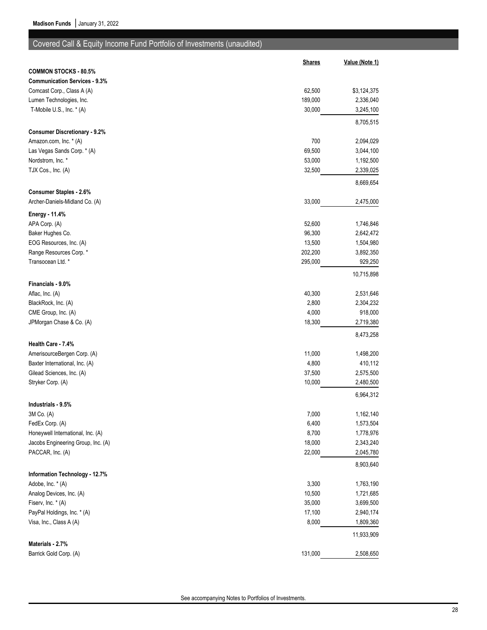## Covered Call & Equity Income Fund Portfolio of Investments (unaudited)

|                                      | <b>Shares</b> | Value (Note 1) |
|--------------------------------------|---------------|----------------|
| <b>COMMON STOCKS - 80.5%</b>         |               |                |
| <b>Communication Services - 9.3%</b> |               |                |
| Comcast Corp., Class A (A)           | 62,500        | \$3,124,375    |
| Lumen Technologies, Inc.             | 189,000       | 2,336,040      |
| T-Mobile U.S., Inc. * (A)            | 30,000        | 3,245,100      |
|                                      |               | 8,705,515      |
| <b>Consumer Discretionary - 9.2%</b> |               |                |
| Amazon.com, Inc. * (A)               | 700           | 2,094,029      |
| Las Vegas Sands Corp. * (A)          | 69,500        | 3,044,100      |
| Nordstrom, Inc. *                    | 53,000        | 1,192,500      |
| TJX Cos., Inc. (A)                   | 32,500        | 2,339,025      |
| <b>Consumer Staples - 2.6%</b>       |               | 8,669,654      |
| Archer-Daniels-Midland Co. (A)       | 33,000        | 2,475,000      |
| Energy - 11.4%                       |               |                |
| APA Corp. (A)                        | 52,600        | 1,746,846      |
| Baker Hughes Co.                     | 96,300        | 2,642,472      |
| EOG Resources, Inc. (A)              | 13,500        | 1,504,980      |
| Range Resources Corp. *              | 202,200       | 3,892,350      |
| Transocean Ltd. *                    | 295,000       | 929,250        |
|                                      |               | 10,715,898     |
| Financials - 9.0%                    |               |                |
| Aflac, Inc. (A)                      | 40,300        | 2,531,646      |
| BlackRock, Inc. (A)                  | 2,800         | 2,304,232      |
| CME Group, Inc. (A)                  | 4,000         | 918,000        |
| JPMorgan Chase & Co. (A)             | 18,300        | 2,719,380      |
| Health Care - 7.4%                   |               | 8,473,258      |
| AmerisourceBergen Corp. (A)          | 11,000        | 1,498,200      |
| Baxter International, Inc. (A)       | 4,800         | 410,112        |
| Gilead Sciences, Inc. (A)            | 37,500        | 2,575,500      |
| Stryker Corp. (A)                    | 10,000        | 2,480,500      |
|                                      |               | 6,964,312      |
| Industrials - 9.5%                   |               |                |
| 3M Co. (A)                           | 7,000         | 1,162,140      |
| FedEx Corp. (A)                      | 6,400         | 1,573,504      |
| Honeywell International, Inc. (A)    | 8,700         | 1,778,976      |
| Jacobs Engineering Group, Inc. (A)   | 18,000        | 2,343,240      |
| PACCAR, Inc. (A)                     | 22,000        | 2,045,780      |
| Information Technology - 12.7%       |               | 8,903,640      |
| Adobe, Inc. * (A)                    | 3,300         | 1,763,190      |
| Analog Devices, Inc. (A)             | 10,500        | 1,721,685      |
| Fiserv, Inc. * (A)                   | 35,000        | 3,699,500      |
| PayPal Holdings, Inc. * (A)          | 17,100        | 2,940,174      |
| Visa, Inc., Class A (A)              | 8,000         | 1,809,360      |
|                                      |               | 11,933,909     |
| Materials - 2.7%                     |               |                |
| Barrick Gold Corp. (A)               | 131,000       | 2,508,650      |
|                                      |               |                |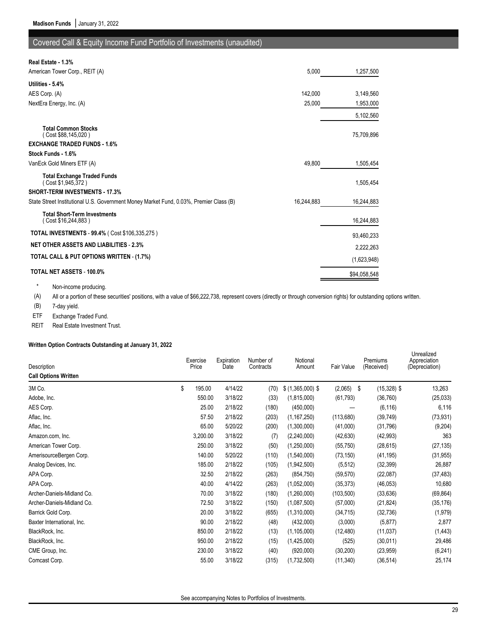## Covered Call & Equity Income Fund Portfolio of Investments (unaudited)

| Real Estate - 1.3%                                                                     |            |              |
|----------------------------------------------------------------------------------------|------------|--------------|
| American Tower Corp., REIT (A)                                                         | 5,000      | 1,257,500    |
| Utilities - 5.4%                                                                       |            |              |
| AES Corp. (A)                                                                          | 142,000    | 3,149,560    |
| NextEra Energy, Inc. (A)                                                               | 25,000     | 1,953,000    |
|                                                                                        |            | 5,102,560    |
| <b>Total Common Stocks</b><br>(Cost \$88,145,020)                                      |            | 75,709,896   |
| <b>EXCHANGE TRADED FUNDS - 1.6%</b>                                                    |            |              |
| Stock Funds - 1.6%                                                                     |            |              |
| VanEck Gold Miners ETF (A)                                                             | 49,800     | 1,505,454    |
| <b>Total Exchange Traded Funds</b><br>(Cost \$1,945,372)                               |            | 1,505,454    |
| <b>SHORT-TERM INVESTMENTS - 17.3%</b>                                                  |            |              |
| State Street Institutional U.S. Government Money Market Fund, 0.03%, Premier Class (B) | 16,244,883 | 16,244,883   |
| <b>Total Short-Term Investments</b><br>(Cost \$16,244,883)                             |            | 16,244,883   |
| TOTAL INVESTMENTS - 99.4% (Cost \$106,335,275)                                         |            | 93,460,233   |
| <b>NET OTHER ASSETS AND LIABILITIES - 2.3%</b>                                         |            | 2,222,263    |
| TOTAL CALL & PUT OPTIONS WRITTEN - (1.7%)                                              |            | (1,623,948)  |
| <b>TOTAL NET ASSETS - 100.0%</b>                                                       |            | \$94,058,548 |

\* Non-income producing.

(A) All or a portion of these securities' positions, with a value of \$66,222,738, represent covers (directly or through conversion rights) for outstanding options written.

(B) 7-day yield.

ETF Exchange Traded Fund.

REIT Real Estate Investment Trust.

### **Written Option Contracts Outstanding at January 31, 2022**

| Description<br><b>Call Options Written</b> | Exercise<br>Price | Expiration<br>Date | Number of<br>Contracts | Notional<br>Amount | Fair Value    | Premiums<br>(Received) | Unrealized<br>Appreciation<br>(Depreciation) |
|--------------------------------------------|-------------------|--------------------|------------------------|--------------------|---------------|------------------------|----------------------------------------------|
| 3M Co.                                     | \$<br>195.00      | 4/14/22            | (70)                   | $$$ (1,365,000) \$ | (2,065)<br>\$ | $(15,328)$ \$          | 13,263                                       |
| Adobe, Inc.                                | 550.00            | 3/18/22            | (33)                   | (1,815,000)        | (61, 793)     | (36, 760)              | (25, 033)                                    |
| AES Corp.                                  | 25.00             | 2/18/22            | (180)                  | (450,000)          |               | (6, 116)               | 6,116                                        |
| Aflac, Inc.                                | 57.50             | 2/18/22            | (203)                  | (1, 167, 250)      | (113, 680)    | (39, 749)              | (73, 931)                                    |
| Aflac, Inc.                                | 65.00             | 5/20/22            | (200)                  | (1,300,000)        | (41,000)      | (31, 796)              | (9,204)                                      |
| Amazon.com, Inc.                           | 3,200.00          | 3/18/22            | (7)                    | (2,240,000)        | (42, 630)     | (42, 993)              | 363                                          |
| American Tower Corp.                       | 250.00            | 3/18/22            | (50)                   | (1,250,000)        | (55, 750)     | (28, 615)              | (27, 135)                                    |
| AmerisourceBergen Corp.                    | 140.00            | 5/20/22            | (110)                  | (1,540,000)        | (73, 150)     | (41, 195)              | (31, 955)                                    |
| Analog Devices, Inc.                       | 185.00            | 2/18/22            | (105)                  | (1,942,500)        | (5, 512)      | (32, 399)              | 26,887                                       |
| APA Corp.                                  | 32.50             | 2/18/22            | (263)                  | (854, 750)         | (59, 570)     | (22,087)               | (37, 483)                                    |
| APA Corp.                                  | 40.00             | 4/14/22            | (263)                  | (1,052,000)        | (35, 373)     | (46, 053)              | 10,680                                       |
| Archer-Daniels-Midland Co.                 | 70.00             | 3/18/22            | (180)                  | (1,260,000)        | (103, 500)    | (33, 636)              | (69, 864)                                    |
| Archer-Daniels-Midland Co.                 | 72.50             | 3/18/22            | (150)                  | (1,087,500)        | (57,000)      | (21, 824)              | (35, 176)                                    |
| Barrick Gold Corp.                         | 20.00             | 3/18/22            | (655)                  | (1,310,000)        | (34, 715)     | (32, 736)              | (1, 979)                                     |
| Baxter International, Inc.                 | 90.00             | 2/18/22            | (48)                   | (432,000)          | (3,000)       | (5, 877)               | 2,877                                        |
| BlackRock, Inc.                            | 850.00            | 2/18/22            | (13)                   | (1, 105, 000)      | (12, 480)     | (11, 037)              | (1, 443)                                     |
| BlackRock, Inc.                            | 950.00            | 2/18/22            | (15)                   | (1,425,000)        | (525)         | (30,011)               | 29,486                                       |
| CME Group, Inc.                            | 230.00            | 3/18/22            | (40)                   | (920,000)          | (30, 200)     | (23, 959)              | (6, 241)                                     |
| Comcast Corp.                              | 55.00             | 3/18/22            | (315)                  | (1,732,500)        | (11, 340)     | (36, 514)              | 25,174                                       |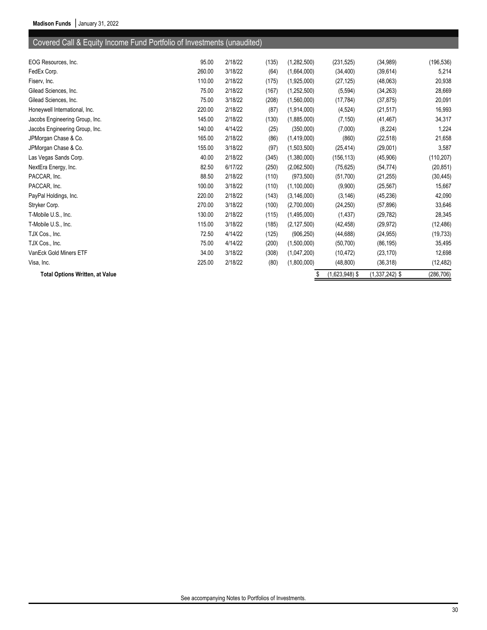# Covered Call & Equity Income Fund Portfolio of Investments (unaudited)

| EOG Resources, Inc.                    | 95.00  | 2/18/22 | (135) | (1,282,500)   | (231, 525)       | (34, 989)        | (196, 536) |
|----------------------------------------|--------|---------|-------|---------------|------------------|------------------|------------|
| FedEx Corp.                            | 260.00 | 3/18/22 | (64)  | (1,664,000)   | (34, 400)        | (39, 614)        | 5,214      |
| Fiserv, Inc.                           | 110.00 | 2/18/22 | (175) | (1,925,000)   | (27, 125)        | (48,063)         | 20,938     |
| Gilead Sciences, Inc.                  | 75.00  | 2/18/22 | (167) | (1,252,500)   | (5, 594)         | (34, 263)        | 28,669     |
| Gilead Sciences, Inc.                  | 75.00  | 3/18/22 | (208) | (1,560,000)   | (17, 784)        | (37, 875)        | 20,091     |
| Honeywell International, Inc.          | 220.00 | 2/18/22 | (87)  | (1,914,000)   | (4, 524)         | (21, 517)        | 16,993     |
| Jacobs Engineering Group, Inc.         | 145.00 | 2/18/22 | (130) | (1,885,000)   | (7, 150)         | (41, 467)        | 34,317     |
| Jacobs Engineering Group, Inc.         | 140.00 | 4/14/22 | (25)  | (350,000)     | (7,000)          | (8, 224)         | 1,224      |
| JPMorgan Chase & Co.                   | 165.00 | 2/18/22 | (86)  | (1,419,000)   | (860)            | (22, 518)        | 21,658     |
| JPMorgan Chase & Co.                   | 155.00 | 3/18/22 | (97)  | (1,503,500)   | (25, 414)        | (29,001)         | 3,587      |
| Las Vegas Sands Corp.                  | 40.00  | 2/18/22 | (345) | (1,380,000)   | (156, 113)       | (45,906)         | (110, 207) |
| NextEra Energy, Inc.                   | 82.50  | 6/17/22 | (250) | (2,062,500)   | (75, 625)        | (54, 774)        | (20, 851)  |
| PACCAR, Inc.                           | 88.50  | 2/18/22 | (110) | (973, 500)    | (51,700)         | (21, 255)        | (30, 445)  |
| PACCAR, Inc.                           | 100.00 | 3/18/22 | (110) | (1, 100, 000) | (9,900)          | (25, 567)        | 15,667     |
| PayPal Holdings, Inc.                  | 220.00 | 2/18/22 | (143) | (3, 146, 000) | (3, 146)         | (45, 236)        | 42,090     |
| Stryker Corp.                          | 270.00 | 3/18/22 | (100) | (2,700,000)   | (24, 250)        | (57, 896)        | 33,646     |
| T-Mobile U.S., Inc.                    | 130.00 | 2/18/22 | (115) | (1,495,000)   | (1, 437)         | (29, 782)        | 28,345     |
| T-Mobile U.S., Inc.                    | 115.00 | 3/18/22 | (185) | (2, 127, 500) | (42, 458)        | (29, 972)        | (12, 486)  |
| TJX Cos., Inc.                         | 72.50  | 4/14/22 | (125) | (906, 250)    | (44, 688)        | (24, 955)        | (19, 733)  |
| TJX Cos., Inc.                         | 75.00  | 4/14/22 | (200) | (1,500,000)   | (50, 700)        | (86, 195)        | 35,495     |
| VanEck Gold Miners ETF                 | 34.00  | 3/18/22 | (308) | (1,047,200)   | (10, 472)        | (23, 170)        | 12,698     |
| Visa, Inc.                             | 225.00 | 2/18/22 | (80)  | (1,800,000)   | (48, 800)        | (36, 318)        | (12, 482)  |
| <b>Total Options Written, at Value</b> |        |         |       | \$            | $(1,623,948)$ \$ | $(1,337,242)$ \$ | (286, 706) |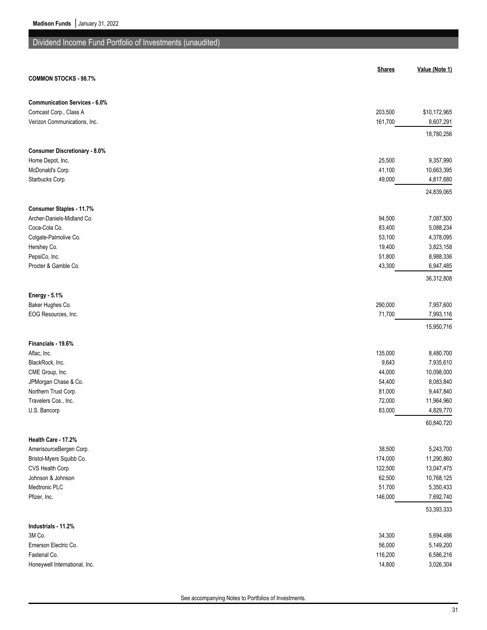# Dividend Income Fund Portfolio of Investments (unaudited)

|                                                        | <b>Shares</b>    | Value (Note 1)          |
|--------------------------------------------------------|------------------|-------------------------|
| <b>COMMON STOCKS - 98.7%</b>                           |                  |                         |
| <b>Communication Services - 6.0%</b>                   |                  |                         |
| Comcast Corp., Class A                                 | 203,500          | \$10,172,965            |
| Verizon Communications, Inc.                           | 161,700          | 8,607,291               |
|                                                        |                  | 18,780,256              |
| <b>Consumer Discretionary - 8.0%</b>                   |                  |                         |
| Home Depot, Inc.                                       | 25,500           | 9,357,990               |
| McDonald's Corp.<br>Starbucks Corp.                    | 41,100<br>49,000 | 10,663,395              |
|                                                        |                  | 4,817,680<br>24,839,065 |
|                                                        |                  |                         |
| Consumer Staples - 11.7%<br>Archer-Daniels-Midland Co. | 94,500           | 7,087,500               |
| Coca-Cola Co.                                          | 83,400           | 5,088,234               |
| Colgate-Palmolive Co.                                  | 53,100           | 4,378,095               |
| Hershey Co.                                            | 19,400           | 3,823,158               |
| PepsiCo, Inc.                                          | 51,800           | 8,988,336               |
| Procter & Gamble Co.                                   | 43,300           | 6,947,485               |
|                                                        |                  | 36,312,808              |
| <b>Energy - 5.1%</b>                                   |                  |                         |
| Baker Hughes Co.                                       | 290,000          | 7,957,600               |
| EOG Resources, Inc.                                    | 71,700           | 7,993,116               |
|                                                        |                  | 15,950,716              |
| Financials - 19.6%                                     |                  |                         |
| Aflac, Inc.                                            | 135,000          | 8,480,700               |
| BlackRock, Inc.                                        | 9,643            | 7,935,610<br>10,098,000 |
| CME Group, Inc.<br>JPMorgan Chase & Co.                | 44,000<br>54,400 | 8,083,840               |
| Northern Trust Corp.                                   | 81,000           | 9,447,840               |
| Travelers Cos., Inc.                                   | 72,000           | 11,964,960              |
| U.S. Bancorp                                           | 83,000           | 4,829,770               |
|                                                        |                  | 60,840,720              |
| Health Care - 17.2%                                    |                  |                         |
| AmerisourceBergen Corp.                                | 38,500           | 5,243,700               |
| Bristol-Myers Squibb Co.                               | 174,000          | 11,290,860              |
| CVS Health Corp.                                       | 122,500          | 13,047,475              |
| Johnson & Johnson                                      | 62,500           | 10,768,125              |
| Medtronic PLC                                          | 51,700           | 5,350,433               |
| Pfizer, Inc.                                           | 146,000          | 7,692,740               |
|                                                        |                  | 53,393,333              |
| Industrials - 11.2%<br>3M Co.                          | 34,300           | 5,694,486               |
| Emerson Electric Co.                                   | 56,000           | 5,149,200               |
| Fastenal Co.                                           | 116,200          | 6,586,216               |
| Honeywell International, Inc.                          | 14,800           | 3,026,304               |
|                                                        |                  |                         |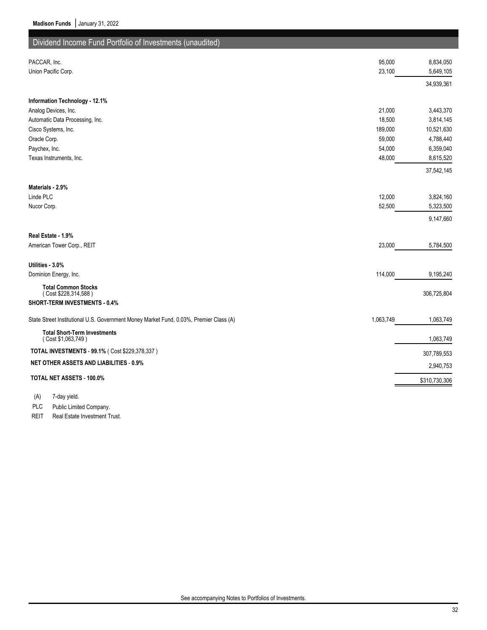| Dividend Income Fund Portfolio of Investments (unaudited)                              |           |               |
|----------------------------------------------------------------------------------------|-----------|---------------|
|                                                                                        |           |               |
| PACCAR, Inc.                                                                           | 95,000    | 8,834,050     |
| Union Pacific Corp.                                                                    | 23,100    | 5,649,105     |
|                                                                                        |           | 34,939,361    |
| Information Technology - 12.1%                                                         |           |               |
| Analog Devices, Inc.                                                                   | 21,000    | 3,443,370     |
| Automatic Data Processing, Inc.                                                        | 18,500    | 3,814,145     |
| Cisco Systems, Inc.                                                                    | 189,000   | 10,521,630    |
| Oracle Corp.                                                                           | 59,000    | 4,788,440     |
| Paychex, Inc.                                                                          | 54,000    | 6,359,040     |
| Texas Instruments, Inc.                                                                | 48,000    | 8,615,520     |
|                                                                                        |           | 37,542,145    |
| Materials - 2.9%                                                                       |           |               |
| Linde PLC                                                                              | 12,000    | 3,824,160     |
| Nucor Corp.                                                                            | 52,500    | 5,323,500     |
|                                                                                        |           | 9,147,660     |
| Real Estate - 1.9%                                                                     |           |               |
| American Tower Corp., REIT                                                             | 23,000    | 5,784,500     |
| Utilities - 3.0%                                                                       |           |               |
| Dominion Energy, Inc.                                                                  | 114,000   | 9,195,240     |
| <b>Total Common Stocks</b>                                                             |           |               |
| (Cost \$228,314,588)                                                                   |           | 306,725,804   |
| SHORT-TERM INVESTMENTS - 0.4%                                                          |           |               |
| State Street Institutional U.S. Government Money Market Fund, 0.03%, Premier Class (A) | 1,063,749 | 1,063,749     |
| <b>Total Short-Term Investments</b><br>(Cost \$1,063,749)                              |           | 1,063,749     |
| TOTAL INVESTMENTS - 99.1% ( Cost \$229,378,337 )                                       |           | 307,789,553   |
| <b>NET OTHER ASSETS AND LIABILITIES - 0.9%</b>                                         |           | 2,940,753     |
| TOTAL NET ASSETS - 100.0%                                                              |           | \$310,730,306 |
|                                                                                        |           |               |

(A) 7-day yield.

PLC Public Limited Company.

REIT Real Estate Investment Trust.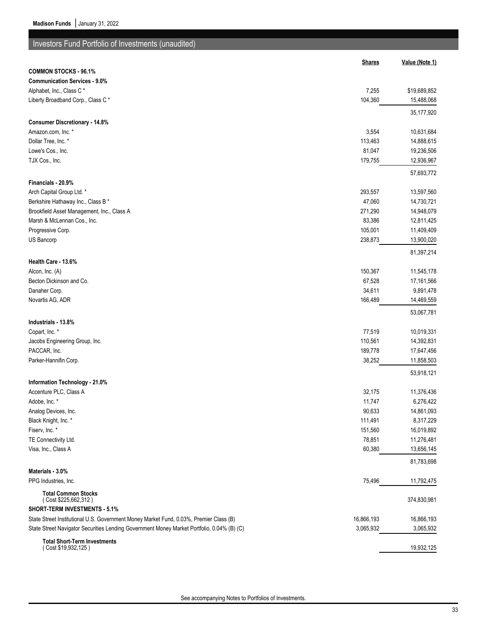| <b>Investors Fund Portfolio of Investments (unaudited)</b>                                                                                                                           |                         |                         |
|--------------------------------------------------------------------------------------------------------------------------------------------------------------------------------------|-------------------------|-------------------------|
|                                                                                                                                                                                      | <b>Shares</b>           | Value (Note 1)          |
| <b>COMMON STOCKS - 96.1%</b>                                                                                                                                                         |                         |                         |
| <b>Communication Services - 9.0%</b>                                                                                                                                                 |                         |                         |
| Alphabet, Inc., Class C*                                                                                                                                                             | 7,255                   | \$19,689,852            |
| Liberty Broadband Corp., Class C*                                                                                                                                                    | 104,360                 | 15,488,068              |
|                                                                                                                                                                                      |                         | 35,177,920              |
| <b>Consumer Discretionary - 14.8%</b>                                                                                                                                                |                         |                         |
| Amazon.com, Inc. *                                                                                                                                                                   | 3,554                   | 10,631,684              |
| Dollar Tree, Inc. *                                                                                                                                                                  | 113,463                 | 14,888,615              |
| Lowe's Cos., Inc.                                                                                                                                                                    | 81,047                  | 19,236,506              |
| TJX Cos., Inc.                                                                                                                                                                       | 179,755                 | 12,936,967              |
|                                                                                                                                                                                      |                         | 57,693,772              |
| Financials - 20.9%                                                                                                                                                                   |                         |                         |
| Arch Capital Group Ltd. *                                                                                                                                                            | 293,557                 | 13,597,560              |
| Berkshire Hathaway Inc., Class B *                                                                                                                                                   | 47,060                  | 14,730,721              |
| Brookfield Asset Management, Inc., Class A                                                                                                                                           | 271,290                 | 14,948,079              |
| Marsh & McLennan Cos., Inc.                                                                                                                                                          | 83,386                  | 12,811,425              |
| Progressive Corp.                                                                                                                                                                    | 105,001                 | 11,409,409              |
| US Bancorp                                                                                                                                                                           | 238,873                 | 13,900,020              |
|                                                                                                                                                                                      |                         | 81,397,214              |
| Health Care - 13.6%                                                                                                                                                                  |                         |                         |
| Alcon, Inc. (A)                                                                                                                                                                      | 150,367                 | 11,545,178              |
| Becton Dickinson and Co.                                                                                                                                                             | 67,528                  | 17,161,566              |
| Danaher Corp.                                                                                                                                                                        | 34,611                  | 9,891,478               |
| Novartis AG, ADR                                                                                                                                                                     | 166,489                 | 14,469,559              |
|                                                                                                                                                                                      |                         | 53,067,781              |
| Industrials - 13.8%                                                                                                                                                                  |                         |                         |
| Copart, Inc. *                                                                                                                                                                       | 77,519                  | 10,019,331              |
| Jacobs Engineering Group, Inc.                                                                                                                                                       | 110,561                 | 14,392,831              |
| PACCAR, Inc.                                                                                                                                                                         | 189,778                 | 17,647,456              |
| Parker-Hannifin Corp.                                                                                                                                                                | 38,252                  | 11,858,503              |
|                                                                                                                                                                                      |                         | 53,918,121              |
| Information Technology - 21.0%                                                                                                                                                       |                         |                         |
| Accenture PLC, Class A                                                                                                                                                               | 32,175                  | 11,376,436              |
| Adobe, Inc. *                                                                                                                                                                        | 11,747                  | 6,276,422               |
| Analog Devices, Inc.                                                                                                                                                                 | 90,633                  | 14,861,093              |
| Black Knight, Inc. *                                                                                                                                                                 | 111,491                 | 8,317,229               |
| Fiserv, Inc. *                                                                                                                                                                       | 151,560                 | 16,019,892              |
| TE Connectivity Ltd.                                                                                                                                                                 | 78,851                  | 11,276,481              |
| Visa, Inc., Class A                                                                                                                                                                  | 60,380                  | 13,656,145              |
|                                                                                                                                                                                      |                         | 81,783,698              |
| Materials - 3.0%                                                                                                                                                                     |                         |                         |
| PPG Industries, Inc.                                                                                                                                                                 | 75,496                  | 11,792,475              |
| <b>Total Common Stocks</b>                                                                                                                                                           |                         |                         |
| (Cost \$225,662,312)<br>SHORT-TERM INVESTMENTS - 5.1%                                                                                                                                |                         | 374,830,981             |
|                                                                                                                                                                                      |                         |                         |
| State Street Institutional U.S. Government Money Market Fund, 0.03%, Premier Class (B)<br>State Street Navigator Securities Lending Government Money Market Portfolio, 0.04% (B) (C) | 16,866,193<br>3,065,932 | 16,866,193<br>3,065,932 |
|                                                                                                                                                                                      |                         |                         |
| <b>Total Short-Term Investments</b><br>(Cost \$19,932,125)                                                                                                                           |                         | 19,932,125              |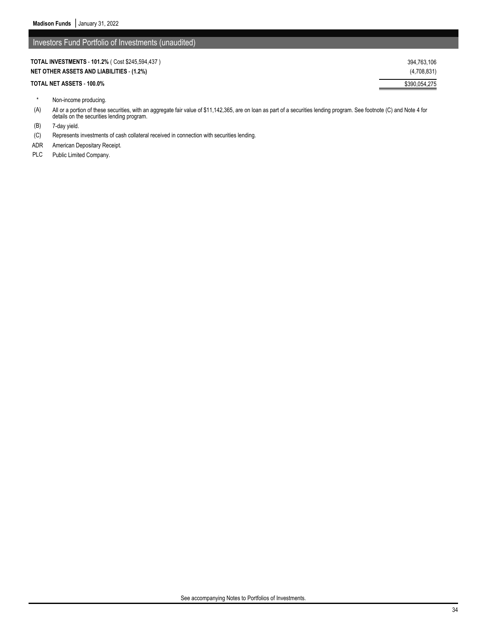| <b>TOTAL INVESTMENTS - 101.2% (Cost \$245,594,437)</b> | 394.763.106   |
|--------------------------------------------------------|---------------|
| <b>NET OTHER ASSETS AND LIABILITIES - (1.2%)</b>       | (4,708,831)   |
| TOTAL NET ASSETS - 100.0%                              | \$390,054,275 |

- \* Non-income producing.
- (A) All or a portion of these securities, with an aggregate fair value of \$11,142,365, are on loan as part of a securities lending program. See footnote (C) and Note 4 for details on the securities lending program.
- (B) 7-day yield.
- (C) Represents investments of cash collateral received in connection with securities lending.
- ADR American Depositary Receipt.
- PLC Public Limited Company.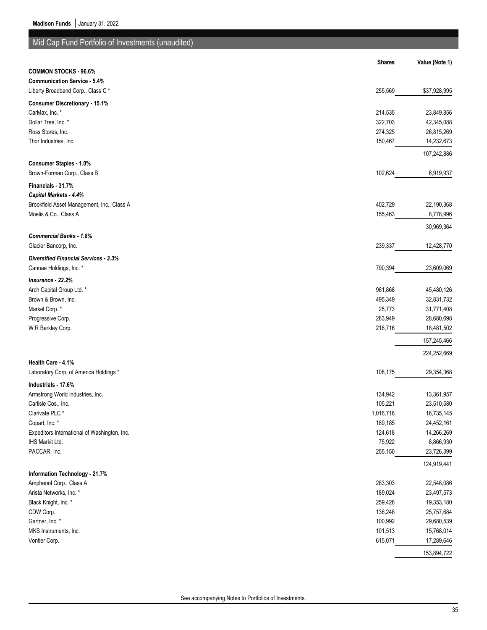| Mid Cap Fund Portfolio of Investments (unaudited) |               |                |
|---------------------------------------------------|---------------|----------------|
|                                                   |               |                |
|                                                   | <b>Shares</b> | Value (Note 1) |
| <b>COMMON STOCKS - 96.6%</b>                      |               |                |
| <b>Communication Service - 5.4%</b>               |               |                |
| Liberty Broadband Corp., Class C*                 | 255,569       | \$37,928,995   |
| <b>Consumer Discretionary - 15.1%</b>             |               |                |
| CarMax, Inc. *                                    | 214,535       | 23,849,856     |
| Dollar Tree, Inc. *                               | 322,703       | 42,345,088     |
| Ross Stores, Inc.                                 | 274,325       | 26,815,269     |
| Thor Industries, Inc.                             | 150,467       | 14,232,673     |
|                                                   |               | 107,242,886    |
| <b>Consumer Staples - 1.0%</b>                    |               |                |
| Brown-Forman Corp., Class B                       | 102,624       | 6,919,937      |
| Financials - 31.7%                                |               |                |
| Capital Markets - 4.4%                            |               |                |
| Brookfield Asset Management, Inc., Class A        | 402,729       | 22,190,368     |
| Moelis & Co., Class A                             | 155,463       | 8,778,996      |
|                                                   |               |                |
|                                                   |               | 30,969,364     |
| <b>Commercial Banks - 1.8%</b>                    |               |                |
| Glacier Bancorp, Inc.                             | 239,337       | 12,428,770     |
| <b>Diversified Financial Services - 3.3%</b>      |               |                |
| Cannae Holdings, Inc. *                           | 790,394       | 23,609,069     |
| Insurance - 22.2%                                 |               |                |
| Arch Capital Group Ltd. *                         | 981,868       | 45,480,126     |
| Brown & Brown, Inc.                               | 495,349       | 32,831,732     |
| Markel Corp.*                                     | 25,773        | 31,771,408     |
| Progressive Corp.                                 | 263,949       | 28,680,698     |
| W R Berkley Corp.                                 | 218,716       | 18,481,502     |
|                                                   |               | 157,245,466    |
|                                                   |               |                |
| Health Care - 4.1%                                |               | 224,252,669    |
| Laboratory Corp. of America Holdings *            | 108,175       | 29,354,368     |
|                                                   |               |                |
| Industrials - 17.6%                               |               |                |
| Armstrong World Industries, Inc.                  | 134,942       | 13,361,957     |
| Carlisle Cos., Inc.                               | 105,221       | 23,510,580     |
| Clarivate PLC <sup>*</sup>                        | 1,016,716     | 16,735,145     |
| Copart, Inc. *                                    | 189,185       | 24,452,161     |
| Expeditors International of Washington, Inc.      | 124,618       | 14,266,269     |
| IHS Markit Ltd.                                   | 75,922        | 8,866,930      |
| PACCAR, Inc.                                      | 255,150       | 23,726,399     |
|                                                   |               | 124,919,441    |
| Information Technology - 21.7%                    |               |                |
| Amphenol Corp., Class A                           | 283,303       | 22,548,086     |
| Arista Networks, Inc. *                           | 189,024       | 23,497,573     |
| Black Knight, Inc. *                              | 259,426       | 19,353,180     |
| CDW Corp.                                         | 136,248       | 25,757,684     |
| Gartner, Inc. *                                   | 100,992       | 29,680,539     |
| MKS Instruments, Inc.                             | 101,513       | 15,768,014     |
| Vontier Corp.                                     | 615,071       | 17,289,646     |

153,894,722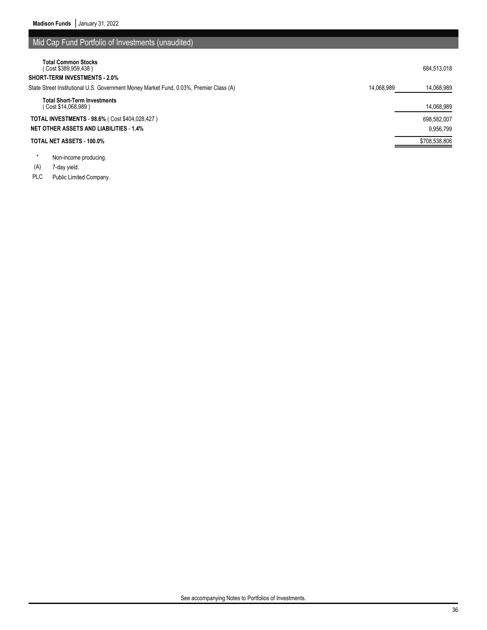| Mid Cap Fund Portfolio of Investments (unaudited)                                                                  |
|--------------------------------------------------------------------------------------------------------------------|
| 684.513.018                                                                                                        |
|                                                                                                                    |
| State Street Institutional U.S. Government Money Market Fund, 0.03%, Premier Class (A)<br>14.068.989<br>14,068,989 |
| 14,068,989                                                                                                         |
| 698.582.007                                                                                                        |
| 9.956.799                                                                                                          |
| \$708,538,806                                                                                                      |
|                                                                                                                    |

\* Non-income producing.

(A) 7-day yield.

PLC Public Limited Company.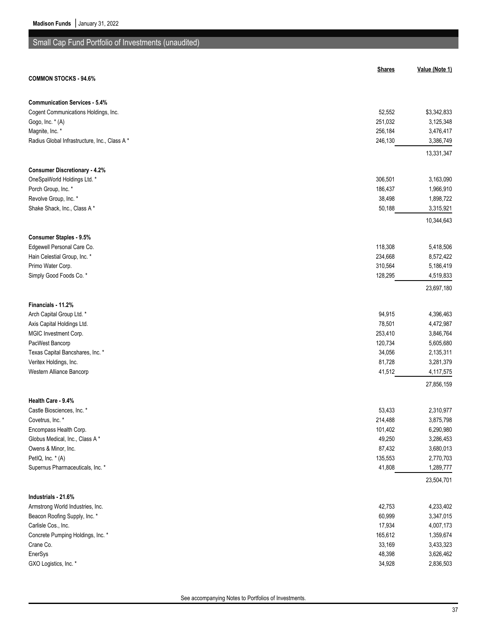# Small Cap Fund Portfolio of Investments (unaudited)

| <b>Shares</b><br><b>COMMON STOCKS - 94.6%</b>                     | Value (Note 1)          |
|-------------------------------------------------------------------|-------------------------|
|                                                                   |                         |
| <b>Communication Services - 5.4%</b>                              |                         |
| Cogent Communications Holdings, Inc.<br>52,552                    | \$3,342,833             |
| 251,032<br>Gogo, Inc. * (A)                                       | 3,125,348               |
| Magnite, Inc. *<br>256,184                                        | 3,476,417               |
| Radius Global Infrastructure, Inc., Class A*<br>246,130           | 3,386,749               |
|                                                                   | 13,331,347              |
| <b>Consumer Discretionary - 4.2%</b>                              |                         |
| 306,501<br>OneSpaWorld Holdings Ltd. *                            | 3,163,090               |
| Porch Group, Inc. *<br>186,437                                    | 1,966,910               |
| Revolve Group, Inc. *<br>38,498                                   | 1,898,722               |
| Shake Shack, Inc., Class A*<br>50,188                             | 3,315,921               |
|                                                                   | 10,344,643              |
| <b>Consumer Staples - 9.5%</b>                                    |                         |
| 118,308<br>Edgewell Personal Care Co.                             | 5,418,506               |
| Hain Celestial Group, Inc. *<br>234,668                           | 8,572,422               |
| Primo Water Corp.<br>310,564                                      | 5,186,419               |
| Simply Good Foods Co. *<br>128,295                                | 4,519,833               |
|                                                                   | 23,697,180              |
| Financials - 11.2%                                                |                         |
| Arch Capital Group Ltd. *<br>94,915                               | 4,396,463               |
| 78,501<br>Axis Capital Holdings Ltd.                              | 4,472,987               |
| 253,410<br>MGIC Investment Corp.                                  | 3,846,764               |
| 120,734<br>PacWest Bancorp                                        | 5,605,680               |
| Texas Capital Bancshares, Inc. *<br>34,056                        | 2,135,311               |
| Veritex Holdings, Inc.<br>81,728                                  | 3,281,379               |
| Western Alliance Bancorp<br>41,512                                | 4,117,575               |
|                                                                   | 27,856,159              |
| Health Care - 9.4%                                                |                         |
| Castle Biosciences, Inc. *<br>53,433                              | 2,310,977               |
| Covetrus, Inc. *<br>214,488                                       | 3,875,798               |
| Encompass Health Corp.<br>101,402                                 | 6,290,980               |
| 49,250<br>Globus Medical, Inc., Class A*                          | 3,286,453               |
| 87,432<br>Owens & Minor, Inc.                                     | 3,680,013               |
| PetIQ, Inc. * (A)<br>135,553                                      | 2,770,703               |
| 41,808<br>Supernus Pharmaceuticals, Inc. *                        | 1,289,777<br>23,504,701 |
|                                                                   |                         |
| Industrials - 21.6%<br>Armstrong World Industries, Inc.<br>42,753 | 4,233,402               |
| Beacon Roofing Supply, Inc. *<br>60,999                           | 3,347,015               |
| Carlisle Cos., Inc.<br>17,934                                     | 4,007,173               |
| 165,612<br>Concrete Pumping Holdings, Inc. *                      | 1,359,674               |
| Crane Co.<br>33,169                                               | 3,433,323               |
| EnerSys<br>48,398                                                 | 3,626,462               |
| GXO Logistics, Inc. *<br>34,928                                   | 2,836,503               |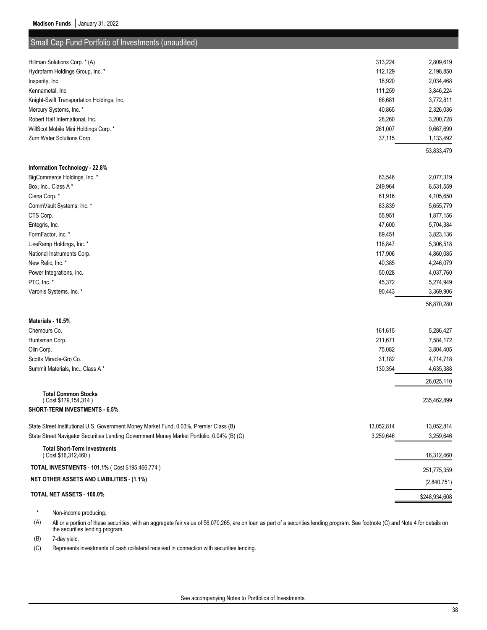| Small Cap Fund Portfolio of Investments (unaudited)                                        |                   |                         |
|--------------------------------------------------------------------------------------------|-------------------|-------------------------|
|                                                                                            |                   |                         |
| Hillman Solutions Corp. * (A)                                                              | 313,224           | 2,809,619               |
| Hydrofarm Holdings Group, Inc. *                                                           | 112,129<br>18,920 | 2,198,850<br>2,034,468  |
| Insperity, Inc.<br>Kennametal, Inc.                                                        | 111,259           | 3,846,224               |
| Knight-Swift Transportation Holdings, Inc.                                                 | 66,681            | 3,772,811               |
| Mercury Systems, Inc. *                                                                    | 40,865            | 2,326,036               |
| Robert Half International, Inc.                                                            | 28,260            | 3,200,728               |
| WillScot Mobile Mini Holdings Corp. *                                                      | 261,007           | 9,667,699               |
| Zurn Water Solutions Corp.                                                                 | 37,115            | 1,133,492               |
|                                                                                            |                   | 53,833,479              |
| Information Technology - 22.8%                                                             |                   |                         |
| BigCommerce Holdings, Inc. *                                                               | 63,546            | 2,077,319               |
| Box, Inc., Class A*                                                                        | 249,964           | 6,531,559               |
| Ciena Corp.*                                                                               | 61,916            | 4,105,650               |
| CommVault Systems, Inc. *                                                                  | 83,839            | 5,655,779               |
| CTS Corp.                                                                                  | 55,951            | 1,877,156               |
| Entegris, Inc.                                                                             | 47,600            | 5,704,384               |
| FormFactor, Inc. *                                                                         | 89,451            | 3,823,136               |
| LiveRamp Holdings, Inc. *                                                                  | 118,847           | 5,306,518               |
| National Instruments Corp.                                                                 | 117,906           | 4,860,085               |
| New Relic, Inc. *                                                                          | 40,385            | 4,246,079               |
| Power Integrations, Inc.                                                                   | 50,028            | 4,037,760               |
| PTC, Inc. *                                                                                | 45,372            | 5,274,949               |
| Varonis Systems, Inc. *                                                                    | 90,443            | 3,369,906               |
|                                                                                            |                   | 56,870,280              |
| Materials - 10.5%                                                                          |                   |                         |
| Chemours Co.                                                                               | 161,615           | 5,286,427               |
| Huntsman Corp.                                                                             | 211,671           | 7,584,172               |
| Olin Corp.                                                                                 | 75,082            | 3,804,405               |
| Scotts Miracle-Gro Co.                                                                     | 31,182            | 4,714,718               |
| Summit Materials, Inc., Class A*                                                           | 130,354           | 4,635,388<br>26,025,110 |
| <b>Total Common Stocks</b>                                                                 |                   |                         |
| (Cost \$179,154,314)<br><b>SHORT-TERM INVESTMENTS 6.5%</b>                                 |                   | 235,462,899             |
|                                                                                            |                   |                         |
| State Street Institutional U.S. Government Money Market Fund, 0.03%, Premier Class (B)     | 13,052,814        | 13,052,814              |
| State Street Navigator Securities Lending Government Money Market Portfolio, 0.04% (B) (C) | 3,259,646         | 3,259,646               |
| <b>Total Short-Term Investments</b><br>(Cost \$16,312,460)                                 |                   | 16,312,460              |
| TOTAL INVESTMENTS - 101.1% ( Cost \$195,466,774 )                                          |                   | 251,775,359             |
| <b>NET OTHER ASSETS AND LIABILITIES - (1.1%)</b>                                           |                   | (2,840,751)             |
| TOTAL NET ASSETS - 100.0%                                                                  |                   | \$248,934,608           |

\* Non-income producing.

(A) All or a portion of these securities, with an aggregate fair value of \$6,070,265, are on loan as part of a securities lending program. See footnote (C) and Note 4 for details on the securities lending program.

(B) 7-day yield.

(C) Represents investments of cash collateral received in connection with securities lending.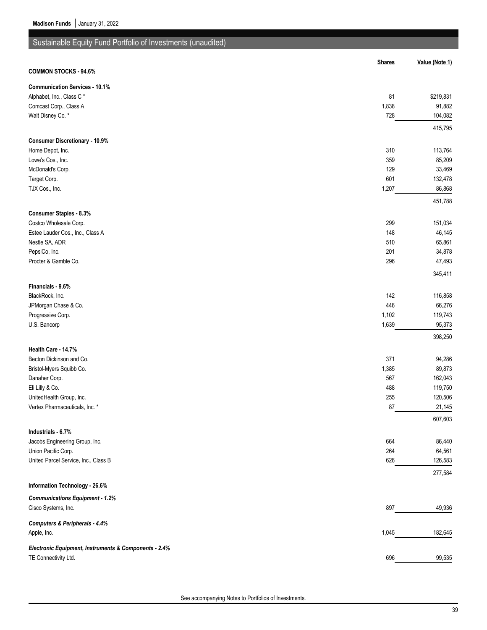| Sustainable Equity Fund Portfolio of Investments (unaudited) |                |                    |
|--------------------------------------------------------------|----------------|--------------------|
|                                                              | <b>Shares</b>  | Value (Note 1)     |
| <b>COMMON STOCKS - 94.6%</b>                                 |                |                    |
| <b>Communication Services - 10.1%</b>                        |                |                    |
| Alphabet, Inc., Class C*                                     | 81             | \$219,831          |
| Comcast Corp., Class A                                       | 1,838          | 91,882             |
| Walt Disney Co. *                                            | 728            | 104,082            |
|                                                              |                | 415,795            |
| <b>Consumer Discretionary - 10.9%</b>                        |                |                    |
| Home Depot, Inc.                                             | 310            | 113,764            |
| Lowe's Cos., Inc.                                            | 359            | 85,209             |
| McDonald's Corp.                                             | 129            | 33,469             |
| Target Corp.                                                 | 601            | 132,478            |
| TJX Cos., Inc.                                               | 1,207          | 86,868             |
|                                                              |                | 451,788            |
| <b>Consumer Staples - 8.3%</b>                               |                |                    |
| Costco Wholesale Corp.                                       | 299            | 151,034            |
| Estee Lauder Cos., Inc., Class A                             | 148            | 46,145             |
| Nestle SA, ADR                                               | 510            | 65,861             |
| PepsiCo, Inc.                                                | 201            | 34,878             |
| Procter & Gamble Co.                                         | 296            | 47,493             |
|                                                              |                | 345,411            |
| Financials - 9.6%                                            |                |                    |
| BlackRock, Inc.                                              | 142            | 116,858            |
| JPMorgan Chase & Co.                                         | 446            | 66,276             |
| Progressive Corp.                                            | 1,102<br>1,639 | 119,743<br>95,373  |
| U.S. Bancorp                                                 |                |                    |
|                                                              |                | 398,250            |
| Health Care - 14.7%                                          |                |                    |
| Becton Dickinson and Co.                                     | 371            | 94,286             |
| Bristol-Myers Squibb Co.                                     | 1,385          | 89,873             |
| Danaher Corp.                                                | 567<br>488     | 162,043<br>119,750 |
| Eli Lilly & Co.<br>UnitedHealth Group, Inc.                  |                | 120,506            |
| Vertex Pharmaceuticals, Inc. *                               | 255<br>87      | 21,145             |
|                                                              |                | 607,603            |
| Industrials - 6.7%                                           |                |                    |
| Jacobs Engineering Group, Inc.                               | 664            | 86,440             |
| Union Pacific Corp.                                          | 264            | 64,561             |
| United Parcel Service, Inc., Class B                         | 626            | 126,583            |
|                                                              |                | 277,584            |
| Information Technology - 26.6%                               |                |                    |
| <b>Communications Equipment - 1.2%</b>                       |                |                    |
| Cisco Systems, Inc.                                          | 897            | 49,936             |
|                                                              |                |                    |
| Computers & Peripherals - 4.4%<br>Apple, Inc.                | 1,045          | 182,645            |
|                                                              |                |                    |
| Electronic Equipment, Instruments & Components - 2.4%        |                |                    |
| TE Connectivity Ltd.                                         | 696            | 99,535             |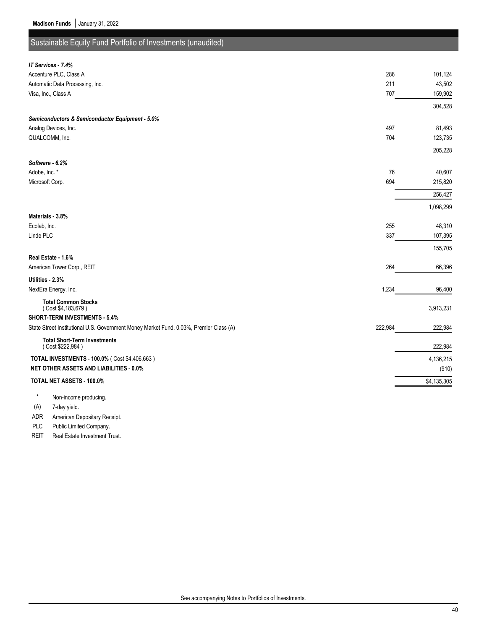(A) 7-day yield.

ADR American Depositary Receipt. PLC Public Limited Company. REIT Real Estate Investment Trust.

## Sustainable Equity Fund Portfolio of Investments (unaudited)

| IT Services - 7.4%                                                                     |         |             |
|----------------------------------------------------------------------------------------|---------|-------------|
| Accenture PLC, Class A                                                                 | 286     | 101,124     |
| Automatic Data Processing, Inc.                                                        | 211     | 43,502      |
| Visa, Inc., Class A                                                                    | 707     | 159,902     |
|                                                                                        |         | 304,528     |
| Semiconductors & Semiconductor Equipment - 5.0%                                        |         |             |
| Analog Devices, Inc.                                                                   | 497     | 81,493      |
| QUALCOMM, Inc.                                                                         | 704     | 123,735     |
|                                                                                        |         | 205,228     |
| Software - 6.2%                                                                        |         |             |
| Adobe, Inc. *                                                                          | 76      | 40,607      |
| Microsoft Corp.                                                                        | 694     | 215,820     |
|                                                                                        |         | 256,427     |
|                                                                                        |         | 1,098,299   |
| Materials - 3.8%                                                                       |         |             |
| Ecolab, Inc.                                                                           | 255     | 48,310      |
| Linde PLC                                                                              | 337     | 107,395     |
|                                                                                        |         | 155,705     |
| Real Estate - 1.6%                                                                     |         |             |
| American Tower Corp., REIT                                                             | 264     | 66,396      |
| Utilities - 2.3%                                                                       |         |             |
| NextEra Energy, Inc.                                                                   | 1,234   | 96,400      |
| <b>Total Common Stocks</b><br>(Cost \$4,183,679)                                       |         | 3,913,231   |
| SHORT-TERM INVESTMENTS - 5.4%                                                          |         |             |
| State Street Institutional U.S. Government Money Market Fund, 0.03%, Premier Class (A) | 222,984 | 222,984     |
| <b>Total Short-Term Investments</b><br>(Cost \$222,984)                                |         | 222,984     |
| TOTAL INVESTMENTS - 100.0% ( Cost \$4,406,663)                                         |         | 4,136,215   |
| <b>NET OTHER ASSETS AND LIABILITIES - 0.0%</b>                                         |         | (910)       |
| TOTAL NET ASSETS - 100.0%                                                              |         | \$4,135,305 |
| Non-income producing.                                                                  |         |             |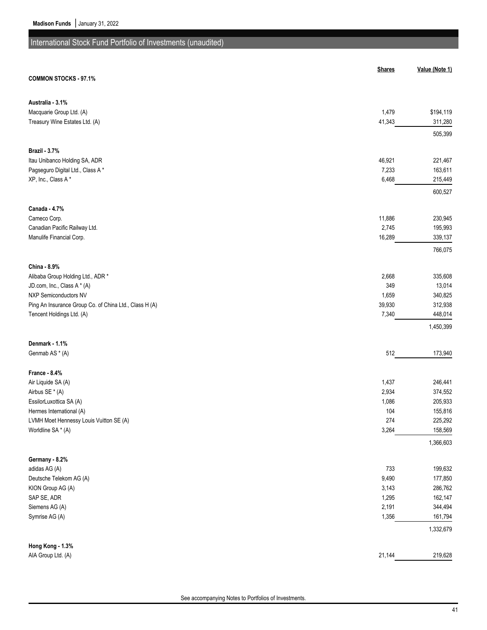# International Stock Fund Portfolio of Investments (unaudited)

|                                                                                     | <b>Shares</b>   | Value (Note 1)       |
|-------------------------------------------------------------------------------------|-----------------|----------------------|
| <b>COMMON STOCKS - 97.1%</b>                                                        |                 |                      |
| Australia - 3.1%                                                                    |                 |                      |
| Macquarie Group Ltd. (A)                                                            | 1,479           | \$194,119            |
| Treasury Wine Estates Ltd. (A)                                                      | 41,343          | 311,280              |
|                                                                                     |                 | 505,399              |
| <b>Brazil - 3.7%</b>                                                                |                 |                      |
| Itau Unibanco Holding SA, ADR<br>Pagseguro Digital Ltd., Class A*                   | 46,921<br>7,233 | 221,467<br>163,611   |
| XP, Inc., Class A*                                                                  | 6,468           | 215,449              |
|                                                                                     |                 | 600,527              |
| Canada - 4.7%                                                                       |                 |                      |
| Cameco Corp.                                                                        | 11,886          | 230,945              |
| Canadian Pacific Railway Ltd.                                                       | 2,745           | 195,993              |
| Manulife Financial Corp.                                                            | 16,289          | 339,137              |
|                                                                                     |                 | 766,075              |
| China - 8.9%                                                                        |                 |                      |
| Alibaba Group Holding Ltd., ADR *                                                   | 2,668           | 335,608              |
| JD.com, Inc., Class A * (A)                                                         | 349             | 13,014               |
| NXP Semiconductors NV                                                               | 1,659           | 340,825              |
| Ping An Insurance Group Co. of China Ltd., Class H (A)<br>Tencent Holdings Ltd. (A) | 39,930<br>7,340 | 312,938<br>448,014   |
|                                                                                     |                 | 1,450,399            |
| Denmark - 1.1%                                                                      |                 |                      |
| Genmab AS * (A)                                                                     | 512             | 173,940              |
| France - 8.4%                                                                       |                 |                      |
| Air Liquide SA (A)                                                                  | 1,437           | 246,441              |
| Airbus SE * (A)                                                                     | 2,934           | 374,552              |
| EssilorLuxottica SA (A)                                                             | 1,086           | 205,933              |
| Hermes International (A)                                                            | 104             | 155,816              |
| LVMH Moet Hennessy Louis Vuitton SE (A)                                             | 274             | 225,292              |
| Worldline SA * (A)                                                                  | 3,264           | 158,569<br>1,366,603 |
| Germany - 8.2%                                                                      |                 |                      |
| adidas AG (A)                                                                       | 733             | 199,632              |
| Deutsche Telekom AG (A)                                                             | 9,490           | 177,850              |
| KION Group AG (A)                                                                   | 3,143           | 286,762              |
| SAP SE, ADR                                                                         | 1,295           | 162,147              |
| Siemens AG (A)                                                                      | 2,191           | 344,494              |
| Symrise AG (A)                                                                      | 1,356           | 161,794              |
|                                                                                     |                 | 1,332,679            |
| Hong Kong - 1.3%                                                                    |                 |                      |
| AIA Group Ltd. (A)                                                                  | 21,144          | 219,628              |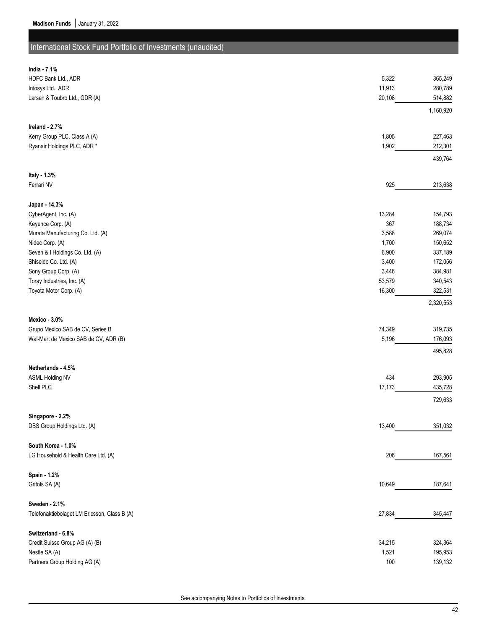# International Stock Fund Portfolio of Investments (unaudited)

| India - 7.1%                                 |        |           |
|----------------------------------------------|--------|-----------|
| HDFC Bank Ltd., ADR                          | 5,322  | 365,249   |
| Infosys Ltd., ADR                            | 11,913 | 280,789   |
| Larsen & Toubro Ltd., GDR (A)                | 20,108 | 514,882   |
|                                              |        | 1,160,920 |
| Ireland - 2.7%                               |        |           |
| Kerry Group PLC, Class A (A)                 | 1,805  | 227,463   |
| Ryanair Holdings PLC, ADR *                  | 1,902  | 212,301   |
|                                              |        | 439,764   |
| Italy - 1.3%                                 |        |           |
| Ferrari NV                                   | 925    | 213,638   |
| Japan - 14.3%                                |        |           |
| CyberAgent, Inc. (A)                         | 13,284 | 154,793   |
| Keyence Corp. (A)                            | 367    | 188,734   |
| Murata Manufacturing Co. Ltd. (A)            | 3,588  | 269,074   |
| Nidec Corp. (A)                              | 1,700  | 150,652   |
| Seven & I Holdings Co. Ltd. (A)              | 6,900  | 337,189   |
| Shiseido Co. Ltd. (A)                        | 3,400  | 172,056   |
| Sony Group Corp. (A)                         | 3,446  | 384,981   |
| Toray Industries, Inc. (A)                   | 53,579 | 340,543   |
| Toyota Motor Corp. (A)                       | 16,300 | 322,531   |
|                                              |        | 2,320,553 |
| Mexico - 3.0%                                |        |           |
| Grupo Mexico SAB de CV, Series B             | 74,349 | 319,735   |
| Wal-Mart de Mexico SAB de CV, ADR (B)        | 5,196  | 176,093   |
|                                              |        | 495,828   |
| Netherlands - 4.5%                           |        |           |
| <b>ASML Holding NV</b>                       | 434    | 293,905   |
| Shell PLC                                    | 17,173 | 435,728   |
|                                              |        | 729,633   |
| Singapore - 2.2%                             |        |           |
| DBS Group Holdings Ltd. (A)                  | 13,400 | 351,032   |
| South Korea - 1.0%                           |        |           |
| LG Household & Health Care Ltd. (A)          | 206    | 167,561   |
| Spain - 1.2%                                 |        |           |
| Grifols SA (A)                               | 10,649 | 187,641   |
| Sweden - 2.1%                                |        |           |
| Telefonaktiebolaget LM Ericsson, Class B (A) | 27,834 | 345,447   |
| Switzerland - 6.8%                           |        |           |
| Credit Suisse Group AG (A) (B)               | 34,215 | 324,364   |
| Nestle SA (A)                                | 1,521  | 195,953   |
| Partners Group Holding AG (A)                | 100    | 139,132   |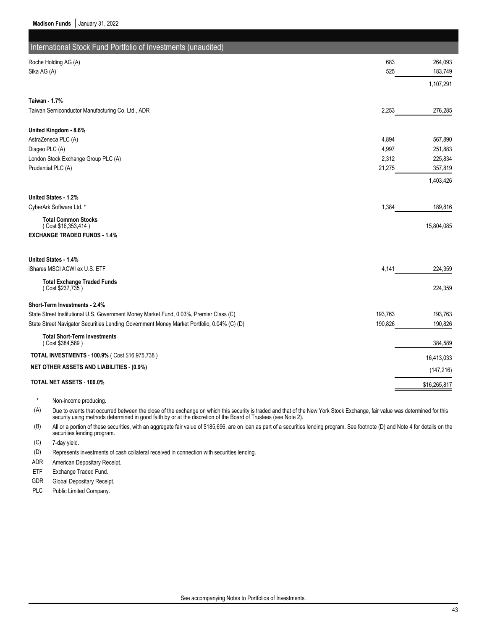| International Stock Fund Portfolio of Investments (unaudited)<br>683<br>Roche Holding AG (A)<br>525<br>Sika AG (A)<br><b>Taiwan - 1.7%</b><br>Taiwan Semiconductor Manufacturing Co. Ltd., ADR<br>2,253 | 264,093<br>183,749<br>1,107,291 |
|---------------------------------------------------------------------------------------------------------------------------------------------------------------------------------------------------------|---------------------------------|
|                                                                                                                                                                                                         |                                 |
|                                                                                                                                                                                                         |                                 |
|                                                                                                                                                                                                         |                                 |
|                                                                                                                                                                                                         |                                 |
|                                                                                                                                                                                                         |                                 |
|                                                                                                                                                                                                         |                                 |
|                                                                                                                                                                                                         | 276,285                         |
| United Kingdom - 8.6%                                                                                                                                                                                   |                                 |
| AstraZeneca PLC (A)<br>4,894                                                                                                                                                                            | 567,890                         |
| Diageo PLC (A)<br>4,997                                                                                                                                                                                 | 251,883                         |
| London Stock Exchange Group PLC (A)<br>2,312                                                                                                                                                            | 225,834                         |
| 21,275<br>Prudential PLC (A)                                                                                                                                                                            | 357,819                         |
|                                                                                                                                                                                                         | 1,403,426                       |
| United States - 1.2%                                                                                                                                                                                    |                                 |
| CyberArk Software Ltd. *<br>1,384                                                                                                                                                                       | 189,816                         |
| <b>Total Common Stocks</b><br>(Cost \$16,353,414)                                                                                                                                                       | 15,804,085                      |
| <b>EXCHANGE TRADED FUNDS 1.4%</b>                                                                                                                                                                       |                                 |
| United States - 1.4%                                                                                                                                                                                    |                                 |
| iShares MSCI ACWI ex U.S. ETF<br>4,141                                                                                                                                                                  | 224,359                         |
| <b>Total Exchange Traded Funds</b>                                                                                                                                                                      |                                 |
| (Cost \$237,735)                                                                                                                                                                                        | 224,359                         |
| Short-Term Investments - 2.4%                                                                                                                                                                           |                                 |
| State Street Institutional U.S. Government Money Market Fund, 0.03%, Premier Class (C)<br>193,763                                                                                                       | 193,763                         |
| 190,826<br>State Street Navigator Securities Lending Government Money Market Portfolio, 0.04% (C) (D)                                                                                                   | 190,826                         |
| <b>Total Short-Term Investments</b><br>(Cost \$384,589)                                                                                                                                                 | 384,589                         |
| <b>TOTAL INVESTMENTS - 100.9% (Cost \$16,975,738)</b>                                                                                                                                                   | 16,413,033                      |
| <b>NET OTHER ASSETS AND LIABILITIES - (0.9%)</b>                                                                                                                                                        |                                 |
|                                                                                                                                                                                                         | (147, 216)                      |
| TOTAL NET ASSETS - 100.0%                                                                                                                                                                               | \$16,265,817                    |

Non-income producing.

(A) Due to events that occurred between the close of the exchange on which this security is traded and that of the New York Stock Exchange, fair value was determined for this security using methods determined in good faith by or at the discretion of the Board of Trustees (see Note 2).

(B) All or a portion of these securities, with an aggregate fair value of \$185,696, are on loan as part of a securities lending program. See footnote (D) and Note 4 for details on the securities lending program.

(C) 7-day yield.

(D) Represents investments of cash collateral received in connection with securities lending.

ADR American Depositary Receipt.

ETF Exchange Traded Fund.

GDR Global Depositary Receipt.

PLC Public Limited Company.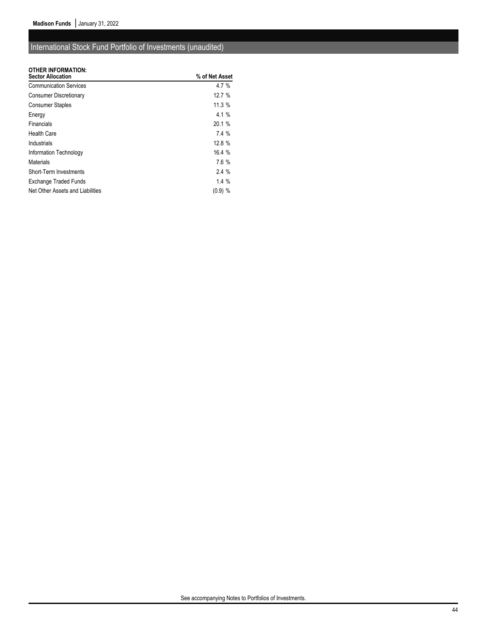## International Stock Fund Portfolio of Investments (unaudited)

## **OTHER INFORMATION:**

| <b>UIHER INFURMATION:</b><br><b>Sector Allocation</b> | % of Net Asset |
|-------------------------------------------------------|----------------|
| <b>Communication Services</b>                         | $4.7 \%$       |
| <b>Consumer Discretionary</b>                         | 12.7%          |
| <b>Consumer Staples</b>                               | 11.3%          |
| Energy                                                | $4.1 \%$       |
| Financials                                            | 20.1%          |
| <b>Health Care</b>                                    | 7.4%           |
| Industrials                                           | 12.8 %         |
| Information Technology                                | 16.4%          |
| Materials                                             | 7.6 %          |
| Short-Term Investments                                | 2.4%           |
| Exchange Traded Funds                                 | $1.4\%$        |
| Net Other Assets and Liabilities                      | $(0.9)$ %      |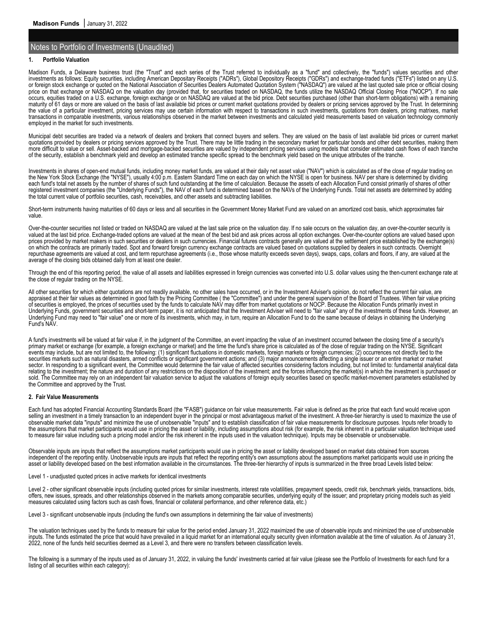### **1. Portfolio Valuation**

Madison Funds, a Delaware business trust (the "Trust" and each series of the Trust referred to individually as a "fund" and collectively, the "funds") values securities and other investments as follows: Equity securities, including American Depositary Receipts ("ADRs"), Global Depository Receipts ("GDRs") and exchange-traded funds ("ETFs") listed on any U.S. or foreign stock exchange or quoted on the National Association of Securities Dealers Automated Quotation System ("NASDAQ") are valued at the last quoted sale price or official closing price on that exchange or NASDAQ on the valuation day (provided that, for securities traded on NASDAQ, the funds utilize the NASDAQ Official Closing Price ("NOCP"). If no sale occurs, equities traded on a U.S. exchange, foreign exchange or on NASDAQ are valued at the bid price. Debt securities purchased (other than short-term obligations) with a remaining maturity of 61 days or more are valued on the basis of last available bid prices or current market quotations provided by dealers or pricing services approved by the Trust. In determining the value of a particular investment, pricing services may use certain information with respect to transactions in such investments, quotations from dealers, pricing matrixes, market transactions in comparable investments, various relationships observed in the market between investments and calculated yield measurements based on valuation technology commonly employed in the market for such investments.

Municipal debt securities are traded via a network of dealers and brokers that connect buyers and sellers. They are valued on the basis of last available bid prices or current market quotations provided by dealers or pricing services approved by the Trust. There may be little trading in the secondary market for particular bonds and other debt securities, making them more difficult to value or sell. Asset-backed and mortgage-backed securities are valued by independent pricing services using models that consider estimated cash flows of each tranche of the security, establish a benchmark yield and develop an estimated tranche specific spread to the benchmark yield based on the unique attributes of the tranche.

Investments in shares of open-end mutual funds, including money market funds, are valued at their daily net asset value ("NAV") which is calculated as of the close of regular trading on the New York Stock Exchange (the "NYSE"), usually 4:00 p.m. Eastern Standard Time on each day on which the NYSE is open for business. NAV per share is determined by dividing each fund's total net assets by the number of shares of such fund outstanding at the time of calculation. Because the assets of each Allocation Fund consist primarily of shares of other registered investment companies (the "Underlying Funds"), the NAV of each fund is determined based on the NAVs of the Underlying Funds. Total net assets are determined by adding the total current value of portfolio securities, cash, receivables, and other assets and subtracting liabilities.

Short-term instruments having maturities of 60 days or less and all securities in the Government Money Market Fund are valued on an amortized cost basis, which approximates fair value.

Over-the-counter securities not listed or traded on NASDAQ are valued at the last sale price on the valuation day. If no sale occurs on the valuation day, an over-the-counter security is valued at the last bid price. Exchange-traded options are valued at the mean of the best bid and ask prices across all option exchanges. Over-the-counter options are valued based upon prices provided by market makers in such securities or dealers in such currencies. Financial futures contracts generally are valued at the settlement price established by the exchange(s) on which the contracts are primarily traded. Spot and forward foreign currency exchange contracts are valued based on quotations supplied by dealers in such contracts. Overnight repurchase agreements are valued at cost, and term repurchase agreements (i.e., those whose maturity exceeds seven days), swaps, caps, collars and floors, if any, are valued at the average of the closing bids obtained daily from at least one dealer.

Through the end of this reporting period, the value of all assets and liabilities expressed in foreign currencies was converted into U.S. dollar values using the then-current exchange rate at the close of regular trading on the NYSE.

All other securities for which either quotations are not readily available, no other sales have occurred, or in the Investment Adviser's opinion, do not reflect the current fair value, are appraised at their fair values as determined in good faith by the Pricing Committee (the "Committee") and under the general supervision of the Board of Trustees. When fair value pricing of securities is employed, the prices of securities used by the funds to calculate NAV may differ from market quotations or NOCP. Because the Allocation Funds primarily invest in Underlying Funds, government securities and short-term paper, it is not anticipated that the Investment Adviser will need to "fair value" any of the investments of these funds. However, an Underlying Fund may need to "fair value" one or more of its investments, which may, in turn, require an Allocation Fund to do the same because of delays in obtaining the Underlying Fund's NAV.

A fund's investments will be valued at fair value if, in the judgment of the Committee, an event impacting the value of an investment occurred between the closing time of a security's primary market or exchange (for example, a foreign exchange or market) and the time the fund's share price is calculated as of the close of regular trading on the NYSE. Significant events may include, but are not limited to, the following: (1) significant fluctuations in domestic markets, foreign markets or foreign currencies; (2) occurrences not directly tied to the securities markets such as natural disasters, armed conflicts or significant government actions; and (3) major announcements affecting a single issuer or an entire market or market sector. In responding to a significant event, the Committee would determine the fair value of affected securities considering factors including, but not limited to: fundamental analytical data relating to the investment; the nature and duration of any restrictions on the disposition of the investment; and the forces influencing the market(s) in which the investment is purchased or sold. The Committee may rely on an independent fair valuation service to adjust the valuations of foreign equity securities based on specific market-movement parameters established by the Committee and approved by the Trust.

#### **2. Fair Value Measurements**

Each fund has adopted Financial Accounting Standards Board (the "FASB") guidance on fair value measurements. Fair value is defined as the price that each fund would receive upon selling an investment in a timely transaction to an independent buyer in the principal or most advantageous market of the investment. A three-tier hierarchy is used to maximize the use of observable market data "inputs" and minimize the use of unobservable "inputs" and to establish classification of fair value measurements for disclosure purposes. Inputs refer broadly to the assumptions that market participants would use in pricing the asset or liability, including assumptions about risk (for example, the risk inherent in a particular valuation technique used to measure fair value including such a pricing model and/or the risk inherent in the inputs used in the valuation technique). Inputs may be observable or unobservable.

Observable inputs are inputs that reflect the assumptions market participants would use in pricing the asset or liability developed based on market data obtained from sources independent of the reporting entity. Unobservable inputs are inputs that reflect the reporting entity's own assumptions about the assumptions market participants would use in pricing the asset or liability developed based on the best information available in the circumstances. The three-tier hierarchy of inputs is summarized in the three broad Levels listed below:

Level 1 - unadjusted quoted prices in active markets for identical investments

Level 2 - other significant observable inputs (including quoted prices for similar investments, interest rate volatilities, prepayment speeds, credit risk, benchmark yields, transactions, bids, offers, new issues, spreads, and other relationships observed in the markets among comparable securities, underlying equity of the issuer; and proprietary pricing models such as yield measures calculated using factors such as cash flows, financial or collateral performance, and other reference data, etc.)

Level 3 - significant unobservable inputs (including the fund's own assumptions in determining the fair value of investments)

The valuation techniques used by the funds to measure fair value for the period ended January 31, 2022 maximized the use of observable inputs and minimized the use of unobservable inputs. The funds estimated the price that would have prevailed in a liquid market for an international equity security given information available at the time of valuation. As of January 31, 2022, none of the funds held securities deemed as a Level 3, and there were no transfers between classification levels.

The following is a summary of the inputs used as of January 31, 2022, in valuing the funds' investments carried at fair value (please see the Portfolio of Investments for each fund for a listing of all securities within each category):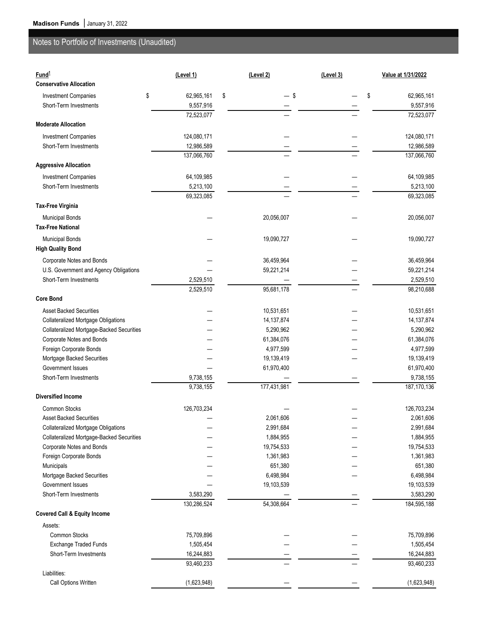| Fund <sup>1</sup><br><b>Conservative Allocation</b>                    | (Level 1)        | (Level 2)               | (Level 3) | Value at 1/31/2022      |
|------------------------------------------------------------------------|------------------|-------------------------|-----------|-------------------------|
| <b>Investment Companies</b>                                            | \$<br>62,965,161 | \$<br>S.                |           | \$<br>62,965,161        |
| Short-Term Investments                                                 | 9,557,916        |                         |           | 9,557,916               |
|                                                                        | 72,523,077       |                         |           | 72,523,077              |
| <b>Moderate Allocation</b>                                             |                  |                         |           |                         |
| <b>Investment Companies</b>                                            | 124,080,171      |                         |           | 124,080,171             |
| Short-Term Investments                                                 | 12,986,589       |                         |           | 12,986,589              |
|                                                                        | 137,066,760      |                         |           | 137,066,760             |
| <b>Aggressive Allocation</b>                                           |                  |                         |           |                         |
| <b>Investment Companies</b>                                            | 64,109,985       |                         |           | 64,109,985              |
| Short-Term Investments                                                 | 5,213,100        |                         |           | 5,213,100               |
|                                                                        | 69,323,085       |                         |           | 69,323,085              |
| <b>Tax-Free Virginia</b>                                               |                  |                         |           |                         |
| <b>Municipal Bonds</b>                                                 |                  | 20,056,007              |           | 20,056,007              |
| <b>Tax-Free National</b>                                               |                  |                         |           |                         |
|                                                                        |                  |                         |           |                         |
| <b>Municipal Bonds</b>                                                 |                  | 19,090,727              |           | 19,090,727              |
| <b>High Quality Bond</b>                                               |                  |                         |           |                         |
| Corporate Notes and Bonds                                              |                  | 36,459,964              |           | 36,459,964              |
| U.S. Government and Agency Obligations                                 |                  | 59,221,214              |           | 59,221,214              |
| Short-Term Investments                                                 | 2,529,510        |                         |           | 2,529,510               |
|                                                                        | 2,529,510        | 95,681,178              |           | 98,210,688              |
| <b>Core Bond</b>                                                       |                  |                         |           |                         |
| <b>Asset Backed Securities</b>                                         |                  | 10,531,651              |           | 10,531,651              |
| <b>Collateralized Mortgage Obligations</b>                             |                  | 14, 137, 874            |           | 14, 137, 874            |
| Collateralized Mortgage-Backed Securities                              |                  | 5,290,962               |           | 5,290,962               |
| Corporate Notes and Bonds                                              |                  | 61,384,076              |           | 61,384,076              |
| Foreign Corporate Bonds                                                |                  | 4,977,599               |           | 4,977,599               |
| Mortgage Backed Securities                                             |                  | 19,139,419              |           | 19,139,419              |
| Government Issues                                                      |                  | 61,970,400              |           | 61,970,400              |
| Short-Term Investments                                                 | 9,738,155        |                         |           | 9,738,155               |
| <b>Diversified Income</b>                                              | 9,738,155        | 177,431,981             |           | 187, 170, 136           |
|                                                                        |                  |                         |           |                         |
| Common Stocks                                                          | 126,703,234      |                         |           | 126,703,234             |
| <b>Asset Backed Securities</b>                                         |                  | 2,061,606               |           | 2,061,606               |
| <b>Collateralized Mortgage Obligations</b>                             |                  | 2,991,684               |           | 2,991,684               |
| Collateralized Mortgage-Backed Securities<br>Corporate Notes and Bonds |                  | 1,884,955               |           | 1,884,955               |
| Foreign Corporate Bonds                                                |                  | 19,754,533<br>1,361,983 |           | 19,754,533<br>1,361,983 |
| Municipals                                                             |                  | 651,380                 |           | 651,380                 |
| Mortgage Backed Securities                                             |                  | 6,498,984               |           | 6,498,984               |
| Government Issues                                                      |                  | 19,103,539              |           | 19,103,539              |
| Short-Term Investments                                                 | 3,583,290        |                         |           | 3,583,290               |
|                                                                        | 130,286,524      | 54,308,664              |           | 184,595,188             |
| <b>Covered Call &amp; Equity Income</b>                                |                  |                         |           |                         |
| Assets:                                                                |                  |                         |           |                         |
| Common Stocks                                                          | 75,709,896       |                         |           | 75,709,896              |
| Exchange Traded Funds                                                  | 1,505,454        |                         |           | 1,505,454               |
| Short-Term Investments                                                 | 16,244,883       |                         |           | 16,244,883              |
|                                                                        | 93,460,233       |                         |           | 93,460,233              |
| Liabilities:                                                           |                  |                         |           |                         |
| Call Options Written                                                   | (1,623,948)      |                         |           | (1,623,948)             |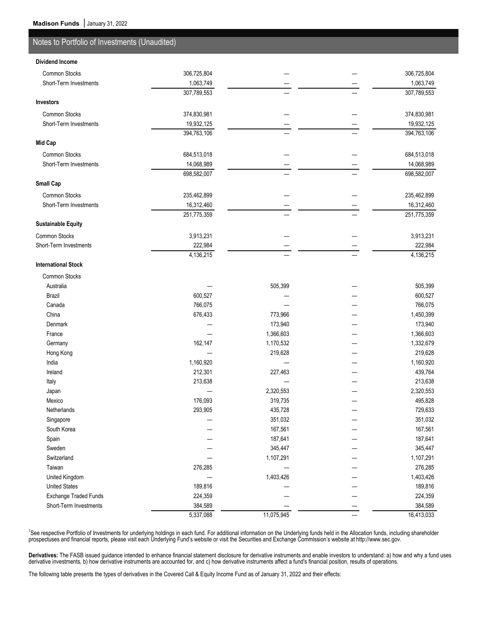| <b>Dividend Income</b>     |             |            |             |
|----------------------------|-------------|------------|-------------|
| Common Stocks              | 306,725,804 |            | 306,725,804 |
| Short-Term Investments     | 1,063,749   |            | 1,063,749   |
|                            | 307,789,553 |            | 307,789,553 |
| Investors                  |             |            |             |
| Common Stocks              | 374,830,981 |            | 374,830,981 |
| Short-Term Investments     | 19,932,125  |            | 19,932,125  |
|                            | 394,763,106 |            | 394,763,106 |
| Mid Cap                    |             |            |             |
| Common Stocks              | 684,513,018 |            | 684,513,018 |
| Short-Term Investments     | 14,068,989  |            | 14,068,989  |
|                            | 698,582,007 |            | 698,582,007 |
| <b>Small Cap</b>           |             |            |             |
| Common Stocks              | 235,462,899 |            | 235,462,899 |
| Short-Term Investments     | 16,312,460  |            | 16,312,460  |
|                            | 251,775,359 |            | 251,775,359 |
| <b>Sustainable Equity</b>  |             |            |             |
| Common Stocks              | 3,913,231   |            | 3,913,231   |
| Short-Term Investments     | 222,984     |            | 222,984     |
|                            | 4,136,215   |            | 4,136,215   |
| <b>International Stock</b> |             |            |             |
| Common Stocks              |             |            |             |
| Australia                  |             | 505,399    | 505,399     |
| Brazil                     | 600,527     |            | 600,527     |
| Canada                     | 766,075     |            | 766,075     |
| China                      | 676,433     | 773,966    | 1,450,399   |
| Denmark                    |             | 173,940    | 173,940     |
| France                     |             | 1,366,603  | 1,366,603   |
| Germany                    | 162,147     | 1,170,532  | 1,332,679   |
| Hong Kong                  |             | 219,628    | 219,628     |
| India                      | 1,160,920   |            | 1,160,920   |
| Ireland                    | 212,301     | 227,463    | 439,764     |
| Italy                      | 213,638     |            | 213,638     |
| Japan                      |             | 2,320,553  | 2,320,553   |
| Mexico                     | 176,093     | 319,735    | 495,828     |
| Netherlands                | 293,905     | 435,728    | 729,633     |
| Singapore                  |             | 351,032    | 351,032     |
| South Korea                |             | 167,561    | 167,561     |
| Spain                      |             | 187,641    | 187,641     |
| Sweden                     |             | 345,447    | 345,447     |
| Switzerland                |             | 1,107,291  | 1,107,291   |
| Taiwan                     | 276,285     |            | 276,285     |
| United Kingdom             |             | 1,403,426  | 1,403,426   |
| <b>United States</b>       | 189,816     |            | 189,816     |
| Exchange Traded Funds      | 224,359     |            | 224,359     |
| Short-Term Investments     | 384,589     |            | 384,589     |
|                            | 5,337,088   | 11,075,945 | 16,413,033  |

<sup>1</sup>See respective Portfolio of Investments for underlying holdings in each fund. For additional information on the Underlying funds held in the Allocation funds, including shareholder prospectuses and financial reports, please visit each Underlying Fund's website or visit the Securities and Exchange Commission's website at http://www.sec.gov.

**Derivatives:** The FASB issued guidance intended to enhance financial statement disclosure for derivative instruments and enable investors to understand: a) how and why a fund uses derivative investments, b) how derivative instruments are accounted for, and c) how derivative instruments affect a fund's financial position, results of operations.

The following table presents the types of derivatives in the Covered Call & Equity Income Fund as of January 31, 2022 and their effects: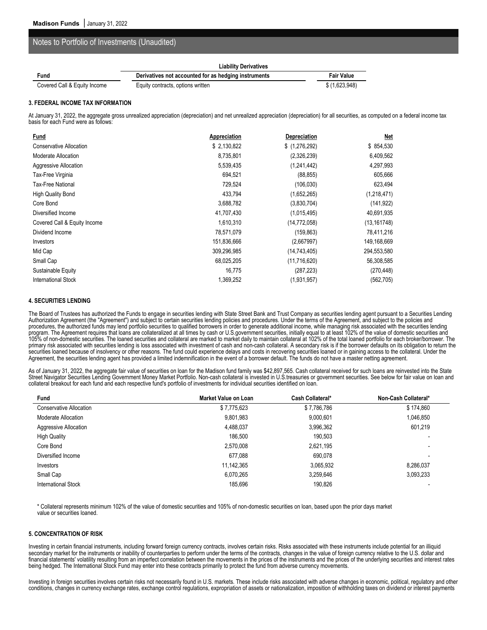|                              | <b>Liability Derivatives</b>                         |                   |  |
|------------------------------|------------------------------------------------------|-------------------|--|
| Fund                         | Derivatives not accounted for as hedging instruments | <b>Fair Value</b> |  |
| Covered Call & Equity Income | Equity contracts, options written                    | \$ (1,623,948)    |  |

#### **3. FEDERAL INCOME TAX INFORMATION**

At January 31, 2022, the aggregate gross unrealized appreciation (depreciation) and net unrealized appreciation (depreciation) for all securities, as computed on a federal income tax basis for each Fund were as follows:

| <b>Fund</b>                    | Appreciation | <b>Depreciation</b> | Net          |
|--------------------------------|--------------|---------------------|--------------|
| <b>Conservative Allocation</b> | \$ 2,130,822 | \$(1,276,292)       | \$854,530    |
| Moderate Allocation            | 8,735,801    | (2,326,239)         | 6,409,562    |
| Aggressive Allocation          | 5,539,435    | (1, 241, 442)       | 4,297,993    |
| Tax-Free Virginia              | 694,521      | (88.855)            | 605,666      |
| Tax-Free National              | 729,524      | (106, 030)          | 623,494      |
| High Quality Bond              | 433,794      | (1,652,265)         | (1,218,471)  |
| Core Bond                      | 3,688,782    | (3,830,704)         | (141, 922)   |
| Diversified Income             | 41,707,430   | (1,015,495)         | 40,691,935   |
| Covered Call & Equity Income   | 1,610,310    | (14, 772, 058)      | (13, 161748) |
| Dividend Income                | 78,571,079   | (159, 863)          | 78,411,216   |
| Investors                      | 151,836,666  | (2,667997)          | 149,168,669  |
| Mid Cap                        | 309,296,985  | (14, 743, 405)      | 294,553,580  |
| Small Cap                      | 68,025,205   | (11, 716, 620)      | 56,308,585   |
| Sustainable Equity             | 16,775       | (287, 223)          | (270, 448)   |
| <b>International Stock</b>     | 1,369,252    | (1,931,957)         | (562, 705)   |

### **4. SECURITIES LENDING**

The Board of Trustees has authorized the Funds to engage in securities lending with State Street Bank and Trust Company as securities lending agent pursuant to a Securities Lending Authorization Agreement (the "Agreement") and subject to certain securities lending policies and procedures. Under the terms of the Agreement, and subject to the policies and procedures, the authorized funds may lend portfolio securities to qualified borrowers in order to generate additional income, while managing risk associated with the securities lending program. The Agreement requires that loans are collateralized at all times by cash or U.S.government securities, initially equal to at least 102% of the value of domestic securities and 105% of non-domestic securities. The loaned securities and collateral are marked to market daily to maintain collateral at 102% of the total loaned portfolio for each broker/borrower. The primary risk associated with securities lending is loss associated with investment of cash and non-cash collateral. A secondary risk is if the borrower defaults on its obligation to return the securities loaned because of insolvency or other reasons. The fund could experience delays and costs in recovering securities loaned or in gaining access to the collateral. Under the Agreement, the securities lending agent has provided a limited indemnification in the event of a borrower default. The funds do not have a master netting agreement.

As of January 31, 2022, the aggregate fair value of securities on loan for the Madison fund family was \$42,897,565. Cash collateral received for such loans are reinvested into the State Street Navigator Securities Lending Government Money Market Portfolio. Non-cash collateral is invested in U.S.treasuries or government securities. See below for fair value on loan and collateral breakout for each fund and each respective fund's portfolio of investments for individual securities identified on loan.

| <b>Fund</b>             | Market Value on Loan | Cash Collateral* | Non-Cash Collateral*     |
|-------------------------|----------------------|------------------|--------------------------|
| Conservative Allocation | \$7,775,623          | \$7,786,786      | \$174,860                |
| Moderate Allocation     | 9,801,983            | 9,000,601        | 1,046,850                |
| Aggressive Allocation   | 4,488,037            | 3,996,362        | 601,219                  |
| <b>High Quality</b>     | 186,500              | 190,503          |                          |
| Core Bond               | 2,570,008            | 2,621,195        | $\blacksquare$           |
| Diversified Income      | 677.088              | 690,078          | $\overline{\phantom{a}}$ |
| Investors               | 11,142,365           | 3,065,932        | 8,286,037                |
| Small Cap               | 6,070,265            | 3,259,646        | 3.093.233                |
| International Stock     | 185.696              | 190,826          |                          |

\* Collateral represents minimum 102% of the value of domestic securities and 105% of non-domestic securities on loan, based upon the prior days market value or securities loaned.

### **5. CONCENTRATION OF RISK**

Investing in certain financial instruments, including forward foreign currency contracts, involves certain risks. Risks associated with these instruments include potential for an illiquid secondary market for the instruments or inability of counterparties to perform under the terms of the contracts, changes in the value of foreign currency relative to the U.S. dollar and financial statements' volatility resulting from an imperfect correlation between the movements in the prices of the instruments and the prices of the underlying securities and interest rates being hedged. The International Stock Fund may enter into these contracts primarily to protect the fund from adverse currency movements.

Investing in foreign securities involves certain risks not necessarily found in U.S. markets. These include risks associated with adverse changes in economic, political, regulatory and other conditions, changes in currency exchange rates, exchange control regulations, expropriation of assets or nationalization, imposition of withholding taxes on dividend or interest payments